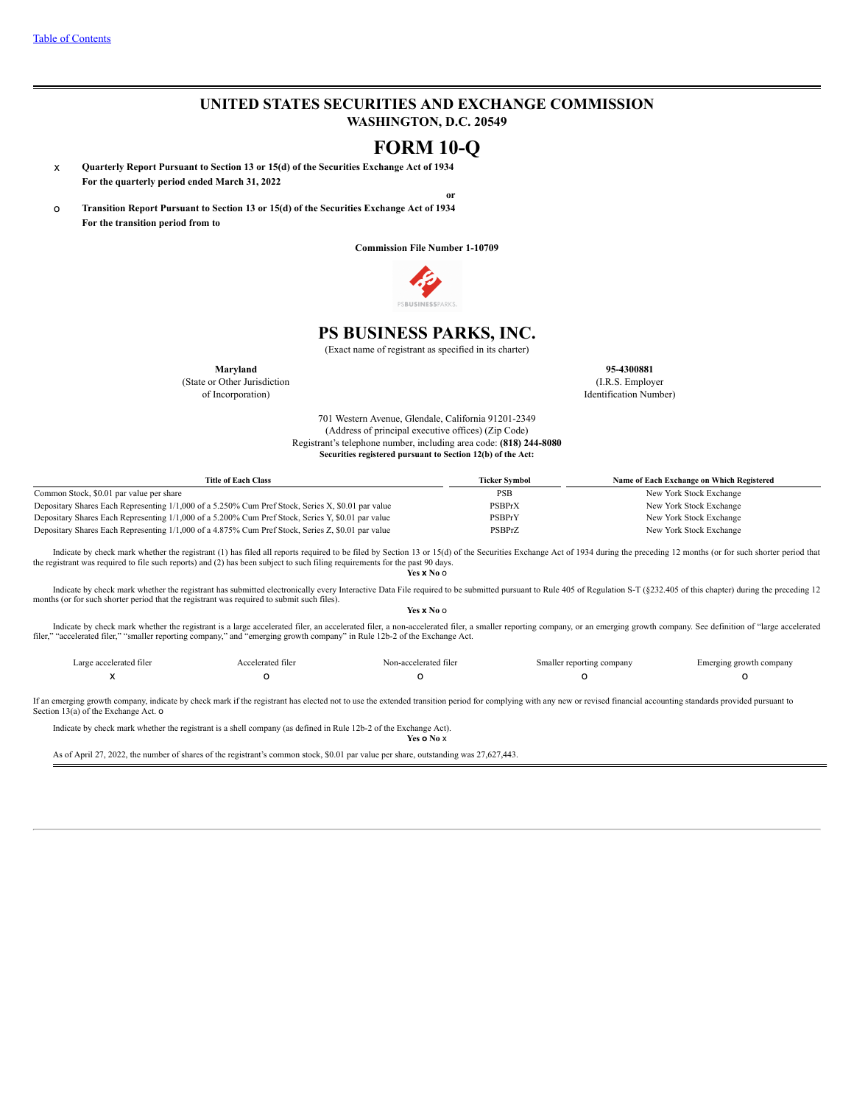# **UNITED STATES SECURITIES AND EXCHANGE COMMISSION WASHINGTON, D.C. 20549**

# **FORM 10-Q**

- x **Quarterly Report Pursuant to Section 13 or 15(d) of the Securities Exchange Act of 1934 For the quarterly period ended March 31, 2022**
- o **Transition Report Pursuant to Section 13 or 15(d) of the Securities Exchange Act of 1934 For the transition period from to**

**Commission File Number 1-10709**

**or**



# **PS BUSINESS PARKS, INC.**

(Exact name of registrant as specified in its charter)

**Maryland 95-4300881** (State or Other Jurisdiction (I.R.S. Employer) (I.R.S. Employer) (I.R.S. Employer) (I.R.S. Employer) (I.R.S. Employer Identification Number)

> 701 Western Avenue, Glendale, California 91201-2349 (Address of principal executive offices) (Zip Code) Registrant's telephone number, including area code: **(818) 244-8080 Securities registered pursuant to Section 12(b) of the Act:**

| <b>Title of Each Class</b>                                                                         | <b>Ticker Symbol</b> | Name of Each Exchange on Which Registered |
|----------------------------------------------------------------------------------------------------|----------------------|-------------------------------------------|
| Common Stock, \$0.01 par value per share                                                           | <b>PSB</b>           | New York Stock Exchange                   |
| Depositary Shares Each Representing 1/1,000 of a 5.250% Cum Pref Stock, Series X, \$0.01 par value | <b>PSBPrX</b>        | New York Stock Exchange                   |
| Depositary Shares Each Representing 1/1,000 of a 5.200% Cum Pref Stock, Series Y, \$0.01 par value | <b>PSBPrY</b>        | New York Stock Exchange                   |
| Depositary Shares Each Representing 1/1,000 of a 4.875% Cum Pref Stock, Series Z, \$0.01 par value | PSBPrZ               | New York Stock Exchange                   |
|                                                                                                    |                      |                                           |

Indicate by check mark whether the registrant (1) has filed all reports required to be filed by Section 13 or 15(d) of the Securities Exchange Act of 1934 during the preceding 12 months (or for such shorter period that the registrant was required to file such reports) and (2) has been subject to such filing requirements for the past 90 days. **Yes x No** o

Indicate by check mark whether the registrant has submitted electronically every Interactive Data File required to be submitted pursuant to Rule 405 of Regulation S-T (§232.405 of this chapter) during the preceding 12 months (or for such shorter period that the registrant was required to submit such files). **Yes x No** o

Indicate by check mark whether the registrant is a large accelerated filer, an accelerated filer, a non-accelerated filer, a smaller reporting company, or an emerging growth company. See definition of "large accelerated filer," "accelerated filer," "smaller reporting company," and "emerging growth company" in Rule 12b-2 of the Exchange Act.

| area<br>. | -tile | Non-accelers<br>tile | Smaller reporting company<br>. . | ∹merging growth<br>ı company<br>- |
|-----------|-------|----------------------|----------------------------------|-----------------------------------|
|           |       |                      |                                  |                                   |

If an emerging growth company, indicate by check mark if the registrant has elected not to use the extended transition period for complying with any new or revised financial accounting standards provided pursuant to Section  $13(a)$  of the Exchange Act. o

Indicate by check mark whether the registrant is a shell company (as defined in Rule 12b-2 of the Exchange Act). **Yes o No** x

<span id="page-0-0"></span>As of April 27, 2022, the number of shares of the registrant's common stock, \$0.01 par value per share, outstanding was 27,627,443.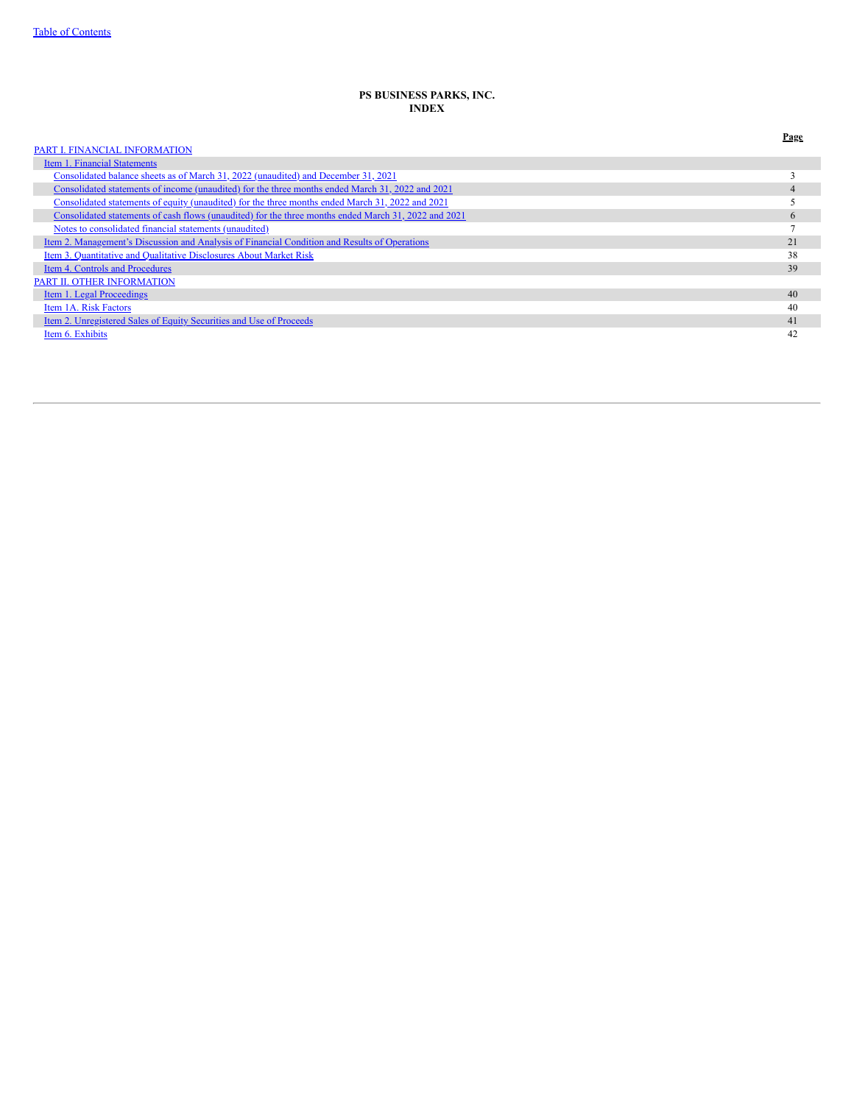# **PS BUSINESS PARKS, INC. INDEX**

<span id="page-1-0"></span>

|                                                                                                      | Page |
|------------------------------------------------------------------------------------------------------|------|
| PART I. FINANCIAL INFORMATION                                                                        |      |
| Item 1. Financial Statements                                                                         |      |
| Consolidated balance sheets as of March 31, 2022 (unaudited) and December 31, 2021                   |      |
| Consolidated statements of income (unaudited) for the three months ended March 31, 2022 and 2021     |      |
| Consolidated statements of equity (unaudited) for the three months ended March 31, 2022 and 2021     |      |
| Consolidated statements of cash flows (unaudited) for the three months ended March 31, 2022 and 2021 | h    |
| Notes to consolidated financial statements (unaudited)                                               |      |
| Item 2. Management's Discussion and Analysis of Financial Condition and Results of Operations        | 21   |
| Item 3. Quantitative and Qualitative Disclosures About Market Risk                                   | 38   |
| Item 4. Controls and Procedures                                                                      | 39   |
| PART II. OTHER INFORMATION                                                                           |      |
| Item 1. Legal Proceedings                                                                            | 40   |
| Item 1A. Risk Factors                                                                                | 40   |
| Item 2. Unregistered Sales of Equity Securities and Use of Proceeds                                  | 41   |
| Item 6. Exhibits                                                                                     | 42   |

**Page**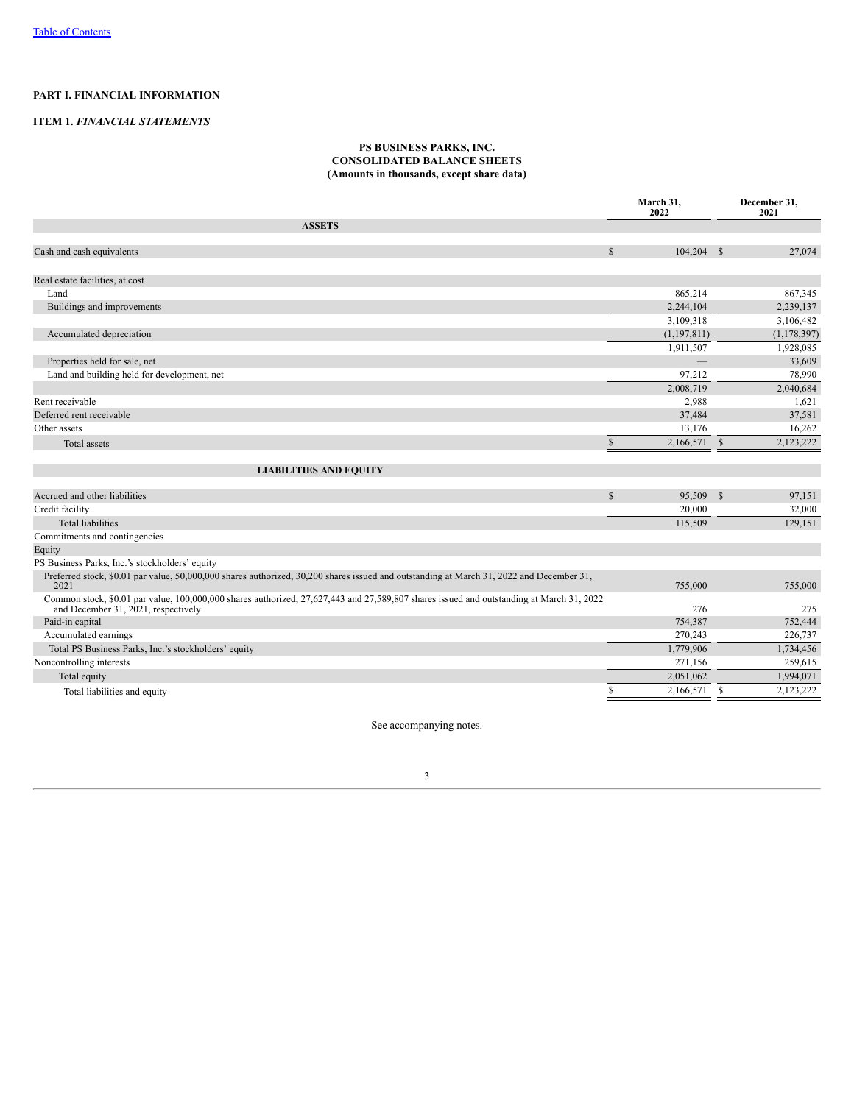# <span id="page-2-0"></span>**PART I. FINANCIAL INFORMATION**

# <span id="page-2-1"></span>**ITEM 1.** *FINANCIAL STATEMENTS*

# **PS BUSINESS PARKS, INC. CONSOLIDATED BALANCE SHEETS (Amounts in thousands, except share data)**

|                                                                                                                                                                                 |              | March 31,<br>2022 |              | December 31,<br>2021 |
|---------------------------------------------------------------------------------------------------------------------------------------------------------------------------------|--------------|-------------------|--------------|----------------------|
| <b>ASSETS</b>                                                                                                                                                                   |              |                   |              |                      |
|                                                                                                                                                                                 | $\mathbb{S}$ | $104,204$ \$      |              | 27,074               |
| Cash and cash equivalents                                                                                                                                                       |              |                   |              |                      |
| Real estate facilities, at cost                                                                                                                                                 |              |                   |              |                      |
| Land                                                                                                                                                                            |              | 865,214           |              | 867,345              |
| Buildings and improvements                                                                                                                                                      |              | 2,244,104         |              | 2,239,137            |
|                                                                                                                                                                                 |              | 3,109,318         |              | 3,106,482            |
| Accumulated depreciation                                                                                                                                                        |              | (1, 197, 811)     |              | (1, 178, 397)        |
|                                                                                                                                                                                 |              | 1,911,507         |              | 1,928,085            |
| Properties held for sale, net                                                                                                                                                   |              |                   |              | 33,609               |
| Land and building held for development, net                                                                                                                                     |              | 97,212            |              | 78,990               |
|                                                                                                                                                                                 |              | 2,008,719         |              | 2,040,684            |
| Rent receivable                                                                                                                                                                 |              | 2,988             |              | 1,621                |
| Deferred rent receivable                                                                                                                                                        |              | 37,484            |              | 37,581               |
| Other assets                                                                                                                                                                    |              | 13,176            |              | 16,262               |
| Total assets                                                                                                                                                                    | \$           | 2,166,571 \$      |              | 2,123,222            |
|                                                                                                                                                                                 |              |                   |              |                      |
| <b>LIABILITIES AND EQUITY</b>                                                                                                                                                   |              |                   |              |                      |
|                                                                                                                                                                                 |              |                   |              |                      |
| Accrued and other liabilities                                                                                                                                                   | $\mathbb{S}$ | 95,509            | $\mathbb{S}$ | 97,151               |
| Credit facility                                                                                                                                                                 |              | 20,000            |              | 32,000               |
| <b>Total liabilities</b>                                                                                                                                                        |              | 115,509           |              | 129,151              |
| Commitments and contingencies                                                                                                                                                   |              |                   |              |                      |
| Equity                                                                                                                                                                          |              |                   |              |                      |
| PS Business Parks, Inc.'s stockholders' equity                                                                                                                                  |              |                   |              |                      |
| Preferred stock, \$0.01 par value, 50,000,000 shares authorized, 30,200 shares issued and outstanding at March 31, 2022 and December 31,<br>2021                                |              | 755,000           |              | 755,000              |
| Common stock, \$0.01 par value, 100,000,000 shares authorized, 27,627,443 and 27,589,807 shares issued and outstanding at March 31, 2022<br>and December 31, 2021, respectively |              | 276               |              | 275                  |
| Paid-in capital                                                                                                                                                                 |              | 754,387           |              | 752,444              |
| Accumulated earnings                                                                                                                                                            |              | 270.243           |              | 226,737              |
| Total PS Business Parks, Inc.'s stockholders' equity                                                                                                                            |              | 1,779,906         |              | 1,734,456            |
| Noncontrolling interests                                                                                                                                                        |              | 271.156           |              | 259,615              |
| Total equity                                                                                                                                                                    |              | 2,051,062         |              | 1,994,071            |
| Total liabilities and equity                                                                                                                                                    | \$           | 2,166,571         | $\mathbb{S}$ | 2,123,222            |

<span id="page-2-2"></span>See accompanying notes.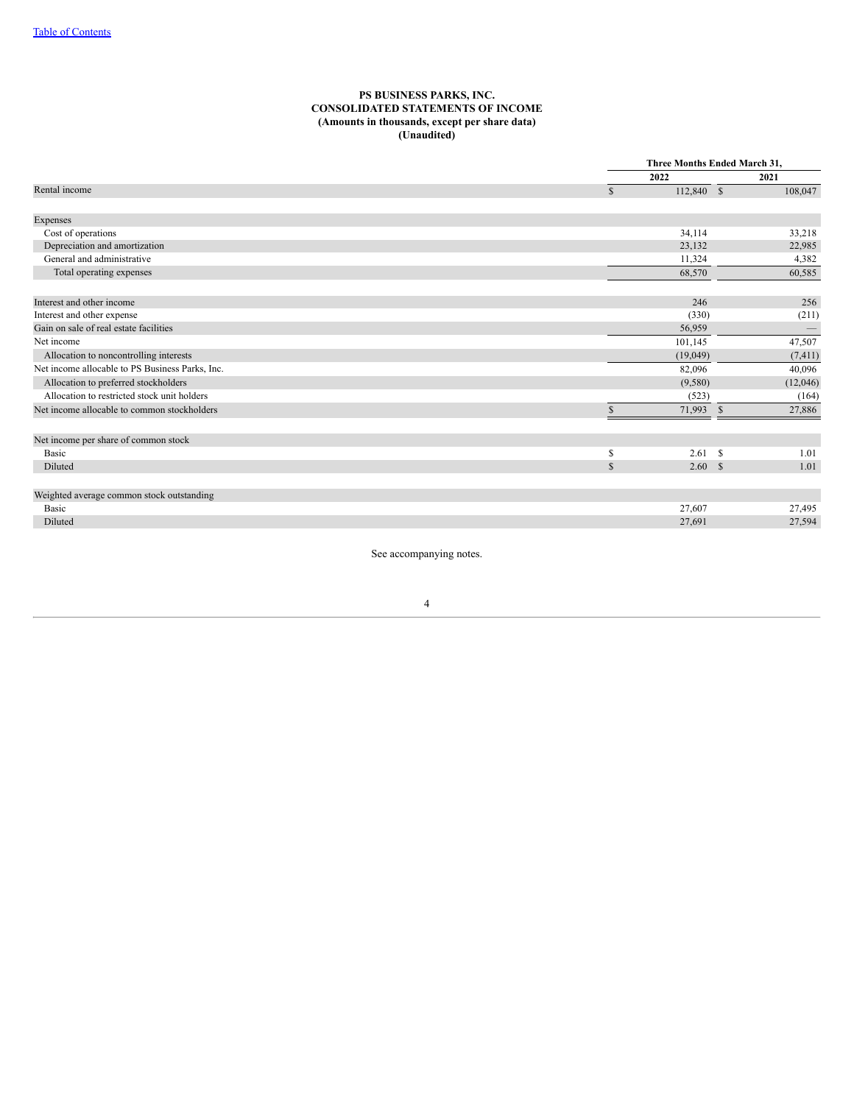## **PS BUSINESS PARKS, INC. CONSOLIDATED STATEMENTS OF INCOME (Amounts in thousands, except per share data) (Unaudited)**

|                                                 |               | Three Months Ended March 31, |          |  |  |  |  |  |
|-------------------------------------------------|---------------|------------------------------|----------|--|--|--|--|--|
|                                                 | 2022          |                              | 2021     |  |  |  |  |  |
| Rental income                                   | $\mathbb{S}$  | 112,840 \$                   | 108,047  |  |  |  |  |  |
|                                                 |               |                              |          |  |  |  |  |  |
| Expenses                                        |               |                              |          |  |  |  |  |  |
| Cost of operations                              | 34,114        |                              | 33,218   |  |  |  |  |  |
| Depreciation and amortization                   | 23,132        |                              | 22,985   |  |  |  |  |  |
| General and administrative                      | 11,324        |                              | 4,382    |  |  |  |  |  |
| Total operating expenses                        | 68,570        |                              | 60,585   |  |  |  |  |  |
| Interest and other income                       |               | 246                          | 256      |  |  |  |  |  |
| Interest and other expense                      |               | (330)                        | (211)    |  |  |  |  |  |
| Gain on sale of real estate facilities          | 56,959        |                              |          |  |  |  |  |  |
| Net income                                      | 101,145       |                              | 47,507   |  |  |  |  |  |
| Allocation to noncontrolling interests          | (19,049)      |                              | (7, 411) |  |  |  |  |  |
| Net income allocable to PS Business Parks, Inc. | 82,096        |                              | 40,096   |  |  |  |  |  |
| Allocation to preferred stockholders            |               | (9,580)                      | (12,046) |  |  |  |  |  |
| Allocation to restricted stock unit holders     |               | (523)                        | (164)    |  |  |  |  |  |
| Net income allocable to common stockholders     | 71,993<br>\$. | <sup>\$</sup>                | 27,886   |  |  |  |  |  |
| Net income per share of common stock            |               |                              |          |  |  |  |  |  |
| <b>Basic</b>                                    | \$            | 2.61S                        | 1.01     |  |  |  |  |  |
| Diluted                                         | \$            | 2.60 S                       | 1.01     |  |  |  |  |  |
|                                                 |               |                              |          |  |  |  |  |  |
| Weighted average common stock outstanding       |               |                              |          |  |  |  |  |  |
| <b>Basic</b>                                    | 27,607        |                              | 27,495   |  |  |  |  |  |
| Diluted                                         | 27,691        |                              | 27,594   |  |  |  |  |  |

<span id="page-3-0"></span>See accompanying notes.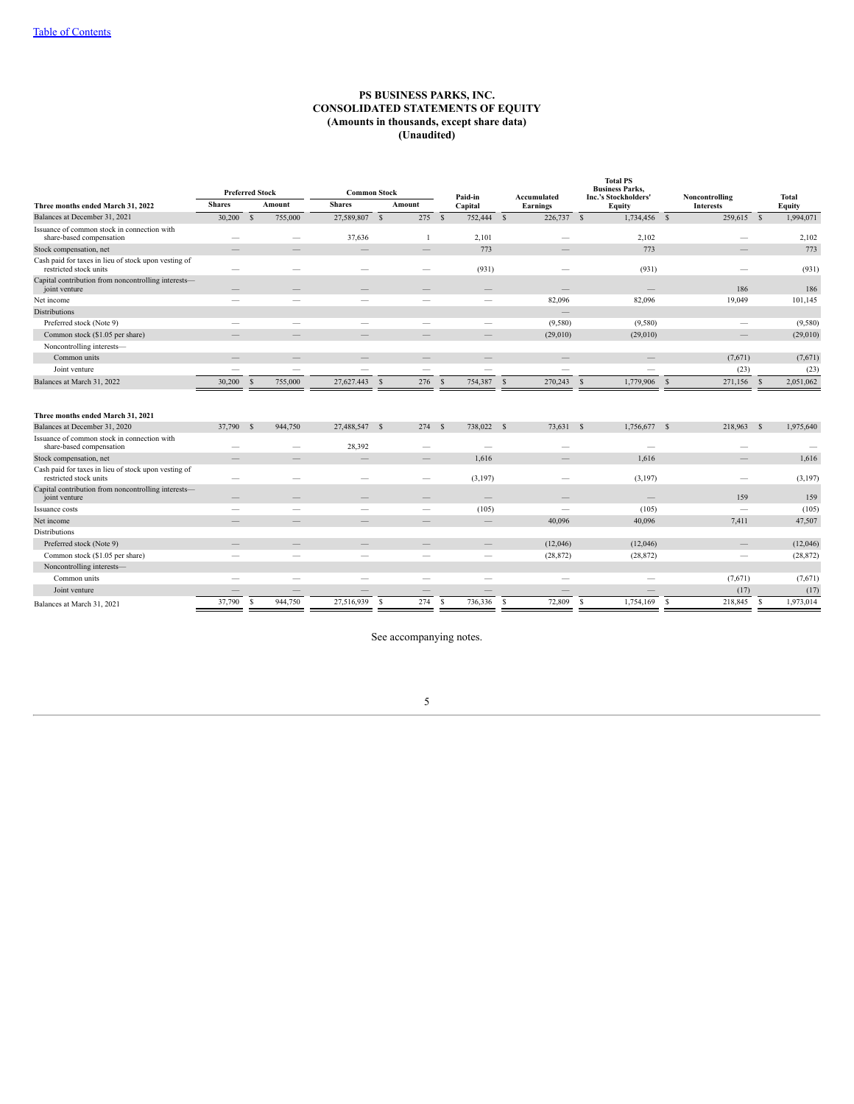# **PS BUSINESS PARKS, INC. CONSOLIDATED STATEMENTS OF EQUITY (Amounts in thousands, except share data) (Unaudited)**

|                                                                                | <b>Preferred Stock</b>   |               |         | <b>Common Stock</b>      |              |                          |             | Paid-in                  |              | Accumulated                     |              | <b>Total PS</b><br><b>Business Parks,</b><br><b>Inc.'s Stockholders'</b> |              | Noncontrolling           |              | Total         |
|--------------------------------------------------------------------------------|--------------------------|---------------|---------|--------------------------|--------------|--------------------------|-------------|--------------------------|--------------|---------------------------------|--------------|--------------------------------------------------------------------------|--------------|--------------------------|--------------|---------------|
| Three months ended March 31, 2022                                              | <b>Shares</b>            |               | Amount  | <b>Shares</b>            |              | Amount                   |             | Capital                  |              | <b>Earnings</b>                 |              | Equity                                                                   |              | <b>Interests</b>         |              | <b>Equity</b> |
| Balances at December 31, 2021                                                  | 30.200 S                 |               | 755,000 | 27.589.807 \$            |              | 275S                     |             | 752,444 \$               |              | 226,737 \$                      |              | 1,734,456 \$                                                             |              | 259.615 \$               |              | 1,994,071     |
| Issuance of common stock in connection with<br>share-based compensation        | -                        |               |         | 37,636                   |              | $\mathbf{1}$             |             | 2,101                    |              | $\overline{\phantom{a}}$        |              | 2,102                                                                    |              | $\overline{\phantom{0}}$ |              | 2,102         |
| Stock compensation, net                                                        |                          |               |         |                          |              |                          |             | 773                      |              |                                 |              | 773                                                                      |              |                          |              | 773           |
| Cash paid for taxes in lieu of stock upon vesting of<br>restricted stock units | -                        |               |         | $\overline{\phantom{0}}$ |              | $\overline{\phantom{m}}$ |             | (931)                    |              | $\overline{\phantom{a}}$        |              | (931)                                                                    |              | $\overline{\phantom{0}}$ |              | (931)         |
| Capital contribution from noncontrolling interests-<br>joint venture           |                          |               |         |                          |              |                          |             |                          |              |                                 |              |                                                                          |              | 186                      |              | 186           |
| Net income                                                                     |                          |               |         |                          |              | $\overline{\phantom{a}}$ |             | $\overline{\phantom{m}}$ |              | 82,096                          |              | 82,096                                                                   |              | 19,049                   |              | 101,145       |
| <b>Distributions</b>                                                           |                          |               |         |                          |              |                          |             |                          |              |                                 |              |                                                                          |              |                          |              |               |
| Preferred stock (Note 9)                                                       | $\overline{\phantom{0}}$ |               | -       | $\overline{\phantom{0}}$ |              | $\hspace{0.05cm}$        |             | $\overline{\phantom{m}}$ |              | (9,580)                         |              | (9,580)                                                                  |              | $\overline{\phantom{0}}$ |              | (9,580)       |
| Common stock (\$1.05 per share)                                                |                          |               |         |                          |              |                          |             |                          |              | (29,010)                        |              | (29,010)                                                                 |              |                          |              | (29,010)      |
| Noncontrolling interests-                                                      |                          |               |         |                          |              |                          |             |                          |              |                                 |              |                                                                          |              |                          |              |               |
| Common units                                                                   |                          |               |         |                          |              |                          |             |                          |              | $\hspace{0.1mm}-\hspace{0.1mm}$ |              |                                                                          |              | (7,671)                  |              | (7,671)       |
| Joint venture                                                                  | $\overline{\phantom{0}}$ |               | -       | $\overline{\phantom{0}}$ |              | $\hspace{0.05cm}$        |             | $\overline{\phantom{m}}$ |              | $\qquad \qquad \longleftarrow$  |              | $\overline{\phantom{0}}$                                                 |              | (23)                     |              | (23)          |
| Balances at March 31, 2022                                                     | 30,200                   | <sup>\$</sup> | 755,000 | 27,627.443               | $\mathbf{s}$ | 276                      | $\mathbf S$ | 754,387                  | $\mathbf{s}$ | 270,243                         | $\mathbf{s}$ | 1,779,906                                                                | $\mathbf S$  | 271,156 \$               |              | 2,051,062     |
| Three months ended March 31, 2021<br>Balances at December 31, 2020             | 37,790 \$                |               | 944,750 | 27.488.547 \$            |              | 274 S                    |             | 738,022 \$               |              | 73,631 \$                       |              | 1,756,677 \$                                                             |              | 218,963                  | <sub>S</sub> | 1,975,640     |
| Issuance of common stock in connection with<br>share-based compensation        |                          |               |         | 28,392                   |              |                          |             |                          |              |                                 |              |                                                                          |              | -                        |              |               |
| Stock compensation, net                                                        |                          |               |         | $\overline{\phantom{0}}$ |              | $\overline{\phantom{0}}$ |             | 1,616                    |              |                                 |              | 1,616                                                                    |              |                          |              | 1,616         |
| Cash paid for taxes in lieu of stock upon vesting of<br>restricted stock units |                          |               |         |                          |              |                          |             | (3,197)                  |              |                                 |              | (3,197)                                                                  |              | $\overline{\phantom{0}}$ |              | (3, 197)      |
| Capital contribution from noncontrolling interests-<br>joint venture           |                          |               |         |                          |              |                          |             | $\qquad \qquad$          |              |                                 |              | $\overline{\phantom{m}}$                                                 |              | 159                      |              | 159           |
| Issuance costs                                                                 | $\overline{\phantom{0}}$ |               | -       | $\overline{\phantom{0}}$ |              |                          |             | (105)                    |              | $\overline{\phantom{0}}$        |              | (105)                                                                    |              | $\overline{\phantom{0}}$ |              | (105)         |
| Net income                                                                     |                          |               |         |                          |              |                          |             | $\qquad \qquad -$        |              | 40,096                          |              | 40,096                                                                   |              | 7,411                    |              | 47,507        |
| <b>Distributions</b>                                                           |                          |               |         |                          |              |                          |             |                          |              |                                 |              |                                                                          |              |                          |              |               |
| Preferred stock (Note 9)                                                       |                          |               |         |                          |              |                          |             |                          |              | (12,046)                        |              | (12,046)                                                                 |              | $\overline{\phantom{0}}$ |              | (12,046)      |
| Common stock (\$1.05 per share)                                                |                          |               |         | —                        |              | $\overline{\phantom{m}}$ |             | —                        |              | (28, 872)                       |              | (28, 872)                                                                |              | $\overline{\phantom{0}}$ |              | (28, 872)     |
| Noncontrolling interests-                                                      |                          |               |         |                          |              |                          |             |                          |              |                                 |              |                                                                          |              |                          |              |               |
| Common units                                                                   |                          |               |         |                          |              | $\overline{\phantom{m}}$ |             | -                        |              |                                 |              |                                                                          |              | (7,671)                  |              | (7,671)       |
| Joint venture                                                                  |                          |               |         |                          |              |                          |             |                          |              |                                 |              |                                                                          |              | (17)                     |              | (17)          |
| Balances at March 31, 2021                                                     | 37,790                   | s             | 944,750 | 27,516,939               | S.           | 274                      | -S          | 736,336                  | -S           | 72,809                          | -S           | 1,754,169                                                                | <sup>S</sup> | 218,845 \$               |              | 1,973,014     |

<span id="page-4-0"></span>See accompanying notes.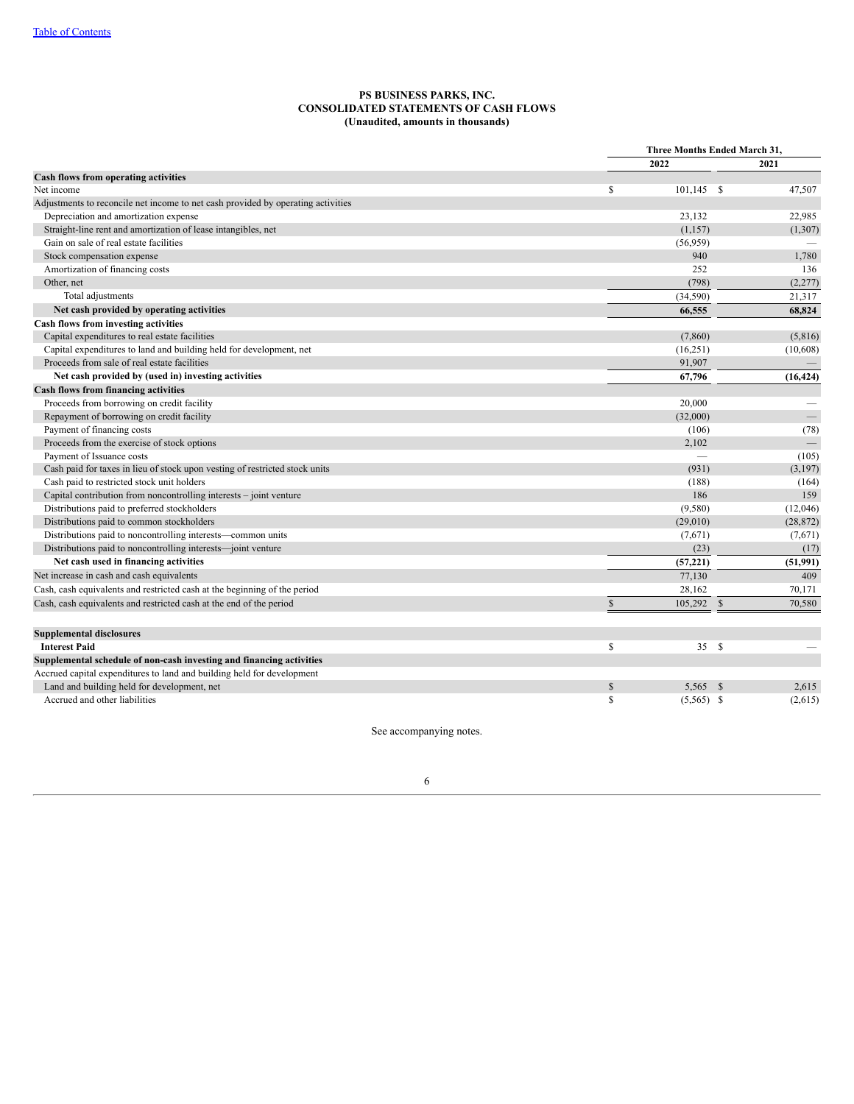# **PS BUSINESS PARKS, INC. CONSOLIDATED STATEMENTS OF CASH FLOWS (Unaudited, amounts in thousands)**

|                                                                                  |      | Three Months Ended March 31, |                          |  |  |
|----------------------------------------------------------------------------------|------|------------------------------|--------------------------|--|--|
|                                                                                  | 2022 |                              | 2021                     |  |  |
| Cash flows from operating activities                                             |      |                              |                          |  |  |
| Net income                                                                       | S    | $101,145$ \$                 | 47,507                   |  |  |
| Adjustments to reconcile net income to net cash provided by operating activities |      |                              |                          |  |  |
| Depreciation and amortization expense                                            |      | 23.132                       | 22,985                   |  |  |
| Straight-line rent and amortization of lease intangibles, net                    |      | (1, 157)                     | (1,307)                  |  |  |
| Gain on sale of real estate facilities                                           |      | (56, 959)                    |                          |  |  |
| Stock compensation expense                                                       |      | 940                          | 1,780                    |  |  |
| Amortization of financing costs                                                  |      | 252                          | 136                      |  |  |
| Other, net                                                                       |      | (798)                        | (2,277)                  |  |  |
| Total adjustments                                                                |      | (34, 590)                    | 21,317                   |  |  |
| Net cash provided by operating activities                                        |      | 66,555                       | 68,824                   |  |  |
| Cash flows from investing activities                                             |      |                              |                          |  |  |
| Capital expenditures to real estate facilities                                   |      | (7, 860)                     | (5,816)                  |  |  |
| Capital expenditures to land and building held for development, net              |      | (16,251)                     | (10,608)                 |  |  |
| Proceeds from sale of real estate facilities                                     |      | 91,907                       |                          |  |  |
| Net cash provided by (used in) investing activities                              |      | 67,796                       | (16, 424)                |  |  |
| <b>Cash flows from financing activities</b>                                      |      |                              |                          |  |  |
| Proceeds from borrowing on credit facility                                       |      | 20,000                       |                          |  |  |
| Repayment of borrowing on credit facility                                        |      | (32,000)                     | $\equiv$                 |  |  |
| Payment of financing costs                                                       |      | (106)                        | (78)                     |  |  |
| Proceeds from the exercise of stock options                                      |      | 2,102                        | $\overline{\phantom{m}}$ |  |  |
| Payment of Issuance costs                                                        |      |                              | (105)                    |  |  |
| Cash paid for taxes in lieu of stock upon vesting of restricted stock units      |      | (931)                        | (3, 197)                 |  |  |
| Cash paid to restricted stock unit holders                                       |      | (188)                        | (164)                    |  |  |
| Capital contribution from noncontrolling interests - joint venture               |      | 186                          | 159                      |  |  |
| Distributions paid to preferred stockholders                                     |      | (9,580)                      | (12,046)                 |  |  |
| Distributions paid to common stockholders                                        |      | (29,010)                     | (28, 872)                |  |  |
| Distributions paid to noncontrolling interests—common units                      |      | (7,671)                      | (7,671)                  |  |  |
| Distributions paid to noncontrolling interests—joint venture                     |      | (23)                         | (17)                     |  |  |
| Net cash used in financing activities                                            |      | (57, 221)                    | (51,991)                 |  |  |
| Net increase in cash and cash equivalents                                        |      | 77,130                       | 409                      |  |  |
| Cash, cash equivalents and restricted cash at the beginning of the period        |      | 28,162                       | 70,171                   |  |  |
| Cash, cash equivalents and restricted cash at the end of the period              | \$   | 105,292                      | <sup>\$</sup><br>70,580  |  |  |
| <b>Supplemental disclosures</b>                                                  |      |                              |                          |  |  |
| <b>Interest Paid</b>                                                             | \$   | 35S                          |                          |  |  |
| Supplemental schedule of non-cash investing and financing activities             |      |                              |                          |  |  |
| Accrued capital expenditures to land and building held for development           |      |                              |                          |  |  |
| Land and building held for development, net                                      | \$   | 5,565                        | 2,615<br>- S             |  |  |
| Accrued and other liabilities                                                    | \$   | $(5,565)$ \$                 | (2,615)                  |  |  |

# <span id="page-5-0"></span>See accompanying notes.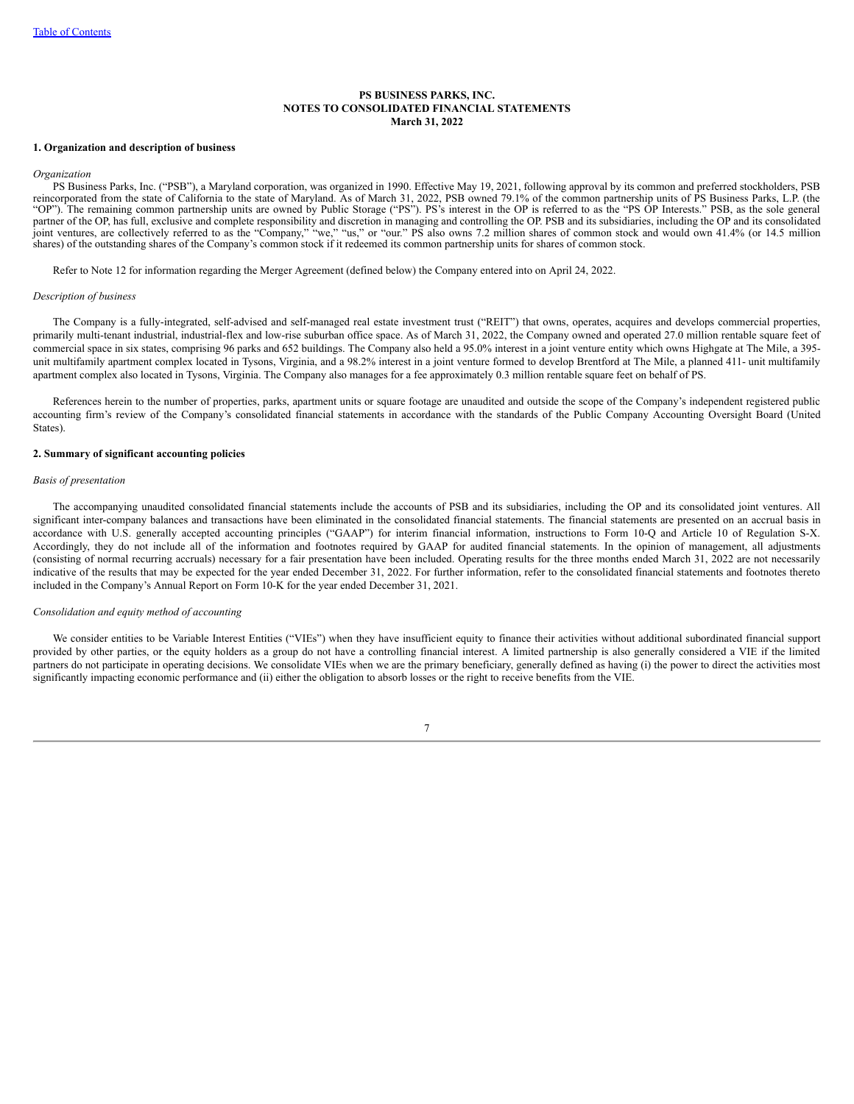# **PS BUSINESS PARKS, INC. NOTES TO CONSOLIDATED FINANCIAL STATEMENTS March 31, 2022**

#### **1. Organization and description of business**

# *Organization*

PS Business Parks, Inc. ("PSB"), a Maryland corporation, was organized in 1990. Effective May 19, 2021, following approval by its common and preferred stockholders, PSB reincorporated from the state of California to the state of Maryland. As of March 31, 2022, PSB owned 79.1% of the common partnership units of PS Business Parks, L.P. (the "OP"). The remaining common partnership units are owned by Public Storage ("PS"). PS's interest in the OP is referred to as the "PS OP Interests." PSB, as the sole general partner of the OP, has full, exclusive and complete responsibility and discretion in managing and controlling the OP. PSB and its subsidiaries, including the OP and its consolidated joint ventures, are collectively referred to as the "Company," "we," "us," or "our." PS also owns 7.2 million shares of common stock and would own 41.4% (or 14.5 million shares) of the outstanding shares of the Company's common stock if it redeemed its common partnership units for shares of common stock.

Refer to Note 12 for information regarding the Merger Agreement (defined below) the Company entered into on April 24, 2022.

#### *Description of business*

The Company is a fully-integrated, self-advised and self-managed real estate investment trust ("REIT") that owns, operates, acquires and develops commercial properties, primarily multi-tenant industrial, industrial-flex and low-rise suburban office space. As of March 31, 2022, the Company owned and operated 27.0 million rentable square feet of commercial space in six states, comprising 96 parks and 652 buildings. The Company also held a 95.0% interest in a joint venture entity which owns Highgate at The Mile, a 395 unit multifamily apartment complex located in Tysons, Virginia, and a 98.2% interest in a joint venture formed to develop Brentford at The Mile, a planned 411- unit multifamily apartment complex also located in Tysons, Virginia. The Company also manages for a fee approximately 0.3 million rentable square feet on behalf of PS.

References herein to the number of properties, parks, apartment units or square footage are unaudited and outside the scope of the Company's independent registered public accounting firm's review of the Company's consolidated financial statements in accordance with the standards of the Public Company Accounting Oversight Board (United States).

#### **2. Summary of significant accounting policies**

#### *Basis of presentation*

The accompanying unaudited consolidated financial statements include the accounts of PSB and its subsidiaries, including the OP and its consolidated joint ventures. All significant inter-company balances and transactions have been eliminated in the consolidated financial statements. The financial statements are presented on an accrual basis in accordance with U.S. generally accepted accounting principles ("GAAP") for interim financial information, instructions to Form 10-Q and Article 10 of Regulation S-X. Accordingly, they do not include all of the information and footnotes required by GAAP for audited financial statements. In the opinion of management, all adjustments (consisting of normal recurring accruals) necessary for a fair presentation have been included. Operating results for the three months ended March 31, 2022 are not necessarily indicative of the results that may be expected for the year ended December 31, 2022. For further information, refer to the consolidated financial statements and footnotes thereto included in the Company's Annual Report on Form 10-K for the year ended December 31, 2021.

## *Consolidation and equity method of accounting*

We consider entities to be Variable Interest Entities ("VIEs") when they have insufficient equity to finance their activities without additional subordinated financial support provided by other parties, or the equity holders as a group do not have a controlling financial interest. A limited partnership is also generally considered a VIE if the limited partners do not participate in operating decisions. We consolidate VIEs when we are the primary beneficiary, generally defined as having (i) the power to direct the activities most significantly impacting economic performance and (ii) either the obligation to absorb losses or the right to receive benefits from the VIE.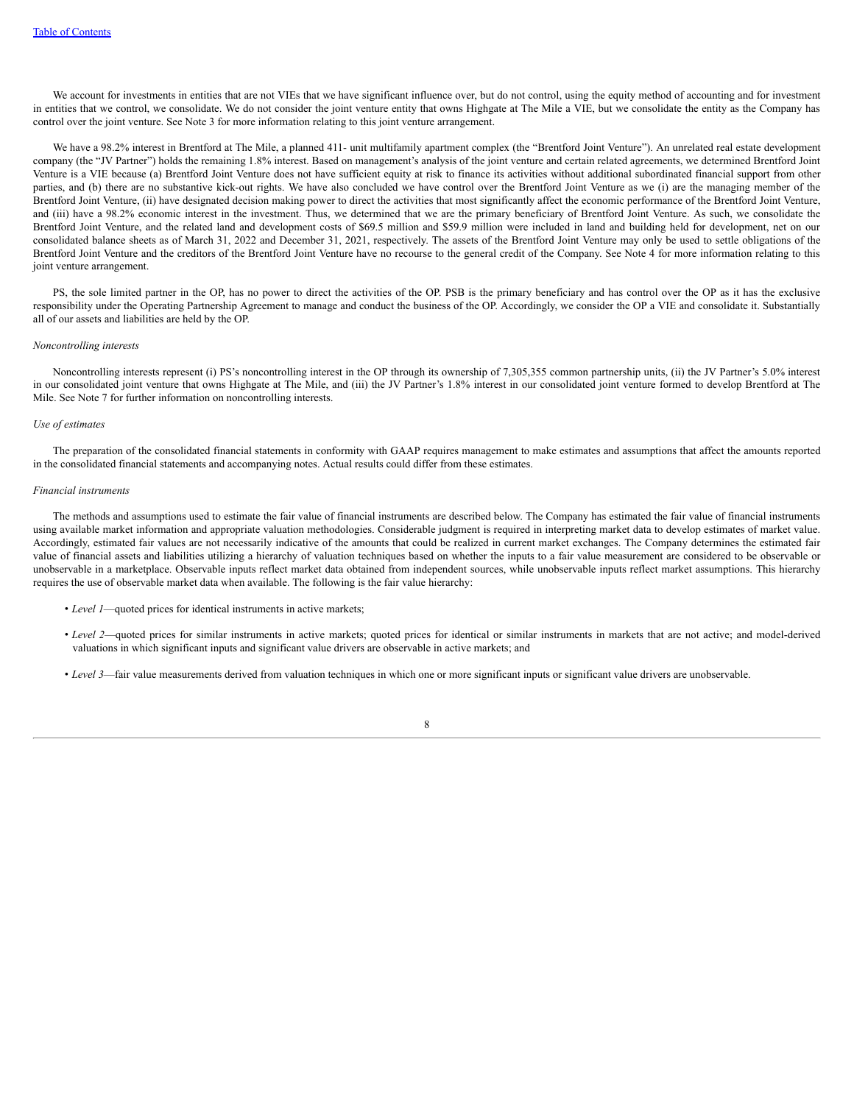We account for investments in entities that are not VIEs that we have significant influence over, but do not control, using the equity method of accounting and for investment in entities that we control, we consolidate. We do not consider the joint venture entity that owns Highgate at The Mile a VIE, but we consolidate the entity as the Company has control over the joint venture. See Note 3 for more information relating to this joint venture arrangement.

We have a 98.2% interest in Brentford at The Mile, a planned 411- unit multifamily apartment complex (the "Brentford Joint Venture"). An unrelated real estate development company (the "JV Partner") holds the remaining 1.8% interest. Based on management's analysis of the joint venture and certain related agreements, we determined Brentford Joint Venture is a VIE because (a) Brentford Joint Venture does not have sufficient equity at risk to finance its activities without additional subordinated financial support from other parties, and (b) there are no substantive kick-out rights. We have also concluded we have control over the Brentford Joint Venture as we (i) are the managing member of the Brentford Joint Venture, (ii) have designated decision making power to direct the activities that most significantly affect the economic performance of the Brentford Joint Venture, and (iii) have a 98.2% economic interest in the investment. Thus, we determined that we are the primary beneficiary of Brentford Joint Venture. As such, we consolidate the Brentford Joint Venture, and the related land and development costs of \$69.5 million and \$59.9 million were included in land and building held for development, net on our consolidated balance sheets as of March 31, 2022 and December 31, 2021, respectively. The assets of the Brentford Joint Venture may only be used to settle obligations of the Brentford Joint Venture and the creditors of the Brentford Joint Venture have no recourse to the general credit of the Company. See Note 4 for more information relating to this joint venture arrangement.

PS, the sole limited partner in the OP, has no power to direct the activities of the OP. PSB is the primary beneficiary and has control over the OP as it has the exclusive responsibility under the Operating Partnership Agreement to manage and conduct the business of the OP. Accordingly, we consider the OP a VIE and consolidate it. Substantially all of our assets and liabilities are held by the OP.

## *Noncontrolling interests*

Noncontrolling interests represent (i) PS's noncontrolling interest in the OP through its ownership of 7,305,355 common partnership units, (ii) the JV Partner's 5.0% interest in our consolidated joint venture that owns Highgate at The Mile, and (iii) the JV Partner's 1.8% interest in our consolidated joint venture formed to develop Brentford at The Mile. See Note 7 for further information on noncontrolling interests.

# *Use of estimates*

The preparation of the consolidated financial statements in conformity with GAAP requires management to make estimates and assumptions that affect the amounts reported in the consolidated financial statements and accompanying notes. Actual results could differ from these estimates.

## *Financial instruments*

The methods and assumptions used to estimate the fair value of financial instruments are described below. The Company has estimated the fair value of financial instruments using available market information and appropriate valuation methodologies. Considerable judgment is required in interpreting market data to develop estimates of market value. Accordingly, estimated fair values are not necessarily indicative of the amounts that could be realized in current market exchanges. The Company determines the estimated fair value of financial assets and liabilities utilizing a hierarchy of valuation techniques based on whether the inputs to a fair value measurement are considered to be observable or unobservable in a marketplace. Observable inputs reflect market data obtained from independent sources, while unobservable inputs reflect market assumptions. This hierarchy requires the use of observable market data when available. The following is the fair value hierarchy:

- *Level 1*—quoted prices for identical instruments in active markets;
- *Level 2*—quoted prices for similar instruments in active markets; quoted prices for identical or similar instruments in markets that are not active; and model-derived valuations in which significant inputs and significant value drivers are observable in active markets; and
- *Level 3*—fair value measurements derived from valuation techniques in which one or more significant inputs or significant value drivers are unobservable.

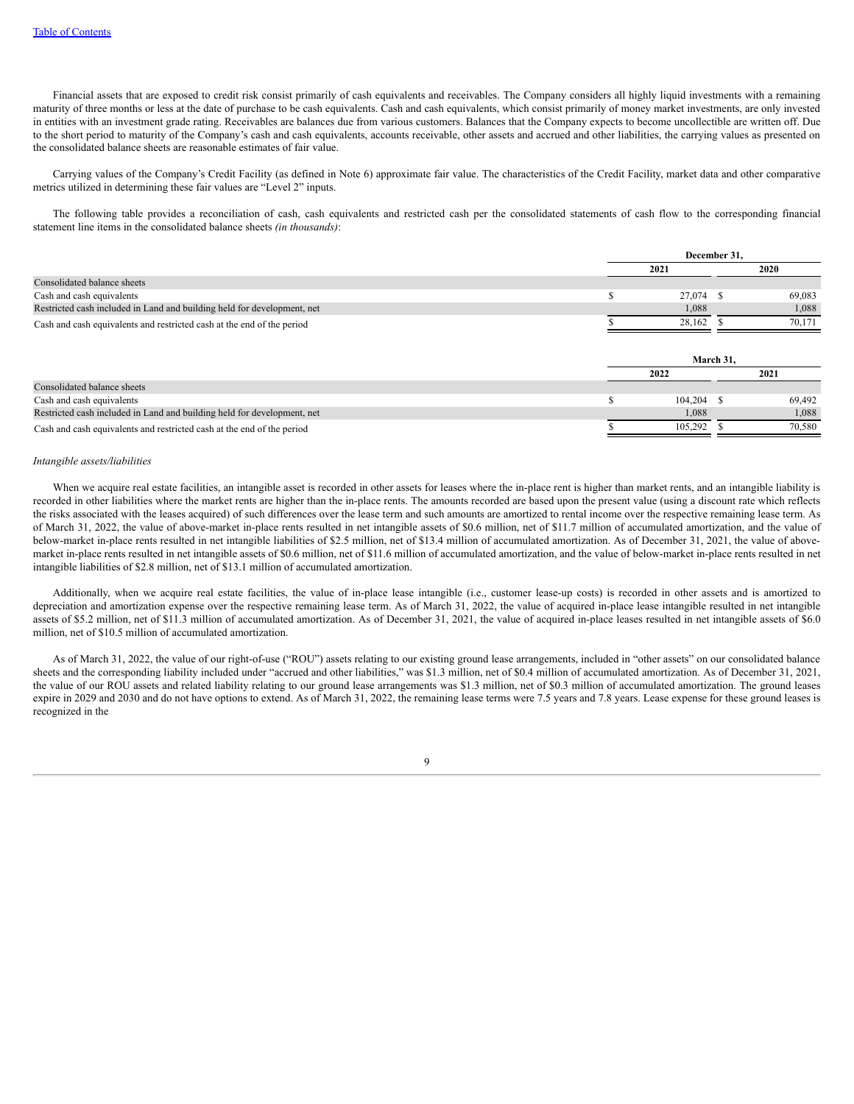Financial assets that are exposed to credit risk consist primarily of cash equivalents and receivables. The Company considers all highly liquid investments with a remaining maturity of three months or less at the date of purchase to be cash equivalents. Cash and cash equivalents, which consist primarily of money market investments, are only invested in entities with an investment grade rating. Receivables are balances due from various customers. Balances that the Company expects to become uncollectible are written off. Due to the short period to maturity of the Company's cash and cash equivalents, accounts receivable, other assets and accrued and other liabilities, the carrying values as presented on the consolidated balance sheets are reasonable estimates of fair value.

Carrying values of the Company's Credit Facility (as defined in Note 6) approximate fair value. The characteristics of the Credit Facility, market data and other comparative metrics utilized in determining these fair values are "Level 2" inputs.

The following table provides a reconciliation of cash, cash equivalents and restricted cash per the consolidated statements of cash flow to the corresponding financial statement line items in the consolidated balance sheets *(in thousands)*:

|                                                                         | December 31, |           |  |        |  |
|-------------------------------------------------------------------------|--------------|-----------|--|--------|--|
|                                                                         |              | 2021      |  | 2020   |  |
| Consolidated balance sheets                                             |              |           |  |        |  |
| Cash and cash equivalents                                               |              | 27.074 \$ |  | 69,083 |  |
| Restricted cash included in Land and building held for development, net |              | 1.088     |  | 1,088  |  |
| Cash and cash equivalents and restricted cash at the end of the period  |              | 28.162    |  | 70.171 |  |
|                                                                         |              |           |  |        |  |

|                                                                         | March 31. |  |        |  |  |
|-------------------------------------------------------------------------|-----------|--|--------|--|--|
|                                                                         | 2022      |  | 2021   |  |  |
| Consolidated balance sheets                                             |           |  |        |  |  |
| Cash and cash equivalents                                               | 104.204   |  | 69.492 |  |  |
| Restricted cash included in Land and building held for development, net | 1.088     |  | 1.088  |  |  |
| Cash and cash equivalents and restricted cash at the end of the period  | 105.292   |  | 70,580 |  |  |

#### *Intangible assets/liabilities*

When we acquire real estate facilities, an intangible asset is recorded in other assets for leases where the in-place rent is higher than market rents, and an intangible liability is recorded in other liabilities where the market rents are higher than the in-place rents. The amounts recorded are based upon the present value (using a discount rate which reflects the risks associated with the leases acquired) of such differences over the lease term and such amounts are amortized to rental income over the respective remaining lease term. As of March 31, 2022, the value of above-market in-place rents resulted in net intangible assets of \$0.6 million, net of \$11.7 million of accumulated amortization, and the value of below-market in-place rents resulted in net intangible liabilities of \$2.5 million, net of \$13.4 million of accumulated amortization. As of December 31, 2021, the value of abovemarket in-place rents resulted in net intangible assets of \$0.6 million, net of \$11.6 million of accumulated amortization, and the value of below-market in-place rents resulted in net intangible liabilities of \$2.8 million, net of \$13.1 million of accumulated amortization.

Additionally, when we acquire real estate facilities, the value of in-place lease intangible (i.e., customer lease-up costs) is recorded in other assets and is amortized to depreciation and amortization expense over the respective remaining lease term. As of March 31, 2022, the value of acquired in-place lease intangible resulted in net intangible assets of \$5.2 million, net of \$11.3 million of accumulated amortization. As of December 31, 2021, the value of acquired in-place leases resulted in net intangible assets of \$6.0 million, net of \$10.5 million of accumulated amortization.

As of March 31, 2022, the value of our right-of-use ("ROU") assets relating to our existing ground lease arrangements, included in "other assets" on our consolidated balance sheets and the corresponding liability included under "accrued and other liabilities," was \$1.3 million, net of \$0.4 million of accumulated amortization. As of December 31, 2021, the value of our ROU assets and related liability relating to our ground lease arrangements was \$1.3 million, net of \$0.3 million of accumulated amortization. The ground leases expire in 2029 and 2030 and do not have options to extend. As of March 31, 2022, the remaining lease terms were 7.5 years and 7.8 years. Lease expense for these ground leases is recognized in the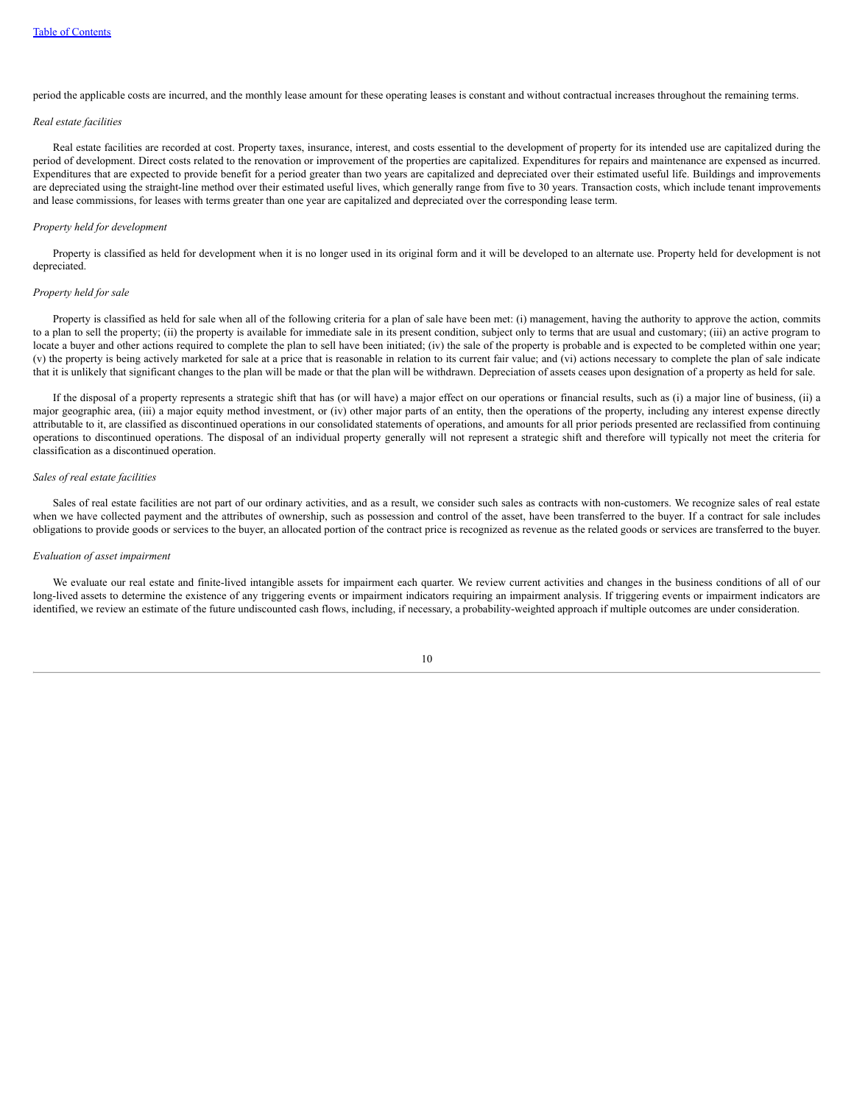period the applicable costs are incurred, and the monthly lease amount for these operating leases is constant and without contractual increases throughout the remaining terms.

# *Real estate facilities*

Real estate facilities are recorded at cost. Property taxes, insurance, interest, and costs essential to the development of property for its intended use are capitalized during the period of development. Direct costs related to the renovation or improvement of the properties are capitalized. Expenditures for repairs and maintenance are expensed as incurred. Expenditures that are expected to provide benefit for a period greater than two years are capitalized and depreciated over their estimated useful life. Buildings and improvements are depreciated using the straight-line method over their estimated useful lives, which generally range from five to 30 years. Transaction costs, which include tenant improvements and lease commissions, for leases with terms greater than one year are capitalized and depreciated over the corresponding lease term.

## *Property held for development*

Property is classified as held for development when it is no longer used in its original form and it will be developed to an alternate use. Property held for development is not depreciated.

#### *Property held for sale*

Property is classified as held for sale when all of the following criteria for a plan of sale have been met: (i) management, having the authority to approve the action, commits to a plan to sell the property; (ii) the property is available for immediate sale in its present condition, subject only to terms that are usual and customary; (iii) an active program to locate a buyer and other actions required to complete the plan to sell have been initiated; (iv) the sale of the property is probable and is expected to be completed within one year; (v) the property is being actively marketed for sale at a price that is reasonable in relation to its current fair value; and (vi) actions necessary to complete the plan of sale indicate that it is unlikely that significant changes to the plan will be made or that the plan will be withdrawn. Depreciation of assets ceases upon designation of a property as held for sale.

If the disposal of a property represents a strategic shift that has (or will have) a major effect on our operations or financial results, such as (i) a major line of business, (ii) a major geographic area, (iii) a major equity method investment, or (iv) other major parts of an entity, then the operations of the property, including any interest expense directly attributable to it, are classified as discontinued operations in our consolidated statements of operations, and amounts for all prior periods presented are reclassified from continuing operations to discontinued operations. The disposal of an individual property generally will not represent a strategic shift and therefore will typically not meet the criteria for classification as a discontinued operation.

#### *Sales of real estate facilities*

Sales of real estate facilities are not part of our ordinary activities, and as a result, we consider such sales as contracts with non-customers. We recognize sales of real estate when we have collected payment and the attributes of ownership, such as possession and control of the asset, have been transferred to the buyer. If a contract for sale includes obligations to provide goods or services to the buyer, an allocated portion of the contract price is recognized as revenue as the related goods or services are transferred to the buyer.

#### *Evaluation of asset impairment*

We evaluate our real estate and finite-lived intangible assets for impairment each quarter. We review current activities and changes in the business conditions of all of our long-lived assets to determine the existence of any triggering events or impairment indicators requiring an impairment analysis. If triggering events or impairment indicators are identified, we review an estimate of the future undiscounted cash flows, including, if necessary, a probability-weighted approach if multiple outcomes are under consideration.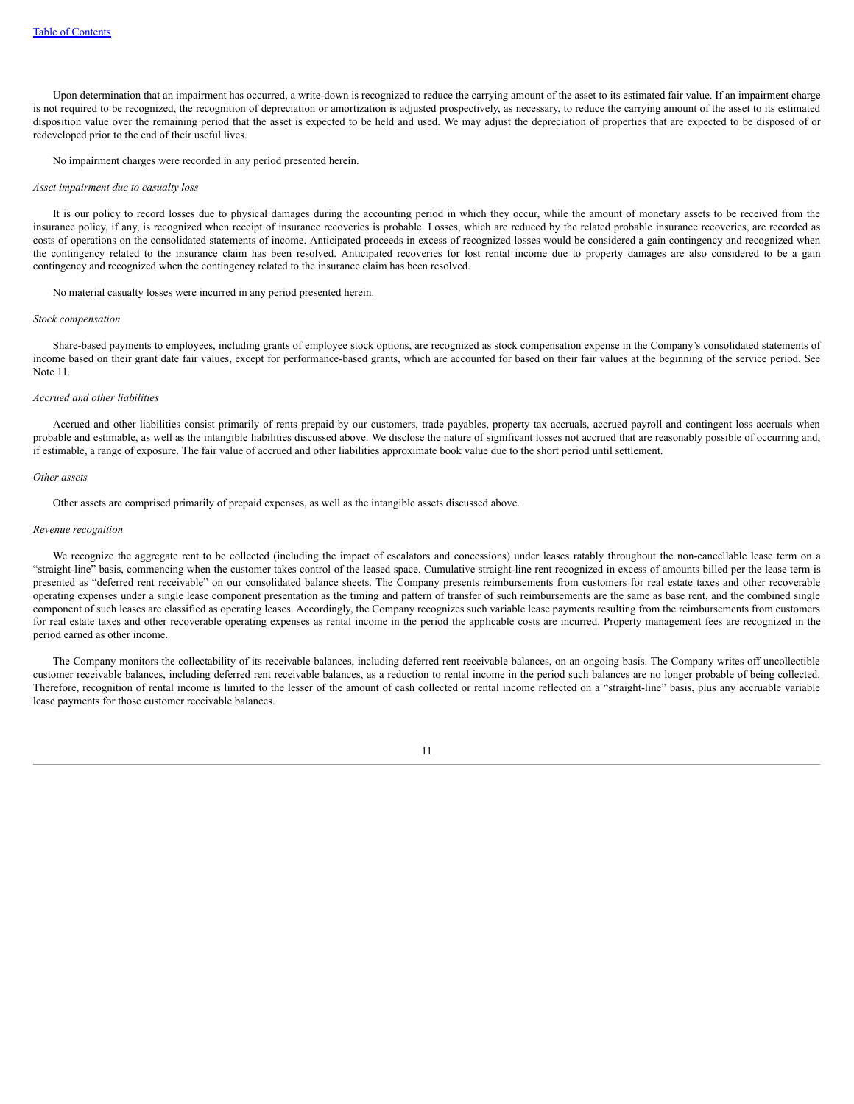Upon determination that an impairment has occurred, a write-down is recognized to reduce the carrying amount of the asset to its estimated fair value. If an impairment charge is not required to be recognized, the recognition of depreciation or amortization is adjusted prospectively, as necessary, to reduce the carrying amount of the asset to its estimated disposition value over the remaining period that the asset is expected to be held and used. We may adjust the depreciation of properties that are expected to be disposed of or redeveloped prior to the end of their useful lives.

No impairment charges were recorded in any period presented herein.

#### *Asset impairment due to casualty loss*

It is our policy to record losses due to physical damages during the accounting period in which they occur, while the amount of monetary assets to be received from the insurance policy, if any, is recognized when receipt of insurance recoveries is probable. Losses, which are reduced by the related probable insurance recoveries, are recorded as costs of operations on the consolidated statements of income. Anticipated proceeds in excess of recognized losses would be considered a gain contingency and recognized when the contingency related to the insurance claim has been resolved. Anticipated recoveries for lost rental income due to property damages are also considered to be a gain contingency and recognized when the contingency related to the insurance claim has been resolved.

No material casualty losses were incurred in any period presented herein.

## *Stock compensation*

Share-based payments to employees, including grants of employee stock options, are recognized as stock compensation expense in the Company's consolidated statements of income based on their grant date fair values, except for performance-based grants, which are accounted for based on their fair values at the beginning of the service period. See Note 11.

#### *Accrued and other liabilities*

Accrued and other liabilities consist primarily of rents prepaid by our customers, trade payables, property tax accruals, accrued payroll and contingent loss accruals when probable and estimable, as well as the intangible liabilities discussed above. We disclose the nature of significant losses not accrued that are reasonably possible of occurring and, if estimable, a range of exposure. The fair value of accrued and other liabilities approximate book value due to the short period until settlement.

#### *Other assets*

Other assets are comprised primarily of prepaid expenses, as well as the intangible assets discussed above.

#### *Revenue recognition*

We recognize the aggregate rent to be collected (including the impact of escalators and concessions) under leases ratably throughout the non-cancellable lease term on a "straight-line" basis, commencing when the customer takes control of the leased space. Cumulative straight-line rent recognized in excess of amounts billed per the lease term is presented as "deferred rent receivable" on our consolidated balance sheets. The Company presents reimbursements from customers for real estate taxes and other recoverable operating expenses under a single lease component presentation as the timing and pattern of transfer of such reimbursements are the same as base rent, and the combined single component of such leases are classified as operating leases. Accordingly, the Company recognizes such variable lease payments resulting from the reimbursements from customers for real estate taxes and other recoverable operating expenses as rental income in the period the applicable costs are incurred. Property management fees are recognized in the period earned as other income.

The Company monitors the collectability of its receivable balances, including deferred rent receivable balances, on an ongoing basis. The Company writes off uncollectible customer receivable balances, including deferred rent receivable balances, as a reduction to rental income in the period such balances are no longer probable of being collected. Therefore, recognition of rental income is limited to the lesser of the amount of cash collected or rental income reflected on a "straight-line" basis, plus any accruable variable lease payments for those customer receivable balances.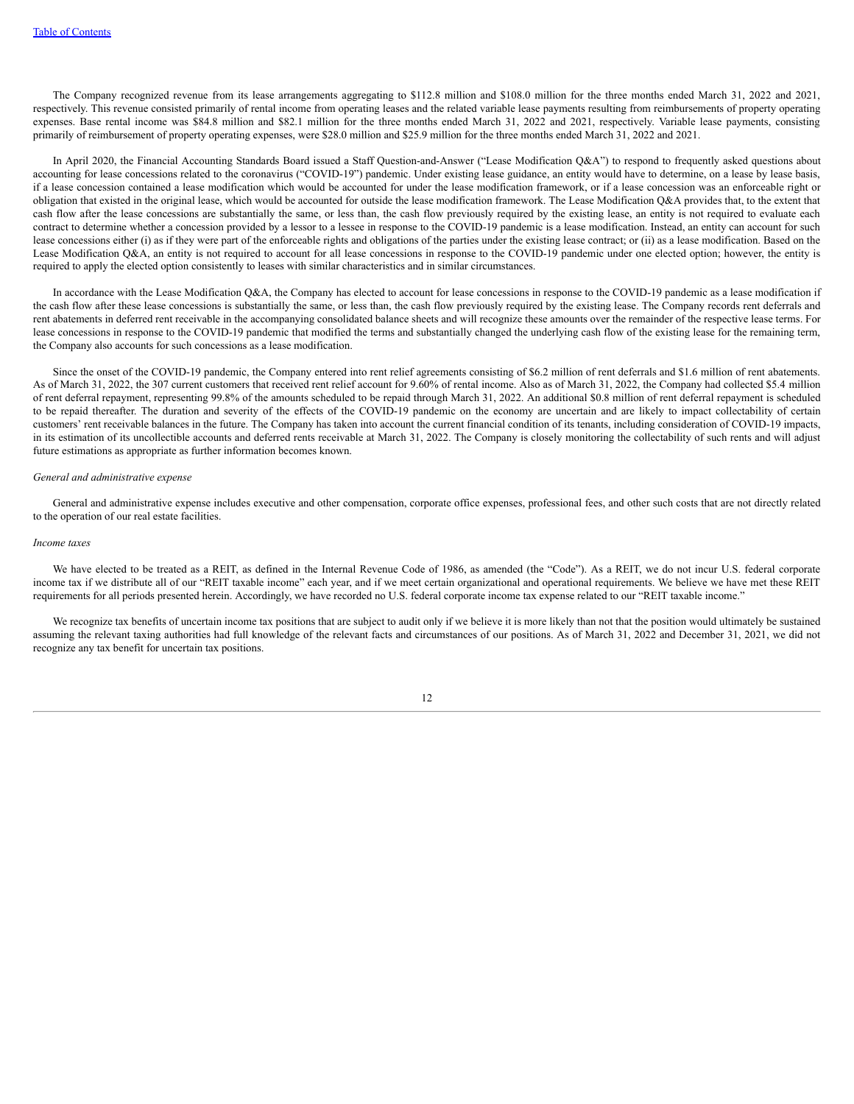The Company recognized revenue from its lease arrangements aggregating to \$112.8 million and \$108.0 million for the three months ended March 31, 2022 and 2021, respectively. This revenue consisted primarily of rental income from operating leases and the related variable lease payments resulting from reimbursements of property operating expenses. Base rental income was \$84.8 million and \$82.1 million for the three months ended March 31, 2022 and 2021, respectively. Variable lease payments, consisting primarily of reimbursement of property operating expenses, were \$28.0 million and \$25.9 million for the three months ended March 31, 2022 and 2021.

In April 2020, the Financial Accounting Standards Board issued a Staff Question-and-Answer ("Lease Modification Q&A") to respond to frequently asked questions about accounting for lease concessions related to the coronavirus ("COVID-19") pandemic. Under existing lease guidance, an entity would have to determine, on a lease by lease basis, if a lease concession contained a lease modification which would be accounted for under the lease modification framework, or if a lease concession was an enforceable right or obligation that existed in the original lease, which would be accounted for outside the lease modification framework. The Lease Modification Q&A provides that, to the extent that cash flow after the lease concessions are substantially the same, or less than, the cash flow previously required by the existing lease, an entity is not required to evaluate each contract to determine whether a concession provided by a lessor to a lessee in response to the COVID-19 pandemic is a lease modification. Instead, an entity can account for such lease concessions either (i) as if they were part of the enforceable rights and obligations of the parties under the existing lease contract; or (ii) as a lease modification. Based on the Lease Modification Q&A, an entity is not required to account for all lease concessions in response to the COVID-19 pandemic under one elected option; however, the entity is required to apply the elected option consistently to leases with similar characteristics and in similar circumstances.

In accordance with the Lease Modification Q&A, the Company has elected to account for lease concessions in response to the COVID-19 pandemic as a lease modification if the cash flow after these lease concessions is substantially the same, or less than, the cash flow previously required by the existing lease. The Company records rent deferrals and rent abatements in deferred rent receivable in the accompanying consolidated balance sheets and will recognize these amounts over the remainder of the respective lease terms. For lease concessions in response to the COVID-19 pandemic that modified the terms and substantially changed the underlying cash flow of the existing lease for the remaining term, the Company also accounts for such concessions as a lease modification.

Since the onset of the COVID-19 pandemic, the Company entered into rent relief agreements consisting of \$6.2 million of rent deferrals and \$1.6 million of rent abatements. As of March 31, 2022, the 307 current customers that received rent relief account for 9.60% of rental income. Also as of March 31, 2022, the Company had collected \$5.4 million of rent deferral repayment, representing 99.8% of the amounts scheduled to be repaid through March 31, 2022. An additional \$0.8 million of rent deferral repayment is scheduled to be repaid thereafter. The duration and severity of the effects of the COVID-19 pandemic on the economy are uncertain and are likely to impact collectability of certain customers' rent receivable balances in the future. The Company has taken into account the current financial condition of its tenants, including consideration of COVID-19 impacts, in its estimation of its uncollectible accounts and deferred rents receivable at March 31, 2022. The Company is closely monitoring the collectability of such rents and will adjust future estimations as appropriate as further information becomes known.

#### *General and administrative expense*

General and administrative expense includes executive and other compensation, corporate office expenses, professional fees, and other such costs that are not directly related to the operation of our real estate facilities.

#### *Income taxes*

We have elected to be treated as a REIT, as defined in the Internal Revenue Code of 1986, as amended (the "Code"). As a REIT, we do not incur U.S. federal corporate income tax if we distribute all of our "REIT taxable income" each year, and if we meet certain organizational and operational requirements. We believe we have met these REIT requirements for all periods presented herein. Accordingly, we have recorded no U.S. federal corporate income tax expense related to our "REIT taxable income."

We recognize tax benefits of uncertain income tax positions that are subject to audit only if we believe it is more likely than not that the position would ultimately be sustained assuming the relevant taxing authorities had full knowledge of the relevant facts and circumstances of our positions. As of March 31, 2022 and December 31, 2021, we did not recognize any tax benefit for uncertain tax positions.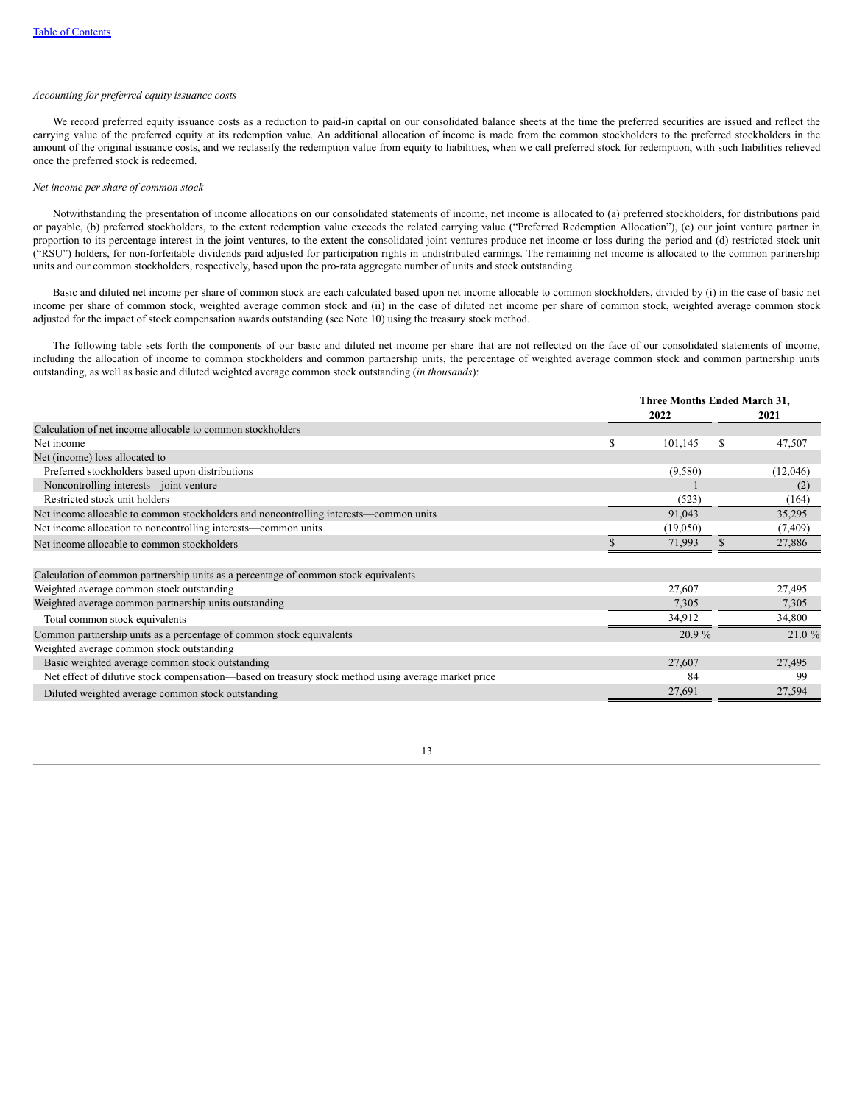# *Accounting for preferred equity issuance costs*

We record preferred equity issuance costs as a reduction to paid-in capital on our consolidated balance sheets at the time the preferred securities are issued and reflect the carrying value of the preferred equity at its redemption value. An additional allocation of income is made from the common stockholders to the preferred stockholders in the amount of the original issuance costs, and we reclassify the redemption value from equity to liabilities, when we call preferred stock for redemption, with such liabilities relieved once the preferred stock is redeemed.

#### *Net income per share of common stock*

Notwithstanding the presentation of income allocations on our consolidated statements of income, net income is allocated to (a) preferred stockholders, for distributions paid or payable, (b) preferred stockholders, to the extent redemption value exceeds the related carrying value ("Preferred Redemption Allocation"), (c) our joint venture partner in proportion to its percentage interest in the joint ventures, to the extent the consolidated joint ventures produce net income or loss during the period and (d) restricted stock unit ("RSU") holders, for non-forfeitable dividends paid adjusted for participation rights in undistributed earnings. The remaining net income is allocated to the common partnership units and our common stockholders, respectively, based upon the pro-rata aggregate number of units and stock outstanding.

Basic and diluted net income per share of common stock are each calculated based upon net income allocable to common stockholders, divided by (i) in the case of basic net income per share of common stock, weighted average common stock and (ii) in the case of diluted net income per share of common stock, weighted average common stock adjusted for the impact of stock compensation awards outstanding (see Note 10) using the treasury stock method.

The following table sets forth the components of our basic and diluted net income per share that are not reflected on the face of our consolidated statements of income, including the allocation of income to common stockholders and common partnership units, the percentage of weighted average common stock and common partnership units outstanding, as well as basic and diluted weighted average common stock outstanding (*in thousands*):

|                                                                                                     |      | Three Months Ended March 31, |   |          |  |
|-----------------------------------------------------------------------------------------------------|------|------------------------------|---|----------|--|
|                                                                                                     | 2022 |                              |   | 2021     |  |
| Calculation of net income allocable to common stockholders                                          |      |                              |   |          |  |
| Net income                                                                                          | -S   | 101,145                      | S | 47,507   |  |
| Net (income) loss allocated to                                                                      |      |                              |   |          |  |
| Preferred stockholders based upon distributions                                                     |      | (9,580)                      |   | (12,046) |  |
| Noncontrolling interests—joint venture                                                              |      |                              |   | (2)      |  |
| Restricted stock unit holders                                                                       |      | (523)                        |   | (164)    |  |
| Net income allocable to common stockholders and noncontrolling interests—common units               |      | 91,043                       |   | 35,295   |  |
| Net income allocation to noncontrolling interests—common units                                      |      | (19,050)                     |   | (7, 409) |  |
| Net income allocable to common stockholders                                                         |      | 71,993                       |   | 27,886   |  |
| Calculation of common partnership units as a percentage of common stock equivalents                 |      |                              |   |          |  |
| Weighted average common stock outstanding                                                           |      | 27,607                       |   | 27,495   |  |
| Weighted average common partnership units outstanding                                               |      | 7,305                        |   | 7,305    |  |
| Total common stock equivalents                                                                      |      | 34,912                       |   | 34,800   |  |
| Common partnership units as a percentage of common stock equivalents                                |      | 20.9%                        |   | 21.0%    |  |
| Weighted average common stock outstanding                                                           |      |                              |   |          |  |
| Basic weighted average common stock outstanding                                                     |      | 27,607                       |   | 27,495   |  |
| Net effect of dilutive stock compensation—based on treasury stock method using average market price |      | 84                           |   | 99       |  |
| Diluted weighted average common stock outstanding                                                   |      | 27,691                       |   | 27,594   |  |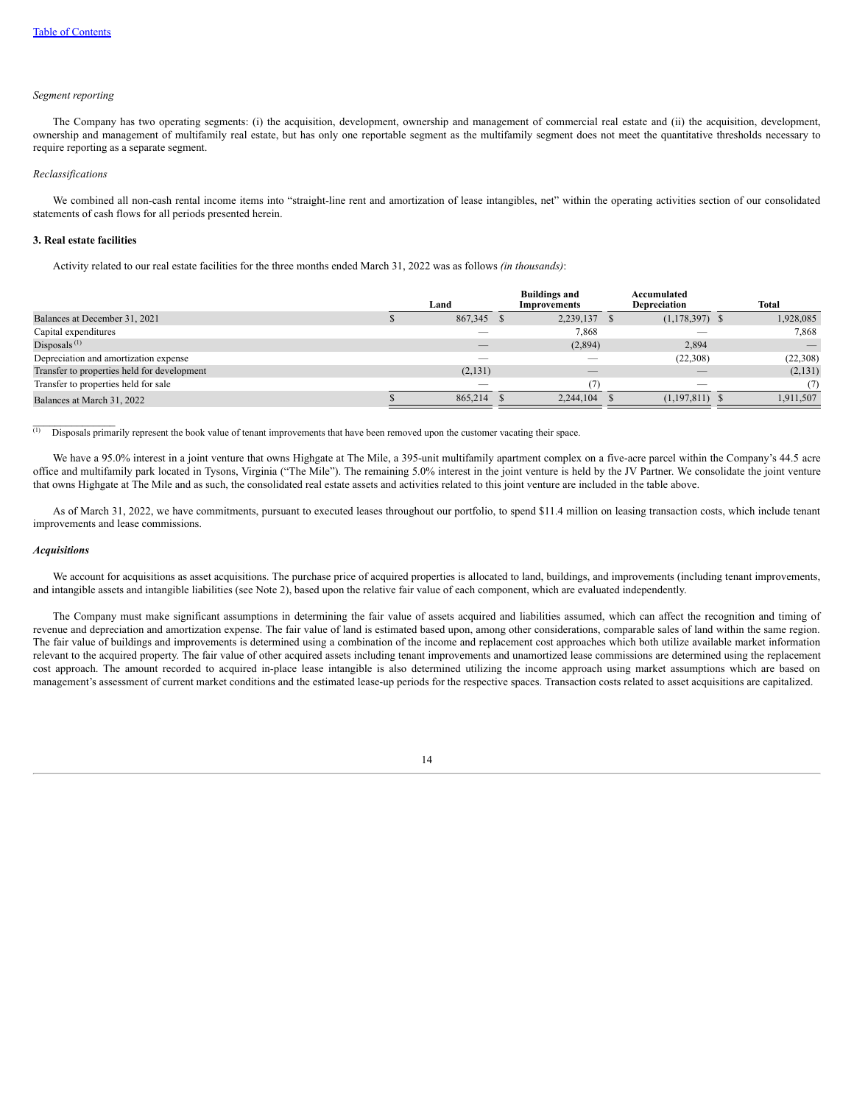#### *Segment reporting*

The Company has two operating segments: (i) the acquisition, development, ownership and management of commercial real estate and (ii) the acquisition, development, ownership and management of multifamily real estate, but has only one reportable segment as the multifamily segment does not meet the quantitative thresholds necessary to require reporting as a separate segment.

## *Reclassifications*

We combined all non-cash rental income items into "straight-line rent and amortization of lease intangibles, net" within the operating activities section of our consolidated statements of cash flows for all periods presented herein.

#### **3. Real estate facilities**

Activity related to our real estate facilities for the three months ended March 31, 2022 was as follows *(in thousands)*:

|                                             | Land       | <b>Buildings and</b><br>Improvements | Accumulated<br>Depreciation | Total     |
|---------------------------------------------|------------|--------------------------------------|-----------------------------|-----------|
| Balances at December 31, 2021               | 867,345 \$ | 2,239,137                            | $(1,178,397)$ \$            | 1,928,085 |
| Capital expenditures                        |            | 7,868                                | –                           | 7,868     |
| Disposals $(1)$                             |            | (2,894)                              | 2,894                       |           |
| Depreciation and amortization expense       |            |                                      | (22,308)                    | (22,308)  |
| Transfer to properties held for development | (2,131)    | $\overbrace{\qquad \qquad }^{}$      |                             | (2,131)   |
| Transfer to properties held for sale        |            |                                      | __                          | (7)       |
| Balances at March 31, 2022                  | 865,214    | 2,244,104                            | $(1,197,811)$ \$            | 1,911,507 |

Disposals primarily represent the book value of tenant improvements that have been removed upon the customer vacating their space.  $\overline{(1)}$ 

We have a 95.0% interest in a joint venture that owns Highgate at The Mile, a 395-unit multifamily apartment complex on a five-acre parcel within the Company's 44.5 acre office and multifamily park located in Tysons, Virginia ("The Mile"). The remaining 5.0% interest in the joint venture is held by the JV Partner. We consolidate the joint venture that owns Highgate at The Mile and as such, the consolidated real estate assets and activities related to this joint venture are included in the table above.

As of March 31, 2022, we have commitments, pursuant to executed leases throughout our portfolio, to spend \$11.4 million on leasing transaction costs, which include tenant improvements and lease commissions.

#### *Acquisitions*

 $\mathcal{L}_\text{max}$  and  $\mathcal{L}_\text{max}$ 

We account for acquisitions as asset acquisitions. The purchase price of acquired properties is allocated to land, buildings, and improvements (including tenant improvements, and intangible assets and intangible liabilities (see Note 2), based upon the relative fair value of each component, which are evaluated independently.

The Company must make significant assumptions in determining the fair value of assets acquired and liabilities assumed, which can affect the recognition and timing of revenue and depreciation and amortization expense. The fair value of land is estimated based upon, among other considerations, comparable sales of land within the same region. The fair value of buildings and improvements is determined using a combination of the income and replacement cost approaches which both utilize available market information relevant to the acquired property. The fair value of other acquired assets including tenant improvements and unamortized lease commissions are determined using the replacement cost approach. The amount recorded to acquired in-place lease intangible is also determined utilizing the income approach using market assumptions which are based on management's assessment of current market conditions and the estimated lease-up periods for the respective spaces. Transaction costs related to asset acquisitions are capitalized.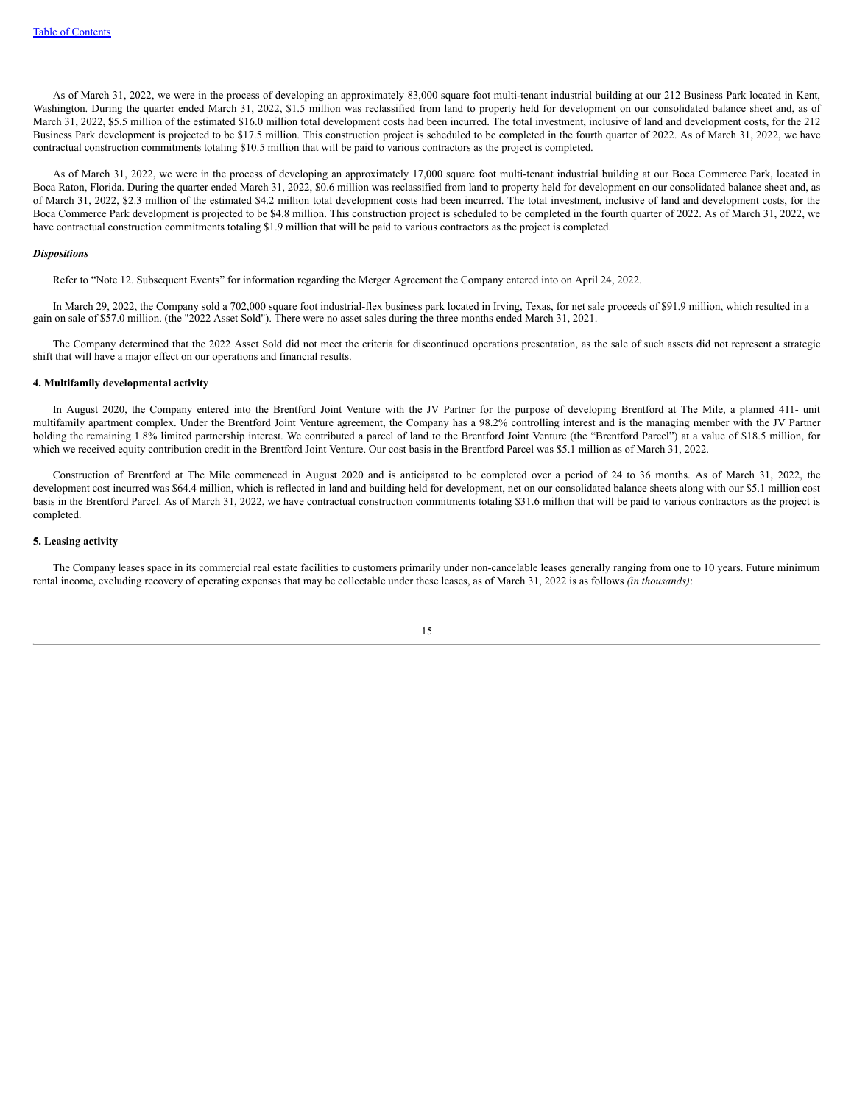As of March 31, 2022, we were in the process of developing an approximately 83,000 square foot multi-tenant industrial building at our 212 Business Park located in Kent, Washington. During the quarter ended March 31, 2022, \$1.5 million was reclassified from land to property held for development on our consolidated balance sheet and, as of March 31, 2022, \$5.5 million of the estimated \$16.0 million total development costs had been incurred. The total investment, inclusive of land and development costs, for the 212 Business Park development is projected to be \$17.5 million. This construction project is scheduled to be completed in the fourth quarter of 2022. As of March 31, 2022, we have contractual construction commitments totaling \$10.5 million that will be paid to various contractors as the project is completed.

As of March 31, 2022, we were in the process of developing an approximately 17,000 square foot multi-tenant industrial building at our Boca Commerce Park, located in Boca Raton, Florida. During the quarter ended March 31, 2022, \$0.6 million was reclassified from land to property held for development on our consolidated balance sheet and, as of March 31, 2022, \$2.3 million of the estimated \$4.2 million total development costs had been incurred. The total investment, inclusive of land and development costs, for the Boca Commerce Park development is projected to be \$4.8 million. This construction project is scheduled to be completed in the fourth quarter of 2022. As of March 31, 2022, we have contractual construction commitments totaling \$1.9 million that will be paid to various contractors as the project is completed.

#### *Dispositions*

Refer to "Note 12. Subsequent Events" for information regarding the Merger Agreement the Company entered into on April 24, 2022.

In March 29, 2022, the Company sold a 702,000 square foot industrial-flex business park located in Irving, Texas, for net sale proceeds of \$91.9 million, which resulted in a gain on sale of \$57.0 million. (the "2022 Asset Sold"). There were no asset sales during the three months ended March 31, 2021.

The Company determined that the 2022 Asset Sold did not meet the criteria for discontinued operations presentation, as the sale of such assets did not represent a strategic shift that will have a major effect on our operations and financial results.

# **4. Multifamily developmental activity**

In August 2020, the Company entered into the Brentford Joint Venture with the JV Partner for the purpose of developing Brentford at The Mile, a planned 411- unit multifamily apartment complex. Under the Brentford Joint Venture agreement, the Company has a 98.2% controlling interest and is the managing member with the JV Partner holding the remaining 1.8% limited partnership interest. We contributed a parcel of land to the Brentford Joint Venture (the "Brentford Parcel") at a value of \$18.5 million, for which we received equity contribution credit in the Brentford Joint Venture. Our cost basis in the Brentford Parcel was \$5.1 million as of March 31, 2022.

Construction of Brentford at The Mile commenced in August 2020 and is anticipated to be completed over a period of 24 to 36 months. As of March 31, 2022, the development cost incurred was \$64.4 million, which is reflected in land and building held for development, net on our consolidated balance sheets along with our \$5.1 million cost basis in the Brentford Parcel. As of March 31, 2022, we have contractual construction commitments totaling \$31.6 million that will be paid to various contractors as the project is completed.

# **5. Leasing activity**

The Company leases space in its commercial real estate facilities to customers primarily under non-cancelable leases generally ranging from one to 10 years. Future minimum rental income, excluding recovery of operating expenses that may be collectable under these leases, as of March 31, 2022 is as follows *(in thousands)*: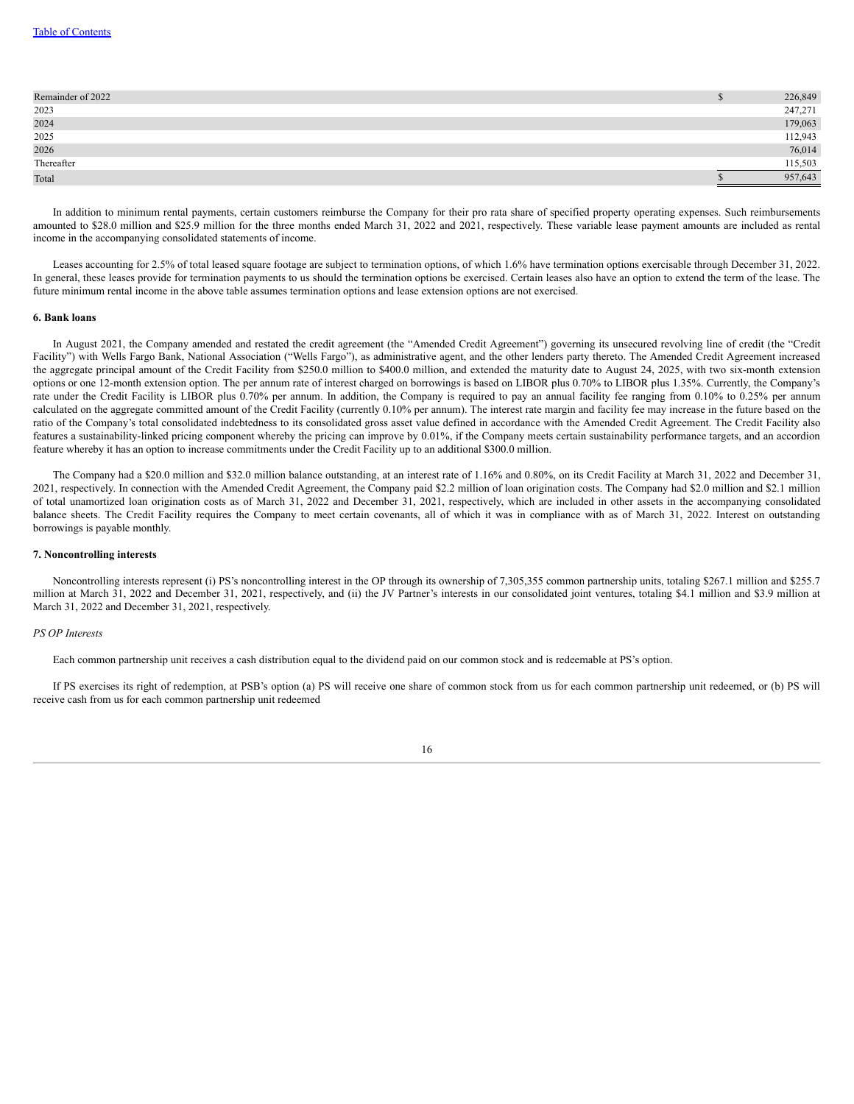| Remainder of 2022 | 226,849 |
|-------------------|---------|
| 2023              | 247,271 |
| 2024              | 179,063 |
| 2025              | 112,943 |
| 2026              | 76,014  |
| Thereafter        | 115,503 |
| Total             | 957,643 |

In addition to minimum rental payments, certain customers reimburse the Company for their pro rata share of specified property operating expenses. Such reimbursements amounted to \$28.0 million and \$25.9 million for the three months ended March 31, 2022 and 2021, respectively. These variable lease payment amounts are included as rental income in the accompanying consolidated statements of income.

Leases accounting for 2.5% of total leased square footage are subject to termination options, of which 1.6% have termination options exercisable through December 31, 2022. In general, these leases provide for termination payments to us should the termination options be exercised. Certain leases also have an option to extend the term of the lease. The future minimum rental income in the above table assumes termination options and lease extension options are not exercised.

## **6. Bank loans**

In August 2021, the Company amended and restated the credit agreement (the "Amended Credit Agreement") governing its unsecured revolving line of credit (the "Credit Facility") with Wells Fargo Bank, National Association ("Wells Fargo"), as administrative agent, and the other lenders party thereto. The Amended Credit Agreement increased the aggregate principal amount of the Credit Facility from \$250.0 million to \$400.0 million, and extended the maturity date to August 24, 2025, with two six-month extension options or one 12-month extension option. The per annum rate of interest charged on borrowings is based on LIBOR plus 0.70% to LIBOR plus 1.35%. Currently, the Company's rate under the Credit Facility is LIBOR plus 0.70% per annum. In addition, the Company is required to pay an annual facility fee ranging from 0.10% to 0.25% per annum calculated on the aggregate committed amount of the Credit Facility (currently 0.10% per annum). The interest rate margin and facility fee may increase in the future based on the ratio of the Company's total consolidated indebtedness to its consolidated gross asset value defined in accordance with the Amended Credit Agreement. The Credit Facility also features a sustainability-linked pricing component whereby the pricing can improve by 0.01%, if the Company meets certain sustainability performance targets, and an accordion feature whereby it has an option to increase commitments under the Credit Facility up to an additional \$300.0 million.

The Company had a \$20.0 million and \$32.0 million balance outstanding, at an interest rate of 1.16% and 0.80%, on its Credit Facility at March 31, 2022 and December 31, 2021, respectively. In connection with the Amended Credit Agreement, the Company paid \$2.2 million of loan origination costs. The Company had \$2.0 million and \$2.1 million of total unamortized loan origination costs as of March 31, 2022 and December 31, 2021, respectively, which are included in other assets in the accompanying consolidated balance sheets. The Credit Facility requires the Company to meet certain covenants, all of which it was in compliance with as of March 31, 2022. Interest on outstanding borrowings is payable monthly.

#### **7. Noncontrolling interests**

Noncontrolling interests represent (i) PS's noncontrolling interest in the OP through its ownership of 7,305,355 common partnership units, totaling \$267.1 million and \$255.7 million at March 31, 2022 and December 31, 2021, respectively, and (ii) the JV Partner's interests in our consolidated joint ventures, totaling \$4.1 million and \$3.9 million at March 31, 2022 and December 31, 2021, respectively.

#### *PS OP Interests*

Each common partnership unit receives a cash distribution equal to the dividend paid on our common stock and is redeemable at PS's option.

If PS exercises its right of redemption, at PSB's option (a) PS will receive one share of common stock from us for each common partnership unit redeemed, or (b) PS will receive cash from us for each common partnership unit redeemed

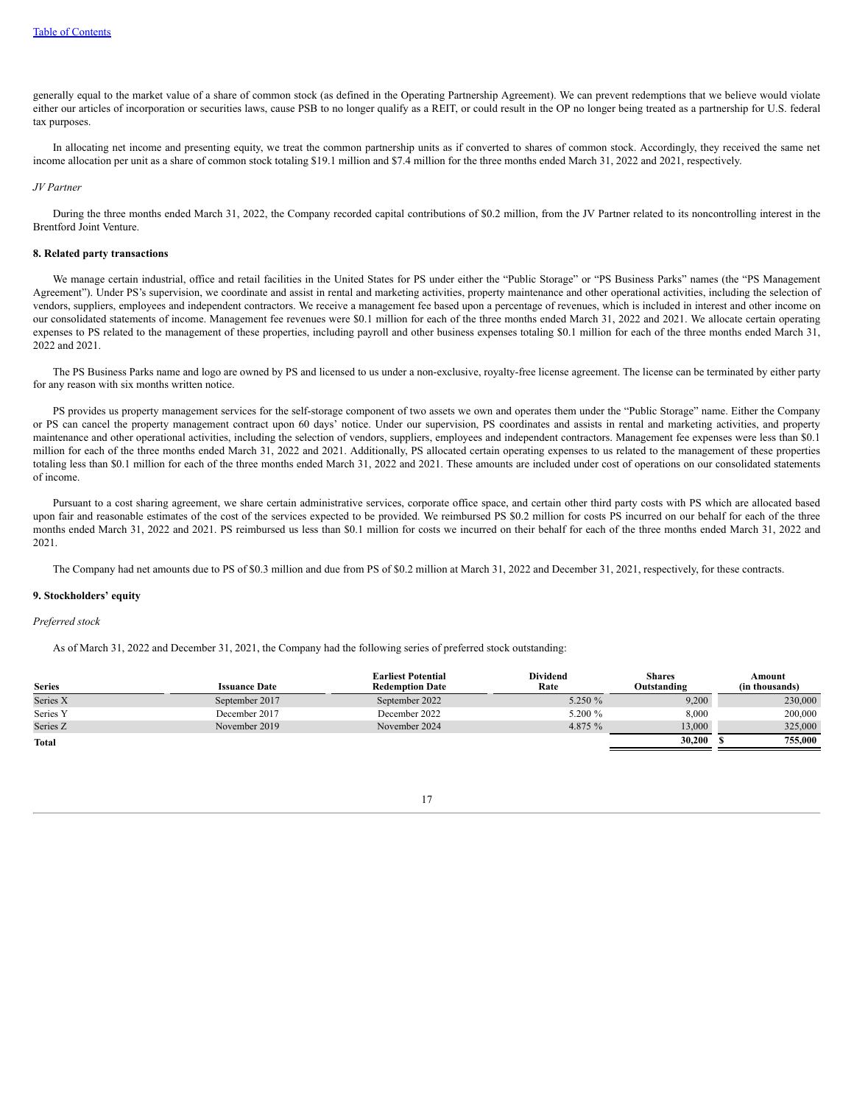generally equal to the market value of a share of common stock (as defined in the Operating Partnership Agreement). We can prevent redemptions that we believe would violate either our articles of incorporation or securities laws, cause PSB to no longer qualify as a REIT, or could result in the OP no longer being treated as a partnership for U.S. federal tax purposes.

In allocating net income and presenting equity, we treat the common partnership units as if converted to shares of common stock. Accordingly, they received the same net income allocation per unit as a share of common stock totaling \$19.1 million and \$7.4 million for the three months ended March 31, 2022 and 2021, respectively.

#### *JV Partner*

During the three months ended March 31, 2022, the Company recorded capital contributions of \$0.2 million, from the JV Partner related to its noncontrolling interest in the Brentford Joint Venture.

#### **8. Related party transactions**

We manage certain industrial, office and retail facilities in the United States for PS under either the "Public Storage" or "PS Business Parks" names (the "PS Management Agreement"). Under PS's supervision, we coordinate and assist in rental and marketing activities, property maintenance and other operational activities, including the selection of vendors, suppliers, employees and independent contractors. We receive a management fee based upon a percentage of revenues, which is included in interest and other income on our consolidated statements of income. Management fee revenues were \$0.1 million for each of the three months ended March 31, 2022 and 2021. We allocate certain operating expenses to PS related to the management of these properties, including payroll and other business expenses totaling \$0.1 million for each of the three months ended March 31, 2022 and 2021.

The PS Business Parks name and logo are owned by PS and licensed to us under a non-exclusive, royalty-free license agreement. The license can be terminated by either party for any reason with six months written notice.

PS provides us property management services for the self-storage component of two assets we own and operates them under the "Public Storage" name. Either the Company or PS can cancel the property management contract upon 60 days' notice. Under our supervision, PS coordinates and assists in rental and marketing activities, and property maintenance and other operational activities, including the selection of vendors, suppliers, employees and independent contractors. Management fee expenses were less than \$0.1 million for each of the three months ended March 31, 2022 and 2021. Additionally, PS allocated certain operating expenses to us related to the management of these properties totaling less than \$0.1 million for each of the three months ended March 31, 2022 and 2021. These amounts are included under cost of operations on our consolidated statements of income.

Pursuant to a cost sharing agreement, we share certain administrative services, corporate office space, and certain other third party costs with PS which are allocated based upon fair and reasonable estimates of the cost of the services expected to be provided. We reimbursed PS \$0.2 million for costs PS incurred on our behalf for each of the three months ended March 31, 2022 and 2021. PS reimbursed us less than \$0.1 million for costs we incurred on their behalf for each of the three months ended March 31, 2022 and 2021.

The Company had net amounts due to PS of \$0.3 million and due from PS of \$0.2 million at March 31, 2022 and December 31, 2021, respectively, for these contracts.

## **9. Stockholders' equity**

# *Preferred stock*

As of March 31, 2022 and December 31, 2021, the Company had the following series of preferred stock outstanding:

| <b>Series</b> | <b>Issuance Date</b> | <b>Earliest Potential</b><br><b>Redemption Date</b> | <b>Dividend</b><br>Rate | <b>Shares</b><br>Outstanding | Amount<br>(in thousands) |
|---------------|----------------------|-----------------------------------------------------|-------------------------|------------------------------|--------------------------|
| Series X      | September 2017       | September 2022                                      | 5.250 %                 | 9,200                        | 230,000                  |
| Series Y      | December 2017        | December 2022                                       | 5.200 %                 | 8,000                        | 200,000                  |
| Series Z      | November 2019        | November 2024                                       | 4.875 %                 | 13.000                       | 325,000                  |
| <b>Total</b>  |                      |                                                     |                         | 30,200                       | 755,000                  |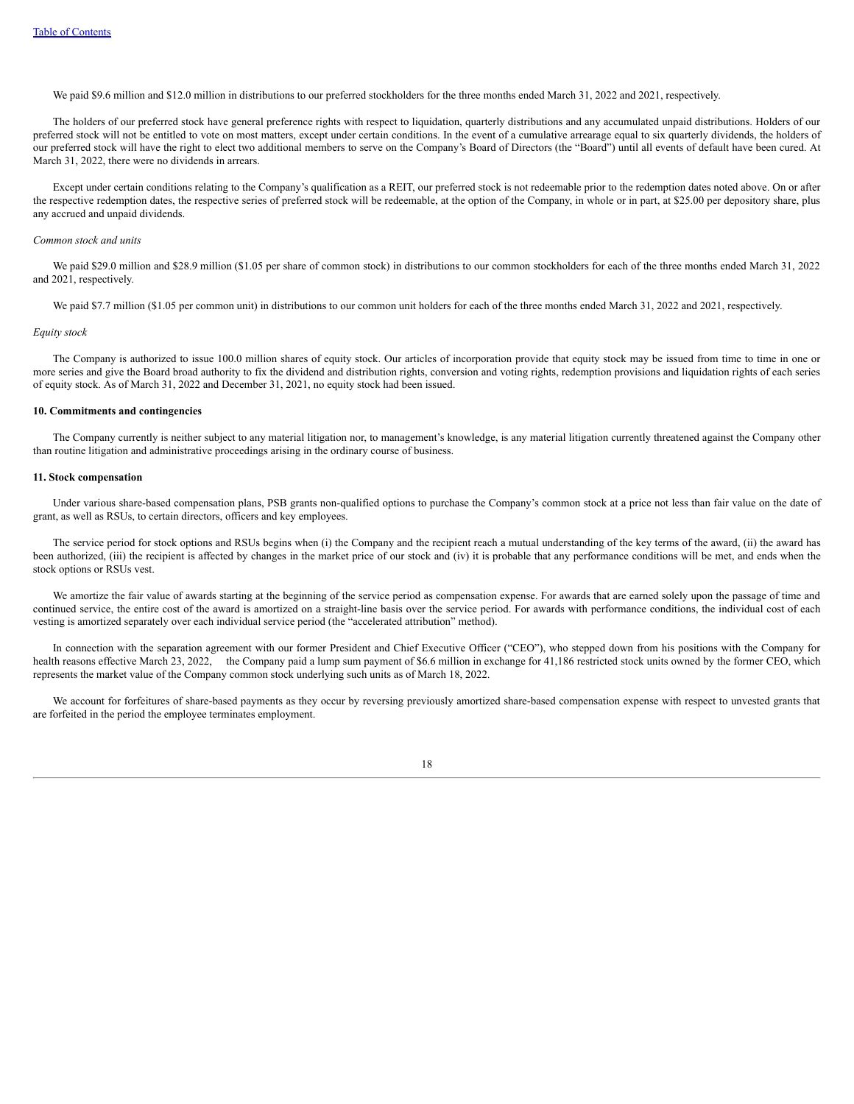We paid \$9.6 million and \$12.0 million in distributions to our preferred stockholders for the three months ended March 31, 2022 and 2021, respectively.

The holders of our preferred stock have general preference rights with respect to liquidation, quarterly distributions and any accumulated unpaid distributions. Holders of our preferred stock will not be entitled to vote on most matters, except under certain conditions. In the event of a cumulative arrearage equal to six quarterly dividends, the holders of our preferred stock will have the right to elect two additional members to serve on the Company's Board of Directors (the "Board") until all events of default have been cured. At March 31, 2022, there were no dividends in arrears.

Except under certain conditions relating to the Company's qualification as a REIT, our preferred stock is not redeemable prior to the redemption dates noted above. On or after the respective redemption dates, the respective series of preferred stock will be redeemable, at the option of the Company, in whole or in part, at \$25.00 per depository share, plus any accrued and unpaid dividends.

## *Common stock and units*

We paid \$29.0 million and \$28.9 million (\$1.05 per share of common stock) in distributions to our common stockholders for each of the three months ended March 31, 2022 and 2021, respectively.

We paid \$7.7 million (\$1.05 per common unit) in distributions to our common unit holders for each of the three months ended March 31, 2022 and 2021, respectively.

#### *Equity stock*

The Company is authorized to issue 100.0 million shares of equity stock. Our articles of incorporation provide that equity stock may be issued from time to time in one or more series and give the Board broad authority to fix the dividend and distribution rights, conversion and voting rights, redemption provisions and liquidation rights of each series of equity stock. As of March 31, 2022 and December 31, 2021, no equity stock had been issued.

# **10. Commitments and contingencies**

The Company currently is neither subject to any material litigation nor, to management's knowledge, is any material litigation currently threatened against the Company other than routine litigation and administrative proceedings arising in the ordinary course of business.

#### **11. Stock compensation**

Under various share-based compensation plans, PSB grants non-qualified options to purchase the Company's common stock at a price not less than fair value on the date of grant, as well as RSUs, to certain directors, officers and key employees.

The service period for stock options and RSUs begins when (i) the Company and the recipient reach a mutual understanding of the key terms of the award, (ii) the award has been authorized, (iii) the recipient is affected by changes in the market price of our stock and (iv) it is probable that any performance conditions will be met, and ends when the stock options or RSUs vest.

We amortize the fair value of awards starting at the beginning of the service period as compensation expense. For awards that are earned solely upon the passage of time and continued service, the entire cost of the award is amortized on a straight-line basis over the service period. For awards with performance conditions, the individual cost of each vesting is amortized separately over each individual service period (the "accelerated attribution" method).

In connection with the separation agreement with our former President and Chief Executive Officer ("CEO"), who stepped down from his positions with the Company for health reasons effective March 23, 2022, the Company paid a lump sum payment of \$6.6 million in exchange for 41,186 restricted stock units owned by the former CEO, which represents the market value of the Company common stock underlying such units as of March 18, 2022.

We account for forfeitures of share-based payments as they occur by reversing previously amortized share-based compensation expense with respect to unvested grants that are forfeited in the period the employee terminates employment.

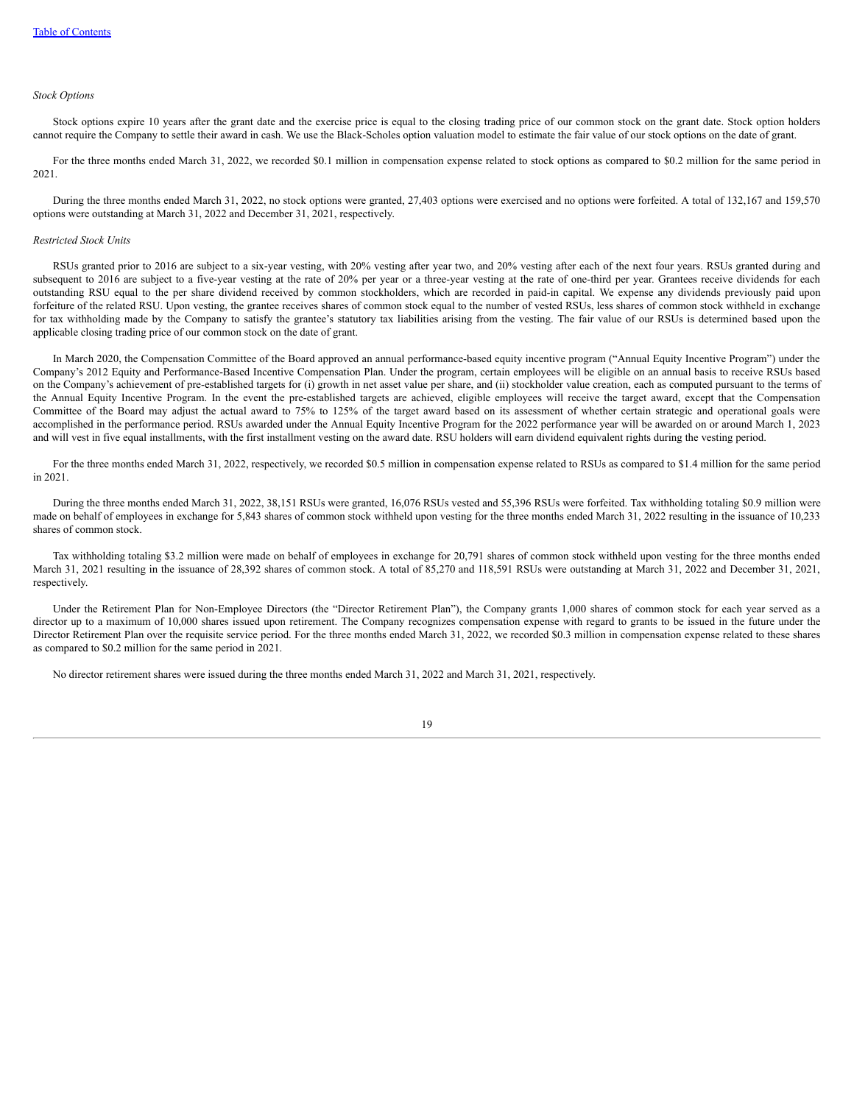#### *Stock Options*

Stock options expire 10 years after the grant date and the exercise price is equal to the closing trading price of our common stock on the grant date. Stock option holders cannot require the Company to settle their award in cash. We use the Black-Scholes option valuation model to estimate the fair value of our stock options on the date of grant.

For the three months ended March 31, 2022, we recorded \$0.1 million in compensation expense related to stock options as compared to \$0.2 million for the same period in 2021.

During the three months ended March 31, 2022, no stock options were granted, 27,403 options were exercised and no options were forfeited. A total of 132,167 and 159,570 options were outstanding at March 31, 2022 and December 31, 2021, respectively.

## *Restricted Stock Units*

RSUs granted prior to 2016 are subject to a six-year vesting, with 20% vesting after year two, and 20% vesting after each of the next four years. RSUs granted during and subsequent to 2016 are subject to a five-year vesting at the rate of 20% per year or a three-year vesting at the rate of one-third per year. Grantees receive dividends for each outstanding RSU equal to the per share dividend received by common stockholders, which are recorded in paid-in capital. We expense any dividends previously paid upon forfeiture of the related RSU. Upon vesting, the grantee receives shares of common stock equal to the number of vested RSUs, less shares of common stock withheld in exchange for tax withholding made by the Company to satisfy the grantee's statutory tax liabilities arising from the vesting. The fair value of our RSUs is determined based upon the applicable closing trading price of our common stock on the date of grant.

In March 2020, the Compensation Committee of the Board approved an annual performance-based equity incentive program ("Annual Equity Incentive Program") under the Company's 2012 Equity and Performance-Based Incentive Compensation Plan. Under the program, certain employees will be eligible on an annual basis to receive RSUs based on the Company's achievement of pre-established targets for (i) growth in net asset value per share, and (ii) stockholder value creation, each as computed pursuant to the terms of the Annual Equity Incentive Program. In the event the pre-established targets are achieved, eligible employees will receive the target award, except that the Compensation Committee of the Board may adjust the actual award to 75% to 125% of the target award based on its assessment of whether certain strategic and operational goals were accomplished in the performance period. RSUs awarded under the Annual Equity Incentive Program for the 2022 performance year will be awarded on or around March 1, 2023 and will vest in five equal installments, with the first installment vesting on the award date. RSU holders will earn dividend equivalent rights during the vesting period.

For the three months ended March 31, 2022, respectively, we recorded \$0.5 million in compensation expense related to RSUs as compared to \$1.4 million for the same period in 2021.

During the three months ended March 31, 2022, 38,151 RSUs were granted, 16,076 RSUs vested and 55,396 RSUs were forfeited. Tax withholding totaling \$0.9 million were made on behalf of employees in exchange for 5,843 shares of common stock withheld upon vesting for the three months ended March 31, 2022 resulting in the issuance of 10,233 shares of common stock.

Tax withholding totaling \$3.2 million were made on behalf of employees in exchange for 20,791 shares of common stock withheld upon vesting for the three months ended March 31, 2021 resulting in the issuance of 28,392 shares of common stock. A total of 85,270 and 118,591 RSUs were outstanding at March 31, 2022 and December 31, 2021, respectively.

Under the Retirement Plan for Non-Employee Directors (the "Director Retirement Plan"), the Company grants 1,000 shares of common stock for each year served as a director up to a maximum of 10,000 shares issued upon retirement. The Company recognizes compensation expense with regard to grants to be issued in the future under the Director Retirement Plan over the requisite service period. For the three months ended March 31, 2022, we recorded \$0.3 million in compensation expense related to these shares as compared to \$0.2 million for the same period in 2021.

No director retirement shares were issued during the three months ended March 31, 2022 and March 31, 2021, respectively.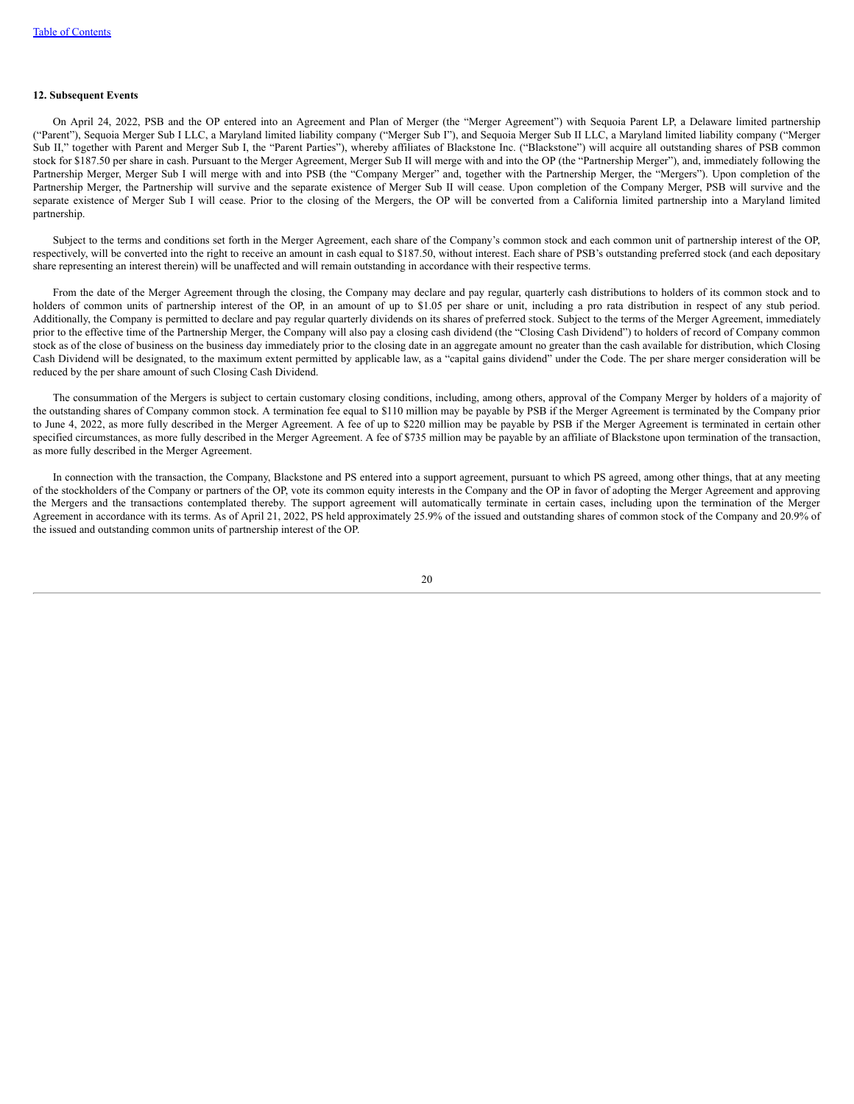# **12. Subsequent Events**

On April 24, 2022, PSB and the OP entered into an Agreement and Plan of Merger (the "Merger Agreement") with Sequoia Parent LP, a Delaware limited partnership ("Parent"), Sequoia Merger Sub I LLC, a Maryland limited liability company ("Merger Sub I"), and Sequoia Merger Sub II LLC, a Maryland limited liability company ("Merger Sub II," together with Parent and Merger Sub I, the "Parent Parties"), whereby affiliates of Blackstone Inc. ("Blackstone") will acquire all outstanding shares of PSB common stock for \$187.50 per share in cash. Pursuant to the Merger Agreement, Merger Sub II will merge with and into the OP (the "Partnership Merger"), and, immediately following the Partnership Merger, Merger Sub I will merge with and into PSB (the "Company Merger" and, together with the Partnership Merger, the "Mergers"). Upon completion of the Partnership Merger, the Partnership will survive and the separate existence of Merger Sub II will cease. Upon completion of the Company Merger, PSB will survive and the separate existence of Merger Sub I will cease. Prior to the closing of the Mergers, the OP will be converted from a California limited partnership into a Maryland limited partnership.

Subject to the terms and conditions set forth in the Merger Agreement, each share of the Company's common stock and each common unit of partnership interest of the OP, respectively, will be converted into the right to receive an amount in cash equal to \$187.50, without interest. Each share of PSB's outstanding preferred stock (and each depositary share representing an interest therein) will be unaffected and will remain outstanding in accordance with their respective terms.

From the date of the Merger Agreement through the closing, the Company may declare and pay regular, quarterly cash distributions to holders of its common stock and to holders of common units of partnership interest of the OP, in an amount of up to \$1.05 per share or unit, including a pro rata distribution in respect of any stub period. Additionally, the Company is permitted to declare and pay regular quarterly dividends on its shares of preferred stock. Subject to the terms of the Merger Agreement, immediately prior to the effective time of the Partnership Merger, the Company will also pay a closing cash dividend (the "Closing Cash Dividend") to holders of record of Company common stock as of the close of business on the business day immediately prior to the closing date in an aggregate amount no greater than the cash available for distribution, which Closing Cash Dividend will be designated, to the maximum extent permitted by applicable law, as a "capital gains dividend" under the Code. The per share merger consideration will be reduced by the per share amount of such Closing Cash Dividend.

The consummation of the Mergers is subject to certain customary closing conditions, including, among others, approval of the Company Merger by holders of a majority of the outstanding shares of Company common stock. A termination fee equal to \$110 million may be payable by PSB if the Merger Agreement is terminated by the Company prior to June 4, 2022, as more fully described in the Merger Agreement. A fee of up to \$220 million may be payable by PSB if the Merger Agreement is terminated in certain other specified circumstances, as more fully described in the Merger Agreement. A fee of \$735 million may be payable by an affiliate of Blackstone upon termination of the transaction, as more fully described in the Merger Agreement.

<span id="page-19-0"></span>In connection with the transaction, the Company, Blackstone and PS entered into a support agreement, pursuant to which PS agreed, among other things, that at any meeting of the stockholders of the Company or partners of the OP, vote its common equity interests in the Company and the OP in favor of adopting the Merger Agreement and approving the Mergers and the transactions contemplated thereby. The support agreement will automatically terminate in certain cases, including upon the termination of the Merger Agreement in accordance with its terms. As of April 21, 2022, PS held approximately 25.9% of the issued and outstanding shares of common stock of the Company and 20.9% of the issued and outstanding common units of partnership interest of the OP.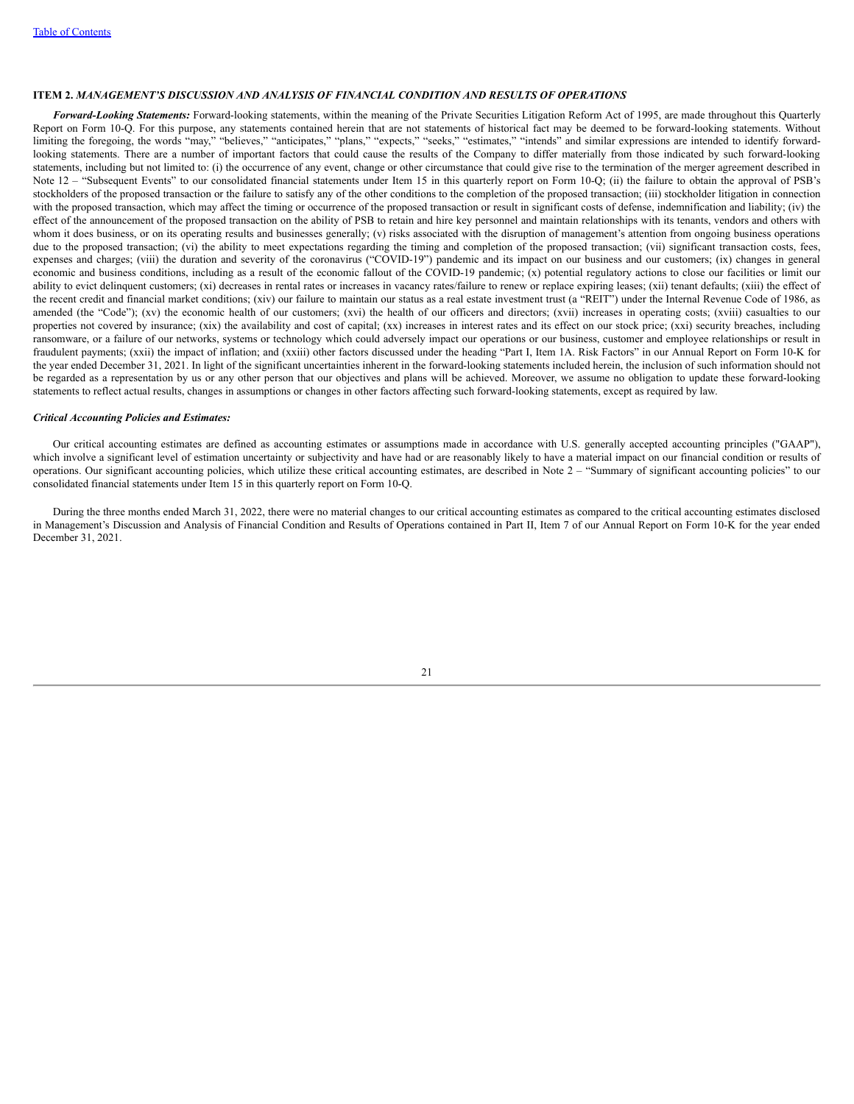#### **ITEM 2.** *MANAGEMENT'S DISCUSSION AND ANALYSIS OF FINANCIAL CONDITION AND RESULTS OF OPERATIONS*

*Forward-Looking Statements:* Forward-looking statements, within the meaning of the Private Securities Litigation Reform Act of 1995, are made throughout this Quarterly Report on Form 10-Q. For this purpose, any statements contained herein that are not statements of historical fact may be deemed to be forward-looking statements. Without limiting the foregoing, the words "may," "believes," "anticipates," "plans," "expects," "seeks," "estimates," "intends" and similar expressions are intended to identify forwardlooking statements. There are a number of important factors that could cause the results of the Company to differ materially from those indicated by such forward-looking statements, including but not limited to: (i) the occurrence of any event, change or other circumstance that could give rise to the termination of the merger agreement described in Note 12 – "Subsequent Events" to our consolidated financial statements under Item 15 in this quarterly report on Form 10-Q; (ii) the failure to obtain the approval of PSB's stockholders of the proposed transaction or the failure to satisfy any of the other conditions to the completion of the proposed transaction; (iii) stockholder litigation in connection with the proposed transaction, which may affect the timing or occurrence of the proposed transaction or result in significant costs of defense, indemnification and liability; (iv) the effect of the announcement of the proposed transaction on the ability of PSB to retain and hire key personnel and maintain relationships with its tenants, vendors and others with whom it does business, or on its operating results and businesses generally; (v) risks associated with the disruption of management's attention from ongoing business operations due to the proposed transaction; (vi) the ability to meet expectations regarding the timing and completion of the proposed transaction; (vii) significant transaction costs, fees, expenses and charges; (viii) the duration and severity of the coronavirus ("COVID-19") pandemic and its impact on our business and our customers; (ix) changes in general economic and business conditions, including as a result of the economic fallout of the COVID-19 pandemic; (x) potential regulatory actions to close our facilities or limit our ability to evict delinquent customers; (xi) decreases in rental rates or increases in vacancy rates/failure to renew or replace expiring leases; (xii) tenant defaults; (xiii) the effect of the recent credit and financial market conditions; (xiv) our failure to maintain our status as a real estate investment trust (a "REIT") under the Internal Revenue Code of 1986, as amended (the "Code"); (xv) the economic health of our customers; (xvi) the health of our officers and directors; (xvii) increases in operating costs; (xviii) casualties to our properties not covered by insurance; (xix) the availability and cost of capital; (xx) increases in interest rates and its effect on our stock price; (xxi) security breaches, including ransomware, or a failure of our networks, systems or technology which could adversely impact our operations or our business, customer and employee relationships or result in fraudulent payments; (xxii) the impact of inflation; and (xxiii) other factors discussed under the heading "Part I, Item 1A. Risk Factors" in our Annual Report on Form 10-K for the year ended December 31, 2021. In light of the significant uncertainties inherent in the forward-looking statements included herein, the inclusion of such information should not be regarded as a representation by us or any other person that our objectives and plans will be achieved. Moreover, we assume no obligation to update these forward-looking statements to reflect actual results, changes in assumptions or changes in other factors affecting such forward-looking statements, except as required by law.

#### *Critical Accounting Policies and Estimates:*

Our critical accounting estimates are defined as accounting estimates or assumptions made in accordance with U.S. generally accepted accounting principles ("GAAP"), which involve a significant level of estimation uncertainty or subjectivity and have had or are reasonably likely to have a material impact on our financial condition or results of operations. Our significant accounting policies, which utilize these critical accounting estimates, are described in Note 2 – "Summary of significant accounting policies" to our consolidated financial statements under Item 15 in this quarterly report on Form 10-Q.

During the three months ended March 31, 2022, there were no material changes to our critical accounting estimates as compared to the critical accounting estimates disclosed in Management's Discussion and Analysis of Financial Condition and Results of Operations contained in Part II, Item 7 of our Annual Report on Form 10-K for the year ended December 31, 2021.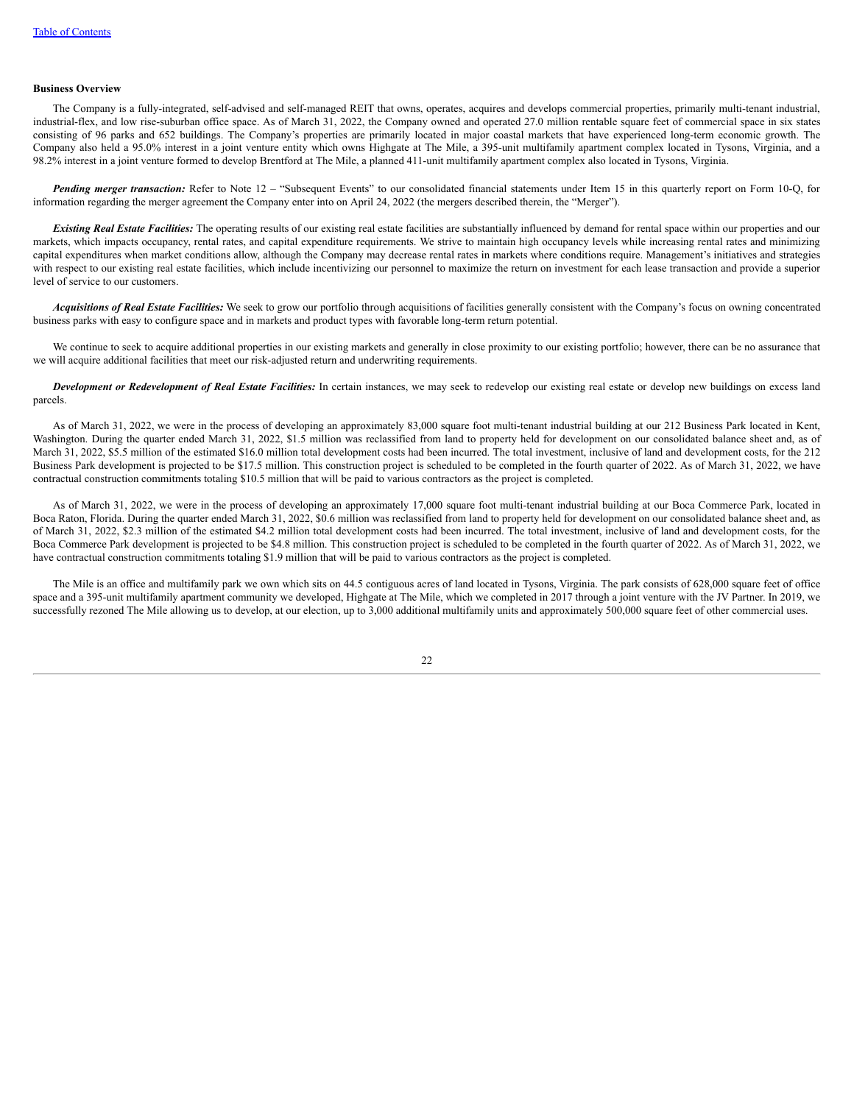#### **Business Overview**

The Company is a fully-integrated, self-advised and self-managed REIT that owns, operates, acquires and develops commercial properties, primarily multi-tenant industrial, industrial-flex, and low rise-suburban office space. As of March 31, 2022, the Company owned and operated 27.0 million rentable square feet of commercial space in six states consisting of 96 parks and 652 buildings. The Company's properties are primarily located in major coastal markets that have experienced long-term economic growth. The Company also held a 95.0% interest in a joint venture entity which owns Highgate at The Mile, a 395-unit multifamily apartment complex located in Tysons, Virginia, and a 98.2% interest in a joint venture formed to develop Brentford at The Mile, a planned 411-unit multifamily apartment complex also located in Tysons, Virginia.

*Pending merger transaction:* Refer to Note 12 – "Subsequent Events" to our consolidated financial statements under Item 15 in this quarterly report on Form 10-Q, for information regarding the merger agreement the Company enter into on April 24, 2022 (the mergers described therein, the "Merger").

*Existing Real Estate Facilities:* The operating results of our existing real estate facilities are substantially influenced by demand for rental space within our properties and our markets, which impacts occupancy, rental rates, and capital expenditure requirements. We strive to maintain high occupancy levels while increasing rental rates and minimizing capital expenditures when market conditions allow, although the Company may decrease rental rates in markets where conditions require. Management's initiatives and strategies with respect to our existing real estate facilities, which include incentivizing our personnel to maximize the return on investment for each lease transaction and provide a superior level of service to our customers.

*Acquisitions of Real Estate Facilities:* We seek to grow our portfolio through acquisitions of facilities generally consistent with the Company's focus on owning concentrated business parks with easy to configure space and in markets and product types with favorable long-term return potential.

We continue to seek to acquire additional properties in our existing markets and generally in close proximity to our existing portfolio; however, there can be no assurance that we will acquire additional facilities that meet our risk-adjusted return and underwriting requirements.

*Development or Redevelopment of Real Estate Facilities:* In certain instances, we may seek to redevelop our existing real estate or develop new buildings on excess land parcels.

As of March 31, 2022, we were in the process of developing an approximately 83,000 square foot multi-tenant industrial building at our 212 Business Park located in Kent, Washington. During the quarter ended March 31, 2022, \$1.5 million was reclassified from land to property held for development on our consolidated balance sheet and, as of March 31, 2022, \$5.5 million of the estimated \$16.0 million total development costs had been incurred. The total investment, inclusive of land and development costs, for the 212 Business Park development is projected to be \$17.5 million. This construction project is scheduled to be completed in the fourth quarter of 2022. As of March 31, 2022, we have contractual construction commitments totaling \$10.5 million that will be paid to various contractors as the project is completed.

As of March 31, 2022, we were in the process of developing an approximately 17,000 square foot multi-tenant industrial building at our Boca Commerce Park, located in Boca Raton, Florida. During the quarter ended March 31, 2022, \$0.6 million was reclassified from land to property held for development on our consolidated balance sheet and, as of March 31, 2022, \$2.3 million of the estimated \$4.2 million total development costs had been incurred. The total investment, inclusive of land and development costs, for the Boca Commerce Park development is projected to be \$4.8 million. This construction project is scheduled to be completed in the fourth quarter of 2022. As of March 31, 2022, we have contractual construction commitments totaling \$1.9 million that will be paid to various contractors as the project is completed.

The Mile is an office and multifamily park we own which sits on 44.5 contiguous acres of land located in Tysons, Virginia. The park consists of 628,000 square feet of office space and a 395-unit multifamily apartment community we developed, Highgate at The Mile, which we completed in 2017 through a joint venture with the JV Partner. In 2019, we successfully rezoned The Mile allowing us to develop, at our election, up to 3,000 additional multifamily units and approximately 500,000 square feet of other commercial uses.

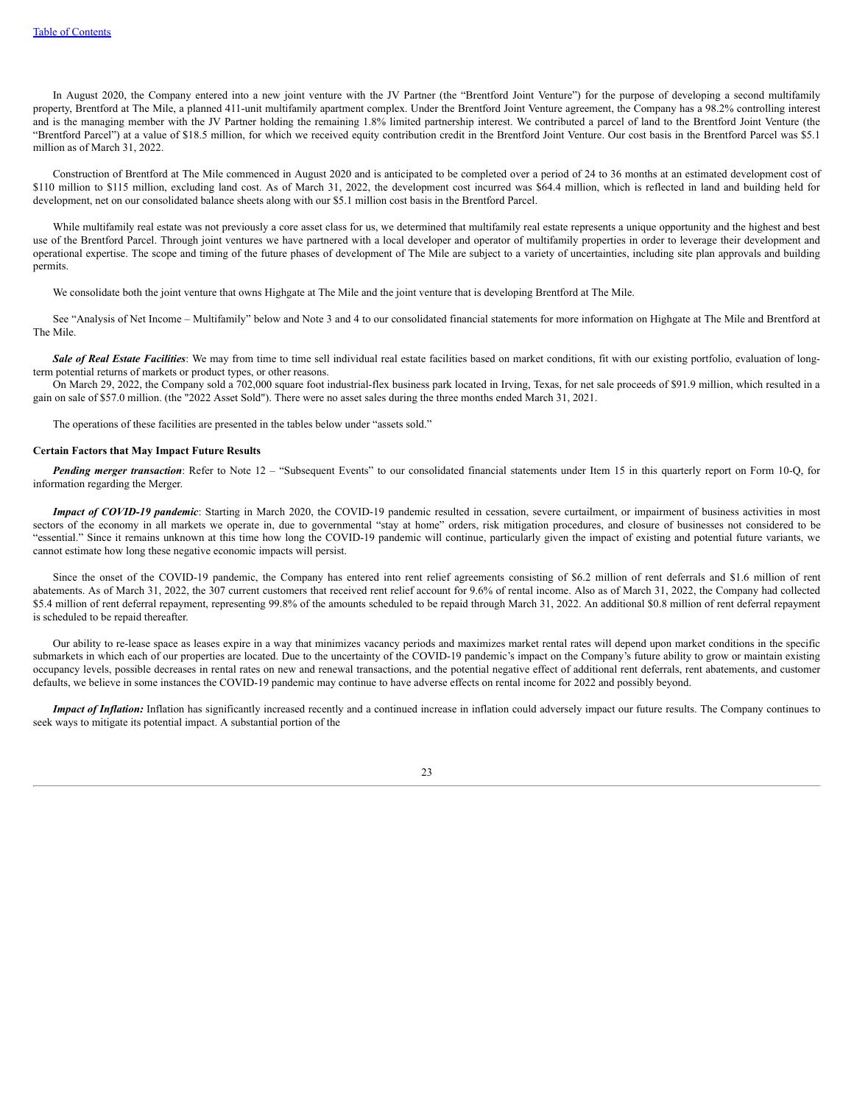In August 2020, the Company entered into a new joint venture with the JV Partner (the "Brentford Joint Venture") for the purpose of developing a second multifamily property, Brentford at The Mile, a planned 411-unit multifamily apartment complex. Under the Brentford Joint Venture agreement, the Company has a 98.2% controlling interest and is the managing member with the JV Partner holding the remaining 1.8% limited partnership interest. We contributed a parcel of land to the Brentford Joint Venture (the "Brentford Parcel") at a value of \$18.5 million, for which we received equity contribution credit in the Brentford Joint Venture. Our cost basis in the Brentford Parcel was \$5.1 million as of March 31, 2022.

Construction of Brentford at The Mile commenced in August 2020 and is anticipated to be completed over a period of 24 to 36 months at an estimated development cost of \$110 million to \$115 million, excluding land cost. As of March 31, 2022, the development cost incurred was \$64.4 million, which is reflected in land and building held for development, net on our consolidated balance sheets along with our \$5.1 million cost basis in the Brentford Parcel.

While multifamily real estate was not previously a core asset class for us, we determined that multifamily real estate represents a unique opportunity and the highest and best use of the Brentford Parcel. Through joint ventures we have partnered with a local developer and operator of multifamily properties in order to leverage their development and operational expertise. The scope and timing of the future phases of development of The Mile are subject to a variety of uncertainties, including site plan approvals and building permits.

We consolidate both the joint venture that owns Highgate at The Mile and the joint venture that is developing Brentford at The Mile.

See "Analysis of Net Income - Multifamily" below and Note 3 and 4 to our consolidated financial statements for more information on Highgate at The Mile and Brentford at The Mile.

**Sale of Real Estate Facilities**: We may from time to time sell individual real estate facilities based on market conditions, fit with our existing portfolio, evaluation of longterm potential returns of markets or product types, or other reasons.

On March 29, 2022, the Company sold a 702,000 square foot industrial-flex business park located in Irving, Texas, for net sale proceeds of \$91.9 million, which resulted in a gain on sale of \$57.0 million. (the "2022 Asset Sold"). There were no asset sales during the three months ended March 31, 2021.

The operations of these facilities are presented in the tables below under "assets sold."

#### **Certain Factors that May Impact Future Results**

*Pending merger transaction*: Refer to Note 12 – "Subsequent Events" to our consolidated financial statements under Item 15 in this quarterly report on Form 10-Q, for information regarding the Merger.

*Impact of COVID-19 pandemic*: Starting in March 2020, the COVID-19 pandemic resulted in cessation, severe curtailment, or impairment of business activities in most sectors of the economy in all markets we operate in, due to governmental "stay at home" orders, risk mitigation procedures, and closure of businesses not considered to be "essential." Since it remains unknown at this time how long the COVID-19 pandemic will continue, particularly given the impact of existing and potential future variants, we cannot estimate how long these negative economic impacts will persist.

Since the onset of the COVID-19 pandemic, the Company has entered into rent relief agreements consisting of \$6.2 million of rent deferrals and \$1.6 million of rent abatements. As of March 31, 2022, the 307 current customers that received rent relief account for 9.6% of rental income. Also as of March 31, 2022, the Company had collected \$5.4 million of rent deferral repayment, representing 99.8% of the amounts scheduled to be repaid through March 31, 2022. An additional \$0.8 million of rent deferral repayment is scheduled to be repaid thereafter.

Our ability to re-lease space as leases expire in a way that minimizes vacancy periods and maximizes market rental rates will depend upon market conditions in the specific submarkets in which each of our properties are located. Due to the uncertainty of the COVID-19 pandemic's impact on the Company's future ability to grow or maintain existing occupancy levels, possible decreases in rental rates on new and renewal transactions, and the potential negative effect of additional rent deferrals, rent abatements, and customer defaults, we believe in some instances the COVID-19 pandemic may continue to have adverse effects on rental income for 2022 and possibly beyond.

*Impact of Inflation:* Inflation has significantly increased recently and a continued increase in inflation could adversely impact our future results. The Company continues to seek ways to mitigate its potential impact. A substantial portion of the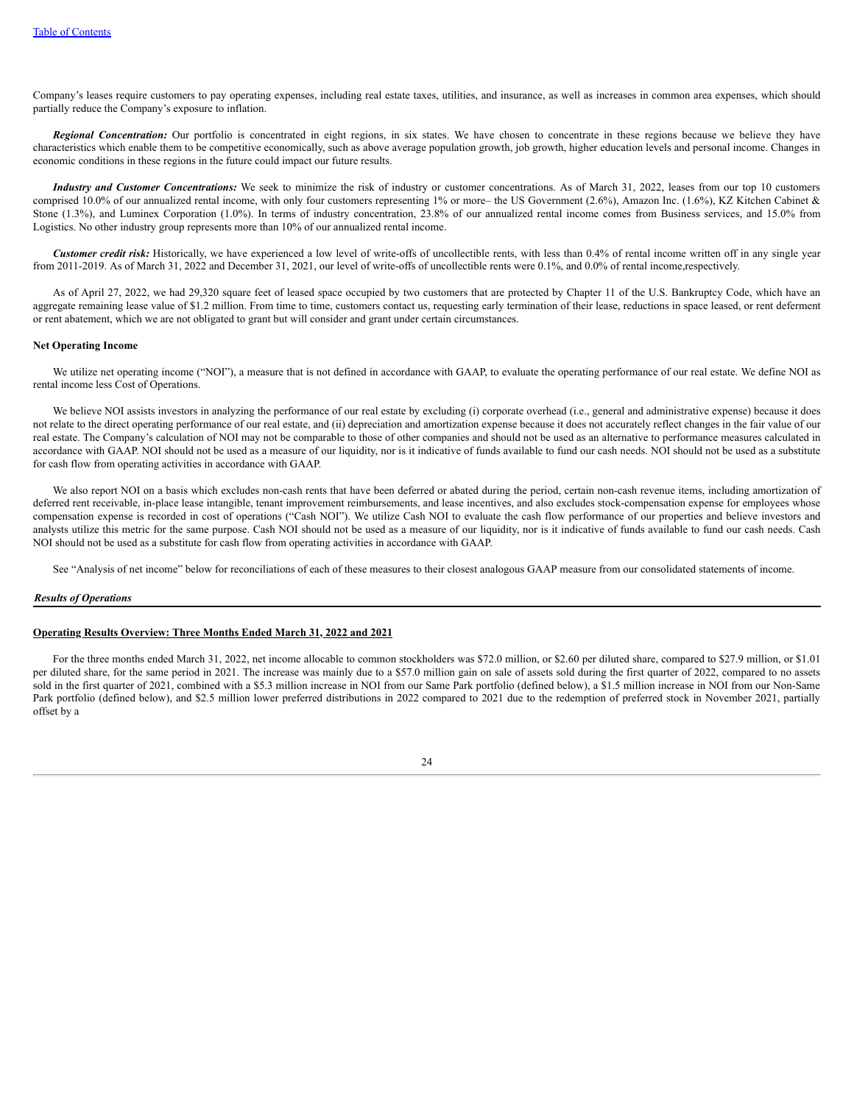Company's leases require customers to pay operating expenses, including real estate taxes, utilities, and insurance, as well as increases in common area expenses, which should partially reduce the Company's exposure to inflation.

*Regional Concentration:* Our portfolio is concentrated in eight regions, in six states. We have chosen to concentrate in these regions because we believe they have characteristics which enable them to be competitive economically, such as above average population growth, job growth, higher education levels and personal income. Changes in economic conditions in these regions in the future could impact our future results.

*Industry and Customer Concentrations:* We seek to minimize the risk of industry or customer concentrations. As of March 31, 2022, leases from our top 10 customers comprised 10.0% of our annualized rental income, with only four customers representing 1% or more– the US Government (2.6%), Amazon Inc. (1.6%), KZ Kitchen Cabinet & Stone (1.3%), and Luminex Corporation (1.0%). In terms of industry concentration, 23.8% of our annualized rental income comes from Business services, and 15.0% from Logistics. No other industry group represents more than 10% of our annualized rental income.

*Customer credit risk:* Historically, we have experienced a low level of write-offs of uncollectible rents, with less than 0.4% of rental income written off in any single year from 2011-2019. As of March 31, 2022 and December 31, 2021, our level of write-offs of uncollectible rents were 0.1%, and 0.0% of rental income,respectively.

As of April 27, 2022, we had 29,320 square feet of leased space occupied by two customers that are protected by Chapter 11 of the U.S. Bankruptcy Code, which have an aggregate remaining lease value of \$1.2 million. From time to time, customers contact us, requesting early termination of their lease, reductions in space leased, or rent deferment or rent abatement, which we are not obligated to grant but will consider and grant under certain circumstances.

#### **Net Operating Income**

We utilize net operating income ("NOI"), a measure that is not defined in accordance with GAAP, to evaluate the operating performance of our real estate. We define NOI as rental income less Cost of Operations.

We believe NOI assists investors in analyzing the performance of our real estate by excluding (i) corporate overhead (i.e., general and administrative expense) because it does not relate to the direct operating performance of our real estate, and (ii) depreciation and amortization expense because it does not accurately reflect changes in the fair value of our real estate. The Company's calculation of NOI may not be comparable to those of other companies and should not be used as an alternative to performance measures calculated in accordance with GAAP. NOI should not be used as a measure of our liquidity, nor is it indicative of funds available to fund our cash needs. NOI should not be used as a substitute for cash flow from operating activities in accordance with GAAP.

We also report NOI on a basis which excludes non-cash rents that have been deferred or abated during the period, certain non-cash revenue items, including amortization of deferred rent receivable, in-place lease intangible, tenant improvement reimbursements, and lease incentives, and also excludes stock-compensation expense for employees whose compensation expense is recorded in cost of operations ("Cash NOI"). We utilize Cash NOI to evaluate the cash flow performance of our properties and believe investors and analysts utilize this metric for the same purpose. Cash NOI should not be used as a measure of our liquidity, nor is it indicative of funds available to fund our cash needs. Cash NOI should not be used as a substitute for cash flow from operating activities in accordance with GAAP.

See "Analysis of net income" below for reconciliations of each of these measures to their closest analogous GAAP measure from our consolidated statements of income.

#### *Results of Operations*

#### **Operating Results Overview: Three Months Ended March 31, 2022 and 2021**

For the three months ended March 31, 2022, net income allocable to common stockholders was \$72.0 million, or \$2.60 per diluted share, compared to \$27.9 million, or \$1.01 per diluted share, for the same period in 2021. The increase was mainly due to a \$57.0 million gain on sale of assets sold during the first quarter of 2022, compared to no assets sold in the first quarter of 2021, combined with a \$5.3 million increase in NOI from our Same Park portfolio (defined below), a \$1.5 million increase in NOI from our Non-Same Park portfolio (defined below), and \$2.5 million lower preferred distributions in 2022 compared to 2021 due to the redemption of preferred stock in November 2021, partially offset by a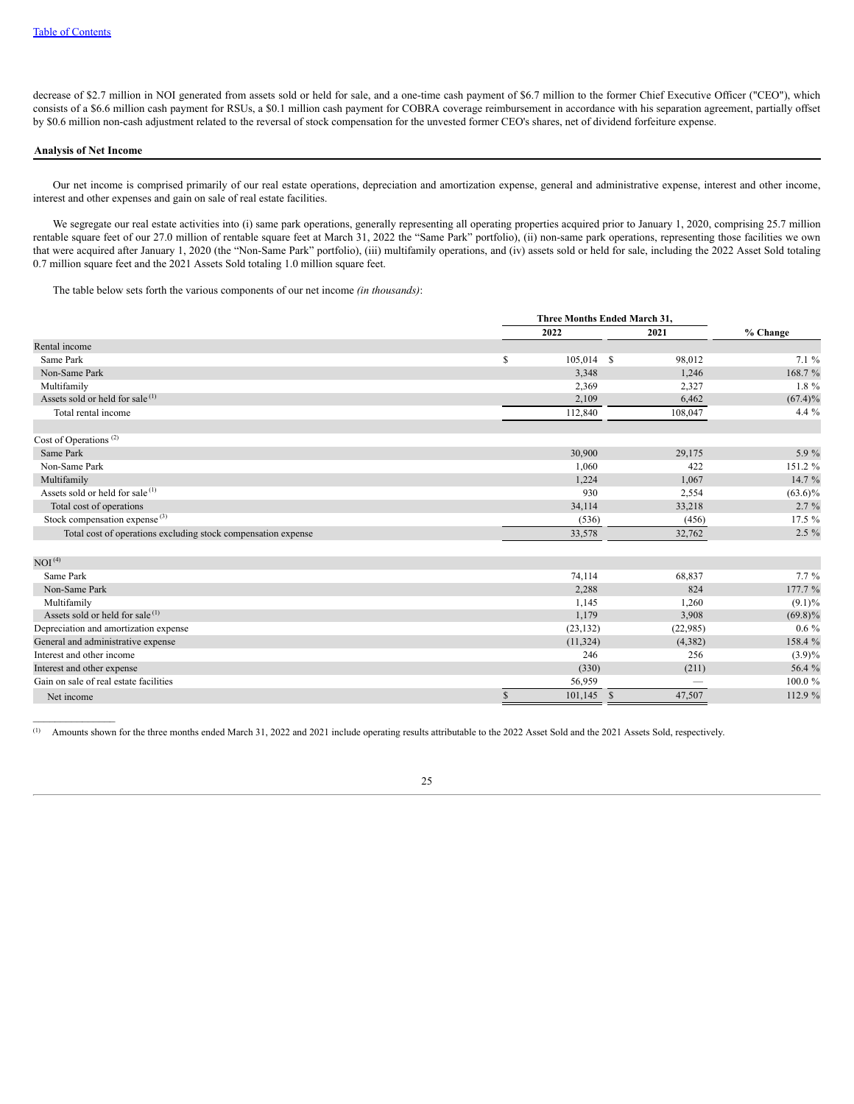decrease of \$2.7 million in NOI generated from assets sold or held for sale, and a one-time cash payment of \$6.7 million to the former Chief Executive Officer ("CEO"), which consists of a \$6.6 million cash payment for RSUs, a \$0.1 million cash payment for COBRA coverage reimbursement in accordance with his separation agreement, partially offset by \$0.6 million non-cash adjustment related to the reversal of stock compensation for the unvested former CEO's shares, net of dividend forfeiture expense.

#### **Analysis of Net Income**

 $\mathcal{L}_\text{max}$ 

Our net income is comprised primarily of our real estate operations, depreciation and amortization expense, general and administrative expense, interest and other income, interest and other expenses and gain on sale of real estate facilities.

We segregate our real estate activities into (i) same park operations, generally representing all operating properties acquired prior to January 1, 2020, comprising 25.7 million rentable square feet of our 27.0 million of rentable square feet at March 31, 2022 the "Same Park" portfolio), (ii) non-same park operations, representing those facilities we own that were acquired after January 1, 2020 (the "Non-Same Park" portfolio), (iii) multifamily operations, and (iv) assets sold or held for sale, including the 2022 Asset Sold totaling 0.7 million square feet and the 2021 Assets Sold totaling 1.0 million square feet.

The table below sets forth the various components of our net income *(in thousands)*:

|                                                               |                              | Three Months Ended March 31, |          |            |  |
|---------------------------------------------------------------|------------------------------|------------------------------|----------|------------|--|
|                                                               | 2022                         |                              | 2021     | % Change   |  |
| Rental income                                                 |                              |                              |          |            |  |
| Same Park                                                     | \$<br>$105,014$ \$           |                              | 98,012   | 7.1%       |  |
| Non-Same Park                                                 | 3,348                        |                              | 1,246    | 168.7%     |  |
| Multifamily                                                   | 2,369                        |                              | 2,327    | 1.8%       |  |
| Assets sold or held for sale <sup>(1)</sup>                   | 2,109                        |                              | 6,462    | $(67.4)\%$ |  |
| Total rental income                                           | 112,840                      |                              | 108,047  | 4.4 %      |  |
| Cost of Operations <sup>(2)</sup>                             |                              |                              |          |            |  |
| Same Park                                                     | 30,900                       |                              | 29,175   | 5.9%       |  |
| Non-Same Park                                                 | 1,060                        |                              | 422      | 151.2%     |  |
| Multifamily                                                   | 1,224                        |                              | 1,067    | 14.7%      |  |
| Assets sold or held for sale <sup>(1)</sup>                   | 930                          |                              | 2,554    | $(63.6)\%$ |  |
| Total cost of operations                                      | 34,114                       |                              | 33,218   | $2.7\%$    |  |
| Stock compensation expense <sup>(3)</sup>                     | (536)                        |                              | (456)    | 17.5 %     |  |
| Total cost of operations excluding stock compensation expense | 33,578                       |                              | 32,762   | $2.5\%$    |  |
| NOI <sup>(4)</sup>                                            |                              |                              |          |            |  |
| Same Park                                                     | 74,114                       |                              | 68,837   | $7.7\%$    |  |
| Non-Same Park                                                 | 2,288                        |                              | 824      | 177.7%     |  |
| Multifamily                                                   | 1,145                        |                              | 1,260    | $(9.1)\%$  |  |
| Assets sold or held for sale $(1)$                            | 1,179                        |                              | 3,908    | $(69.8)\%$ |  |
| Depreciation and amortization expense                         | (23, 132)                    |                              | (22,985) | $0.6\%$    |  |
| General and administrative expense                            | (11, 324)                    |                              | (4, 382) | 158.4%     |  |
| Interest and other income                                     | 246                          |                              | 256      | $(3.9)\%$  |  |
| Interest and other expense                                    | (330)                        |                              | (211)    | 56.4 %     |  |
| Gain on sale of real estate facilities                        | 56,959                       |                              |          | 100.0%     |  |
| Net income                                                    | $\mathbb{S}$<br>$101,145$ \$ |                              | 47,507   | 112.9%     |  |

Amounts shown for the three months ended March 31, 2022 and 2021 include operating results attributable to the 2022 Asset Sold and the 2021 Assets Sold, respectively. (1)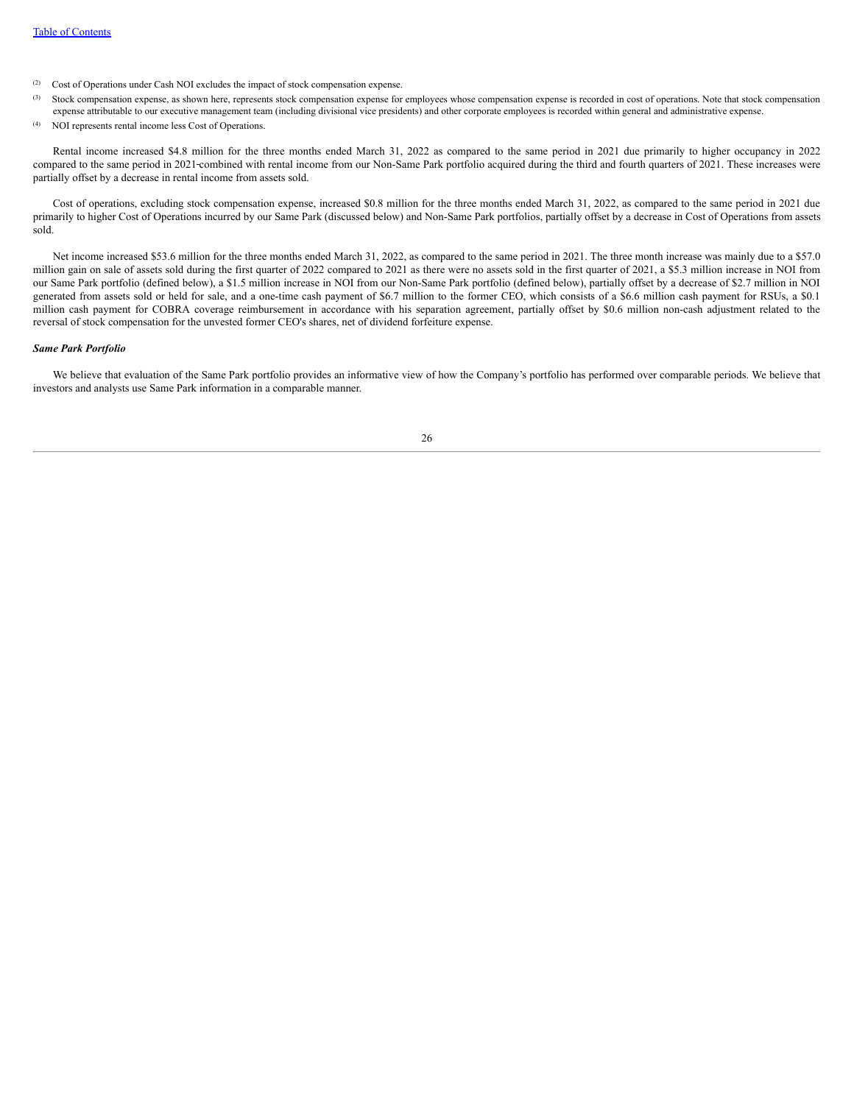- Cost of Operations under Cash NOI excludes the impact of stock compensation expense. (2)
- Stock compensation expense, as shown here, represents stock compensation expense for employees whose compensation expense is recorded in cost of operations. Note that stock compensation expense attributable to our executive management team (including divisional vice presidents) and other corporate employees is recorded within general and administrative expense. (3)
- NOI represents rental income less Cost of Operations. (4)

Rental income increased \$4.8 million for the three months ended March 31, 2022 as compared to the same period in 2021 due primarily to higher occupancy in 2022 compared to the same period in 2021 combined with rental income from our Non-Same Park portfolio acquired during the third and fourth quarters of 2021. These increases were partially offset by a decrease in rental income from assets sold.

Cost of operations, excluding stock compensation expense, increased \$0.8 million for the three months ended March 31, 2022, as compared to the same period in 2021 due primarily to higher Cost of Operations incurred by our Same Park (discussed below) and Non-Same Park portfolios, partially offset by a decrease in Cost of Operations from assets sold.

Net income increased \$53.6 million for the three months ended March 31, 2022, as compared to the same period in 2021. The three month increase was mainly due to a \$57.0 million gain on sale of assets sold during the first quarter of 2022 compared to 2021 as there were no assets sold in the first quarter of 2021, a \$5.3 million increase in NOI from our Same Park portfolio (defined below), a \$1.5 million increase in NOI from our Non-Same Park portfolio (defined below), partially offset by a decrease of \$2.7 million in NOI generated from assets sold or held for sale, and a one-time cash payment of \$6.7 million to the former CEO, which consists of a \$6.6 million cash payment for RSUs, a \$0.1 million cash payment for COBRA coverage reimbursement in accordance with his separation agreement, partially offset by \$0.6 million non-cash adjustment related to the reversal of stock compensation for the unvested former CEO's shares, net of dividend forfeiture expense.

#### *Same Park Portfolio*

We believe that evaluation of the Same Park portfolio provides an informative view of how the Company's portfolio has performed over comparable periods. We believe that investors and analysts use Same Park information in a comparable manner.

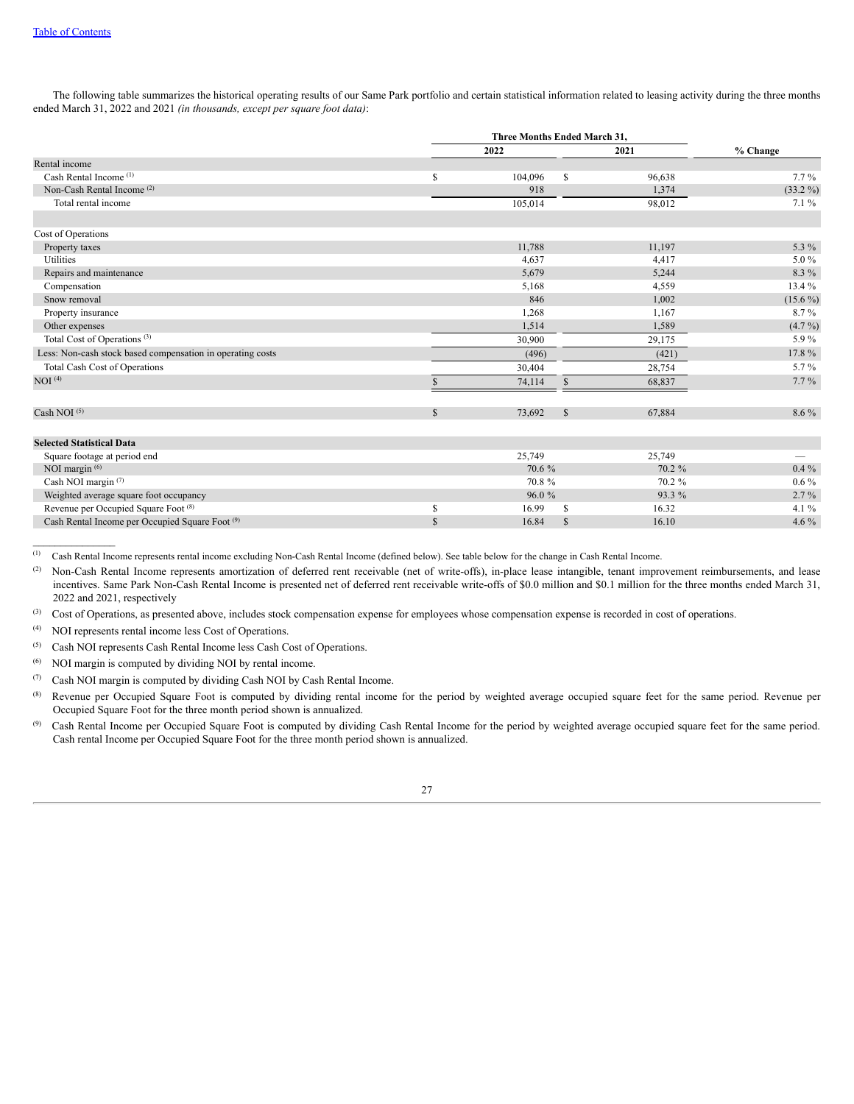The following table summarizes the historical operating results of our Same Park portfolio and certain statistical information related to leasing activity during the three months ended March 31, 2022 and 2021 *(in thousands, except per square foot data)*:

|                                                            |    | Three Months Ended March 31, |               |        |            |  |
|------------------------------------------------------------|----|------------------------------|---------------|--------|------------|--|
|                                                            |    | 2022                         |               | 2021   | % Change   |  |
| Rental income                                              |    |                              |               |        |            |  |
| Cash Rental Income <sup>(1)</sup>                          | \$ | 104,096                      | \$            | 96,638 | $7.7\%$    |  |
| Non-Cash Rental Income <sup>(2)</sup>                      |    | 918                          |               | 1,374  | $(33.2\%)$ |  |
| Total rental income                                        |    | 105,014                      |               | 98,012 | $7.1\%$    |  |
| Cost of Operations                                         |    |                              |               |        |            |  |
| Property taxes                                             |    | 11,788                       |               | 11,197 | $5.3\%$    |  |
| Utilities                                                  |    | 4,637                        |               | 4,417  | 5.0%       |  |
| Repairs and maintenance                                    |    | 5,679                        |               | 5,244  | 8.3%       |  |
| Compensation                                               |    | 5,168                        |               | 4,559  | 13.4 %     |  |
| Snow removal                                               |    | 846                          |               | 1,002  | $(15.6\%)$ |  |
| Property insurance                                         |    | 1,268                        |               | 1,167  | 8.7%       |  |
| Other expenses                                             |    | 1,514                        |               | 1,589  | $(4.7\%)$  |  |
| Total Cost of Operations <sup>(3)</sup>                    |    | 30,900                       |               | 29,175 | 5.9%       |  |
| Less: Non-cash stock based compensation in operating costs |    | (496)                        |               | (421)  | 17.8%      |  |
| Total Cash Cost of Operations                              |    | 30,404                       |               | 28,754 | 5.7%       |  |
| NOI <sup>(4)</sup>                                         | S  | 74,114                       | S.            | 68,837 | $7.7\%$    |  |
| Cash NOI <sup>(5)</sup>                                    | \$ | 73,692                       | $\mathsf{\$}$ | 67,884 | 8.6 %      |  |
| <b>Selected Statistical Data</b>                           |    |                              |               |        |            |  |
| Square footage at period end                               |    | 25,749                       |               | 25,749 |            |  |
| NOI margin <sup>(6)</sup>                                  |    | 70.6 %                       |               | 70.2 % | $0.4\%$    |  |
| Cash NOI margin <sup>(7)</sup>                             |    | 70.8%                        |               | 70.2 % | $0.6\%$    |  |
| Weighted average square foot occupancy                     |    | 96.0%                        |               | 93.3 % | $2.7\%$    |  |
| Revenue per Occupied Square Foot <sup>(8)</sup>            | \$ | 16.99                        | S             | 16.32  | 4.1 $%$    |  |
| Cash Rental Income per Occupied Square Foot <sup>(9)</sup> | \$ | 16.84                        | $\mathbb{S}$  | 16.10  | 4.6%       |  |

Cash Rental Income represents rental income excluding Non-Cash Rental Income (defined below). See table below for the change in Cash Rental Income.  $\overline{(\text{1})}$ 

Non-Cash Rental Income represents amortization of deferred rent receivable (net of write-offs), in-place lease intangible, tenant improvement reimbursements, and lease incentives. Same Park Non-Cash Rental Income is presented net of deferred rent receivable write-offs of \$0.0 million and \$0.1 million for the three months ended March 31, 2022 and 2021, respectively (2)

Cost of Operations, as presented above, includes stock compensation expense for employees whose compensation expense is recorded in cost of operations. (3)

NOI represents rental income less Cost of Operations. (4)

 $\mathcal{L}_\text{max}$ 

Cash NOI represents Cash Rental Income less Cash Cost of Operations. (5)

NOI margin is computed by dividing NOI by rental income. (6)

Cash NOI margin is computed by dividing Cash NOI by Cash Rental Income. (7)

Revenue per Occupied Square Foot is computed by dividing rental income for the period by weighted average occupied square feet for the same period. Revenue per Occupied Square Foot for the three month period shown is annualized. (8)

Cash Rental Income per Occupied Square Foot is computed by dividing Cash Rental Income for the period by weighted average occupied square feet for the same period. Cash rental Income per Occupied Square Foot for the three month period shown is annualized. (9)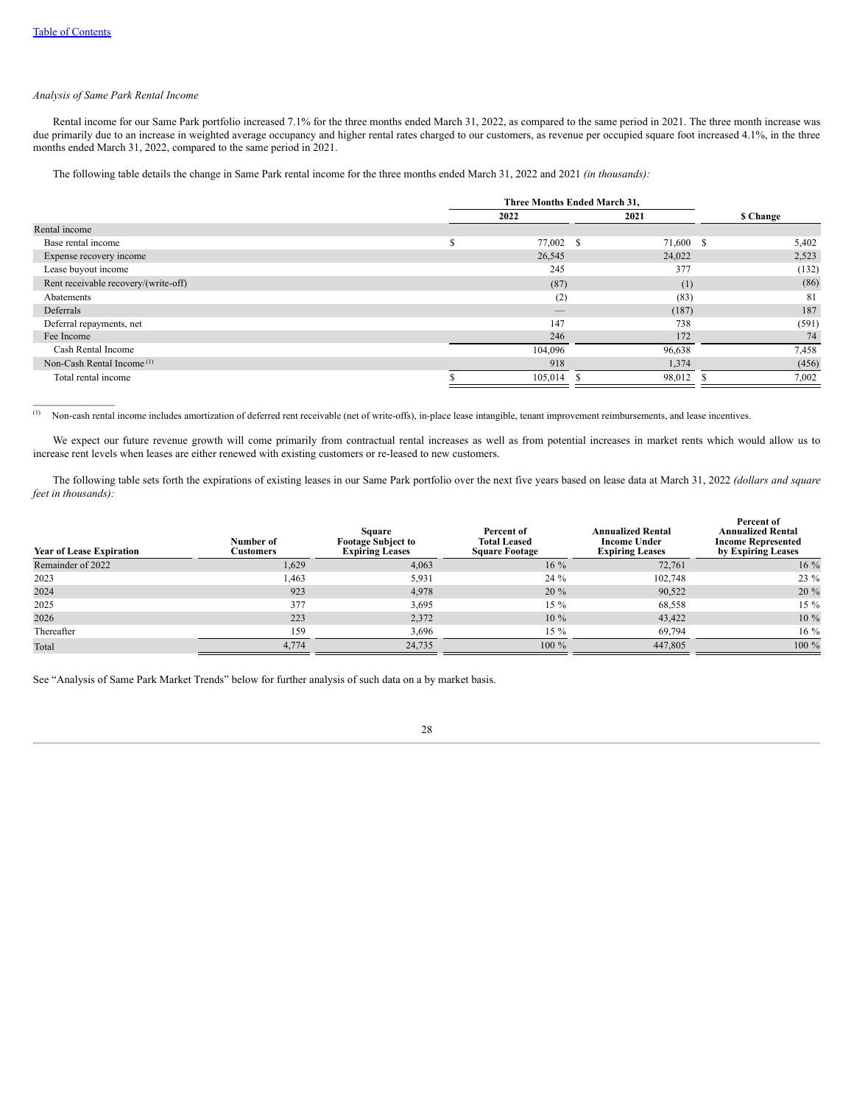$\mathcal{L}_\text{max}$ 

# *Analysis of Same Park Rental Income*

Rental income for our Same Park portfolio increased 7.1% for the three months ended March 31, 2022, as compared to the same period in 2021. The three month increase was due primarily due to an increase in weighted average occupancy and higher rental rates charged to our customers, as revenue per occupied square foot increased 4.1%, in the three months ended March 31, 2022, compared to the same period in 2021.

The following table details the change in Same Park rental income for the three months ended March 31, 2022 and 2021 *(in thousands):*

|                                                    | Three Months Ended March 31, |            |           |           |  |
|----------------------------------------------------|------------------------------|------------|-----------|-----------|--|
|                                                    |                              | 2022       | 2021      | \$ Change |  |
| Rental income                                      |                              |            |           |           |  |
| Base rental income                                 |                              | 77,002 \$  | 71,600 \$ | 5,402     |  |
| Expense recovery income                            |                              | 26,545     | 24,022    | 2,523     |  |
| Lease buyout income                                |                              | 245        | 377       | (132)     |  |
| Rent receivable recovery/(write-off)               |                              | (87)       | (1)       | (86)      |  |
| Abatements                                         |                              | (2)        | (83)      | 81        |  |
| Deferrals                                          |                              | $-$        | (187)     | 187       |  |
| Deferral repayments, net                           |                              | 147        | 738       | (591)     |  |
| Fee Income                                         |                              | 246        | 172       | 74        |  |
| Cash Rental Income                                 |                              | 104,096    | 96,638    | 7,458     |  |
| Non-Cash Rental Income <sup><math>(1)</math></sup> |                              | 918        | 1,374     | (456)     |  |
| Total rental income                                |                              | 105,014 \$ | 98,012 \$ | 7,002     |  |

Non-cash rental income includes amortization of deferred rent receivable (net of write-offs), in-place lease intangible, tenant improvement reimbursements, and lease incentives.  $\overline{(1)}$ 

We expect our future revenue growth will come primarily from contractual rental increases as well as from potential increases in market rents which would allow us to increase rent levels when leases are either renewed with existing customers or re-leased to new customers.

The following table sets forth the expirations of existing leases in our Same Park portfolio over the next five years based on lease data at March 31, 2022 *(dollars and square feet in thousands):*

**Percent** of  $\mathbf{P}$ 

| <b>Year of Lease Expiration</b> | Number of<br><b>Customers</b> | Square<br><b>Footage Subject to</b><br><b>Expiring Leases</b> | Percent of<br><b>Total Leased</b><br><b>Square Footage</b> | <b>Annualized Rental</b><br><b>Income Under</b><br><b>Expiring Leases</b> | rercent of<br><b>Annualized Rental</b><br><b>Income Represented</b><br>by Expiring Leases |
|---------------------------------|-------------------------------|---------------------------------------------------------------|------------------------------------------------------------|---------------------------------------------------------------------------|-------------------------------------------------------------------------------------------|
| Remainder of 2022               | 1,629                         | 4,063                                                         | 16 %                                                       | 72,761                                                                    | 16 %                                                                                      |
| 2023                            | 1,463                         | 5,931                                                         | 24 %                                                       | 102,748                                                                   | 23 %                                                                                      |
| 2024                            | 923                           | 4,978                                                         | 20 %                                                       | 90,522                                                                    | 20 %                                                                                      |
| 2025                            | 377                           | 3,695                                                         | $15\%$                                                     | 68,558                                                                    | 15 %                                                                                      |
| 2026                            | 223                           | 2,372                                                         | 10 %                                                       | 43,422                                                                    | 10 %                                                                                      |
| Thereafter                      | 159                           | 3,696                                                         | 15 %                                                       | 69,794                                                                    | 16 %                                                                                      |
| Total                           | 4,774                         | 24,735                                                        | 100 %                                                      | 447,805                                                                   | 100 %                                                                                     |
|                                 |                               |                                                               |                                                            |                                                                           |                                                                                           |

See "Analysis of Same Park Market Trends" below for further analysis of such data on a by market basis.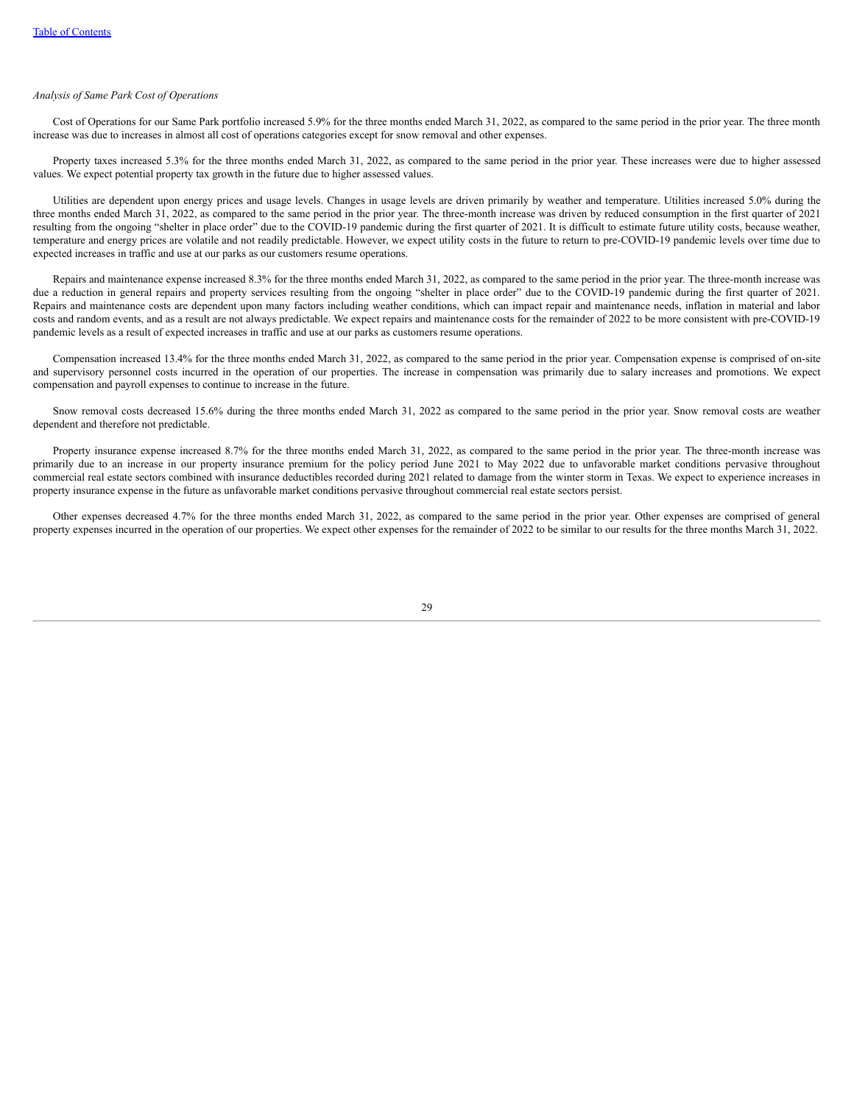#### *Analysis of Same Park Cost of Operations*

Cost of Operations for our Same Park portfolio increased 5.9% for the three months ended March 31, 2022, as compared to the same period in the prior year. The three month increase was due to increases in almost all cost of operations categories except for snow removal and other expenses.

Property taxes increased 5.3% for the three months ended March 31, 2022, as compared to the same period in the prior year. These increases were due to higher assessed values. We expect potential property tax growth in the future due to higher assessed values.

Utilities are dependent upon energy prices and usage levels. Changes in usage levels are driven primarily by weather and temperature. Utilities increased 5.0% during the three months ended March 31, 2022, as compared to the same period in the prior year. The three-month increase was driven by reduced consumption in the first quarter of 2021 resulting from the ongoing "shelter in place order" due to the COVID-19 pandemic during the first quarter of 2021. It is difficult to estimate future utility costs, because weather, temperature and energy prices are volatile and not readily predictable. However, we expect utility costs in the future to return to pre-COVID-19 pandemic levels over time due to expected increases in traffic and use at our parks as our customers resume operations.

Repairs and maintenance expense increased 8.3% for the three months ended March 31, 2022, as compared to the same period in the prior year. The three-month increase was due a reduction in general repairs and property services resulting from the ongoing "shelter in place order" due to the COVID-19 pandemic during the first quarter of 2021. Repairs and maintenance costs are dependent upon many factors including weather conditions, which can impact repair and maintenance needs, inflation in material and labor costs and random events, and as a result are not always predictable. We expect repairs and maintenance costs for the remainder of 2022 to be more consistent with pre-COVID-19 pandemic levels as a result of expected increases in traffic and use at our parks as customers resume operations.

Compensation increased 13.4% for the three months ended March 31, 2022, as compared to the same period in the prior year. Compensation expense is comprised of on-site and supervisory personnel costs incurred in the operation of our properties. The increase in compensation was primarily due to salary increases and promotions. We expect compensation and payroll expenses to continue to increase in the future.

Snow removal costs decreased 15.6% during the three months ended March 31, 2022 as compared to the same period in the prior year. Snow removal costs are weather dependent and therefore not predictable.

Property insurance expense increased 8.7% for the three months ended March 31, 2022, as compared to the same period in the prior year. The three-month increase was primarily due to an increase in our property insurance premium for the policy period June 2021 to May 2022 due to unfavorable market conditions pervasive throughout commercial real estate sectors combined with insurance deductibles recorded during 2021 related to damage from the winter storm in Texas. We expect to experience increases in property insurance expense in the future as unfavorable market conditions pervasive throughout commercial real estate sectors persist.

Other expenses decreased 4.7% for the three months ended March 31, 2022, as compared to the same period in the prior year. Other expenses are comprised of general property expenses incurred in the operation of our properties. We expect other expenses for the remainder of 2022 to be similar to our results for the three months March 31, 2022.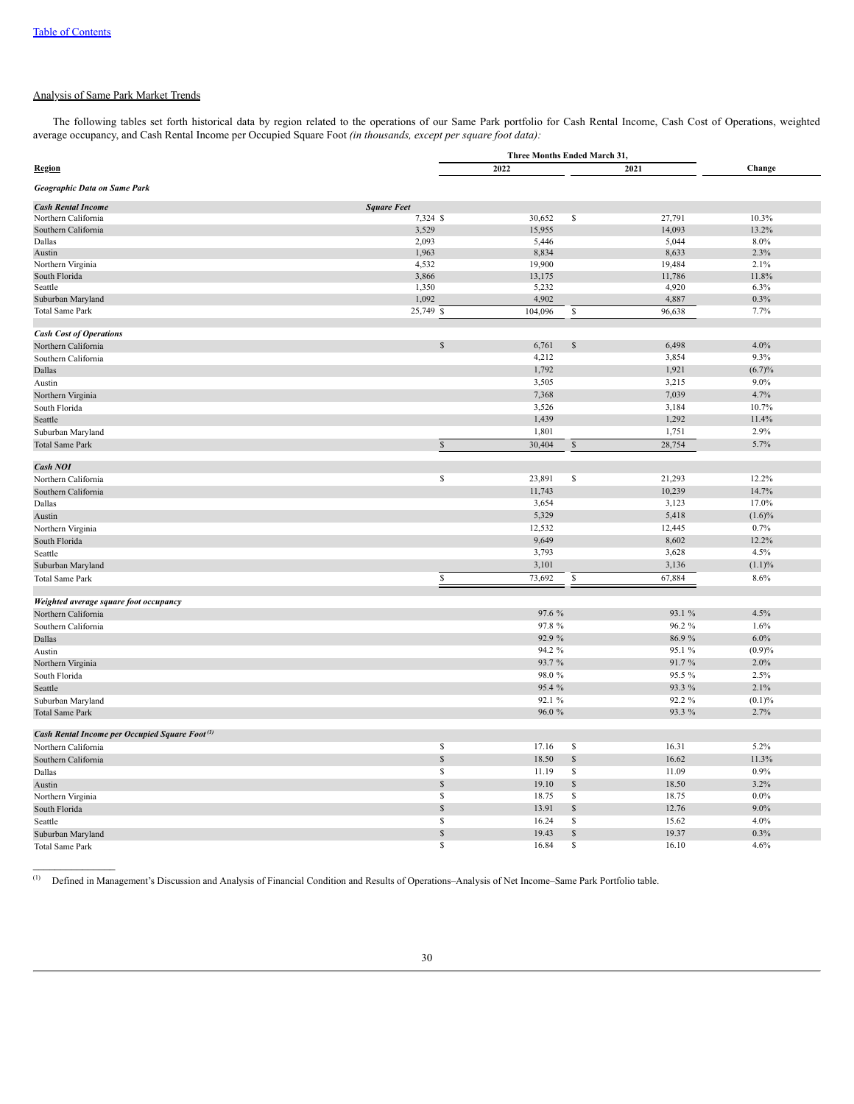$\mathcal{L}_\text{max}$  and  $\mathcal{L}_\text{max}$ 

# Analysis of Same Park Market Trends

The following tables set forth historical data by region related to the operations of our Same Park portfolio for Cash Rental Income, Cash Cost of Operations, weighted average occupancy, and Cash Rental Income per Occupied Square Foot *(in thousands, except per square foot data):*

|                                                            |                    | <b>Three Months Ended March 31</b> |              |                  |               |
|------------------------------------------------------------|--------------------|------------------------------------|--------------|------------------|---------------|
| <b>Region</b>                                              |                    | 2022                               |              | 2021             | Change        |
| <b>Geographic Data on Same Park</b>                        |                    |                                    |              |                  |               |
| <b>Cash Rental Income</b>                                  | <b>Square Feet</b> |                                    |              |                  |               |
| Northern California                                        | 7,324 \$           | 30,652                             | s            | 27,791           | 10.3%         |
| Southern California                                        | 3,529              | 15,955                             |              | 14,093           | 13.2%         |
| Dallas                                                     | 2,093              | 5,446                              |              | 5,044            | 8.0%          |
| Austin                                                     | 1,963              | 8,834                              |              | 8,633            | 2.3%          |
| Northern Virginia                                          | 4,532              | 19,900                             |              | 19,484           | 2.1%          |
| South Florida                                              | 3,866              | 13,175                             |              | 11,786           | 11.8%         |
| Seattle                                                    | 1,350              | 5,232                              |              | 4,920            | 6.3%          |
| Suburban Maryland                                          | 1,092              | 4,902                              |              | 4,887            | 0.3%          |
| <b>Total Same Park</b>                                     | $25,749$ \$        | 104,096                            | $\mathbf S$  | 96,638           | 7.7%          |
| <b>Cash Cost of Operations</b>                             |                    |                                    |              |                  |               |
| Northern California                                        | $\mathbb{S}$       | 6,761                              | $\mathbb S$  | 6,498            | 4.0%          |
| Southern California                                        |                    | 4,212                              |              | 3,854            | 9.3%          |
| Dallas                                                     |                    | 1,792                              |              | 1,921            | (6.7)%        |
| Austin                                                     |                    | 3,505                              |              | 3,215            | 9.0%          |
| Northern Virginia                                          |                    | 7,368                              |              | 7,039            | 4.7%          |
| South Florida                                              |                    | 3,526                              |              | 3,184            | 10.7%         |
| Seattle                                                    |                    | 1,439                              |              | 1,292            | 11.4%         |
| Suburban Maryland                                          |                    | 1,801                              |              | 1,751            | 2.9%          |
| <b>Total Same Park</b>                                     | $\mathbb{S}$       | 30,404                             | $\mathbb S$  | 28,754           | 5.7%          |
|                                                            |                    |                                    |              |                  |               |
| Cash NOI                                                   | \$                 |                                    | S            |                  | 12.2%         |
| Northern California                                        |                    | 23,891<br>11,743                   |              | 21,293<br>10,239 | 14.7%         |
| Southern California                                        |                    |                                    |              |                  | 17.0%         |
| Dallas                                                     |                    | 3,654                              |              | 3,123            |               |
| Austin                                                     |                    | 5,329                              |              | 5,418            | $(1.6)\%$     |
| Northern Virginia                                          |                    | 12,532                             |              | 12,445           | 0.7%<br>12.2% |
| South Florida                                              |                    | 9,649                              |              | 8,602            |               |
| Seattle                                                    |                    | 3,793                              |              | 3,628            | 4.5%          |
| Suburban Maryland                                          |                    | 3,101                              |              | 3,136            | (1.1)%        |
| <b>Total Same Park</b>                                     | \$                 | 73,692                             | S            | 67,884           | 8.6%          |
| Weighted average square foot occupancy                     |                    |                                    |              |                  |               |
| Northern California                                        |                    | 97.6 %                             |              | 93.1 %           | 4.5%          |
| Southern California                                        |                    | 97.8 %                             |              | 96.2 %           | 1.6%          |
| Dallas                                                     |                    | 92.9 %                             |              | 86.9%            | 6.0%          |
| Austin                                                     |                    | 94.2 %                             |              | 95.1 %           | (0.9)%        |
| Northern Virginia                                          |                    | 93.7%                              |              | 91.7%            | 2.0%          |
| South Florida                                              |                    | 98.0%                              |              | 95.5 %           | 2.5%          |
| Seattle                                                    |                    | 95.4 %                             |              | 93.3 %           | 2.1%          |
| Suburban Maryland                                          |                    | 92.1 %                             |              | 92.2 %           | (0.1)%        |
| <b>Total Same Park</b>                                     |                    | 96.0%                              |              | 93.3 %           | 2.7%          |
| Cash Rental Income per Occupied Square Foot <sup>(1)</sup> |                    |                                    |              |                  |               |
| Northern California                                        | $\mathbb{S}$       | 17.16                              | s            | 16.31            | 5.2%          |
| Southern California                                        | $\mathbb{S}$       | 18.50                              | $\mathbb{S}$ | 16.62            | 11.3%         |
| Dallas                                                     | \$                 | 11.19                              | s            | 11.09            | 0.9%          |
| Austin                                                     | $\mathbb{S}$       | 19.10                              | $\mathbb{S}$ | 18.50            | 3.2%          |
| Northern Virginia                                          | $\mathbb{S}$       | 18.75                              | $\mathbb{S}$ | 18.75            | 0.0%          |
| South Florida                                              | <sup>S</sup>       | 13.91                              | \$           | 12.76            | 9.0%          |
| Seattle                                                    | \$                 | 16.24                              | S            | 15.62            | 4.0%          |
| Suburban Maryland                                          | $\mathbb{S}$       | 19.43                              | $\mathbb S$  | 19.37            | 0.3%          |
| <b>Total Same Park</b>                                     | $\mathbf S$        | 16.84                              | $\mathbf S$  | 16.10            | 4.6%          |
|                                                            |                    |                                    |              |                  |               |

 $^{(1)}$  Defined in Management's Discussion and Analysis of Financial Condition and Results of Operations–Analysis of Net Income–Same Park Portfolio table.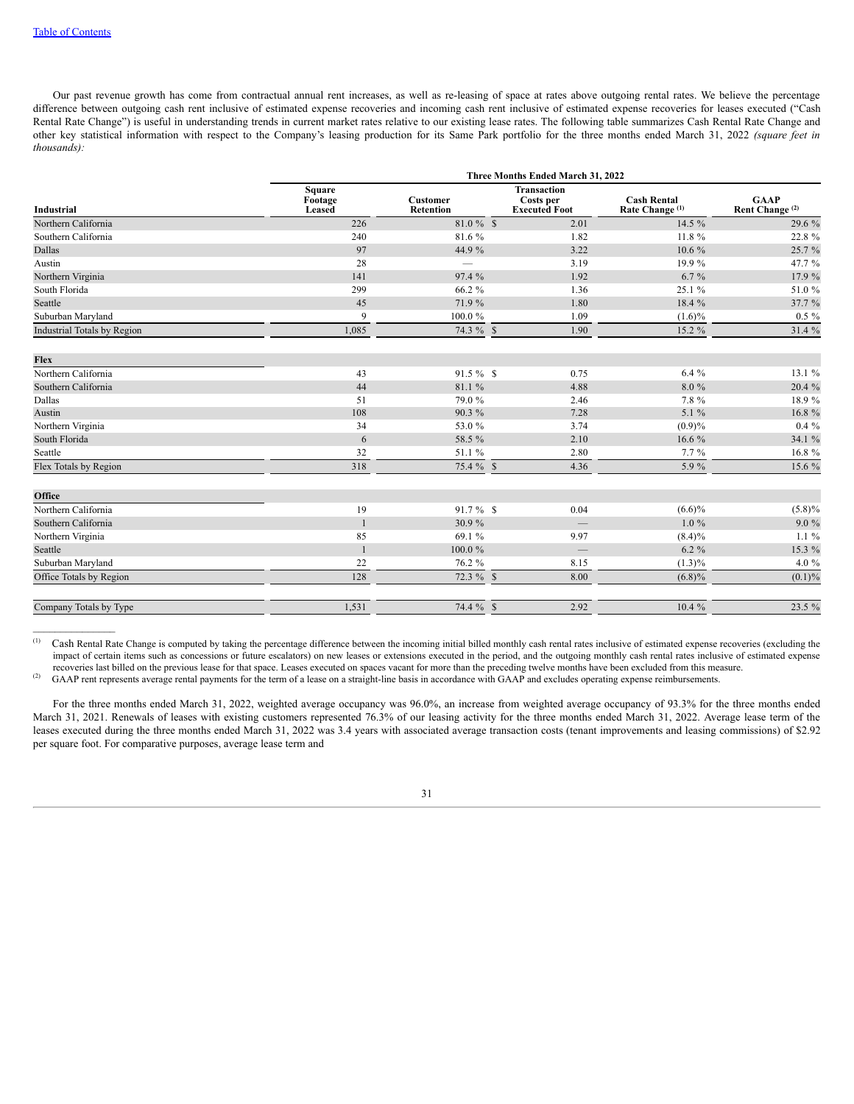$\mathcal{L}_\text{max}$  and  $\mathcal{L}_\text{max}$ 

Our past revenue growth has come from contractual annual rent increases, as well as re-leasing of space at rates above outgoing rental rates. We believe the percentage difference between outgoing cash rent inclusive of estimated expense recoveries and incoming cash rent inclusive of estimated expense recoveries for leases executed ("Cash Rental Rate Change") is useful in understanding trends in current market rates relative to our existing lease rates. The following table summarizes Cash Rental Rate Change and other key statistical information with respect to the Company's leasing production for its Same Park portfolio for the three months ended March 31, 2022 *(square feet in thousands):*

|                                    | Three Months Ended March 31, 2022  |                                     |                                                         |                                                  |                                           |  |  |  |  |
|------------------------------------|------------------------------------|-------------------------------------|---------------------------------------------------------|--------------------------------------------------|-------------------------------------------|--|--|--|--|
| <b>Industrial</b>                  | <b>Square</b><br>Footage<br>Leased | <b>Customer</b><br><b>Retention</b> | <b>Transaction</b><br>Costs per<br><b>Executed Foot</b> | <b>Cash Rental</b><br>Rate Change <sup>(1)</sup> | <b>GAAP</b><br>Rent Change <sup>(2)</sup> |  |  |  |  |
| Northern California                | 226                                | 81.0% \$                            | 2.01                                                    | 14.5%                                            | 29.6 %                                    |  |  |  |  |
| Southern California                | 240                                | 81.6%                               | 1.82                                                    | 11.8 %                                           | 22.8%                                     |  |  |  |  |
| Dallas                             | 97                                 | 44.9%                               | 3.22                                                    | 10.6 %                                           | 25.7%                                     |  |  |  |  |
| Austin                             | 28                                 |                                     | 3.19                                                    | 19.9%                                            | 47.7%                                     |  |  |  |  |
| Northern Virginia                  | 141                                | 97.4 %                              | 1.92                                                    | $6.7 \%$                                         | 17.9 %                                    |  |  |  |  |
| South Florida                      | 299                                | 66.2 %                              | 1.36                                                    | 25.1 %                                           | 51.0%                                     |  |  |  |  |
| Seattle                            | 45                                 | 71.9%                               | 1.80                                                    | 18.4 %                                           | 37.7%                                     |  |  |  |  |
| Suburban Maryland                  | 9                                  | 100.0%                              | 1.09                                                    | $(1.6)\%$                                        | $0.5 \%$                                  |  |  |  |  |
| <b>Industrial Totals by Region</b> | 1,085                              | 74.3 % \$                           | 1.90                                                    | 15.2 %                                           | 31.4%                                     |  |  |  |  |
| <b>Flex</b>                        |                                    |                                     |                                                         |                                                  |                                           |  |  |  |  |
| Northern California                | 43                                 | 91.5 % \$                           | 0.75                                                    | $6.4\%$                                          | 13.1 %                                    |  |  |  |  |
| Southern California                | 44                                 | 81.1%                               | 4.88                                                    | 8.0%                                             | 20.4 %                                    |  |  |  |  |
| Dallas                             | 51                                 | 79.0%                               | 2.46                                                    | 7.8%                                             | 18.9%                                     |  |  |  |  |
| Austin                             | 108                                | 90.3 %                              | 7.28                                                    | $5.1\%$                                          | 16.8%                                     |  |  |  |  |
| Northern Virginia                  | 34                                 | 53.0%                               | 3.74                                                    | $(0.9)\%$                                        | $0.4\%$                                   |  |  |  |  |
| South Florida                      | 6                                  | 58.5 %                              | 2.10                                                    | 16.6 %                                           | 34.1 %                                    |  |  |  |  |
| Seattle                            | 32                                 | 51.1%                               | 2.80                                                    | 7.7 %                                            | 16.8%                                     |  |  |  |  |
| Flex Totals by Region              | 318                                | 75.4 % \$                           | 4.36                                                    | 5.9%                                             | 15.6 %                                    |  |  |  |  |
| Office                             |                                    |                                     |                                                         |                                                  |                                           |  |  |  |  |
| Northern California                | 19                                 | 91.7 % \$                           | 0.04                                                    | $(6.6)\%$                                        | $(5.8)\%$                                 |  |  |  |  |
| Southern California                |                                    | 30.9%                               |                                                         | $1.0 \%$                                         | 9.0%                                      |  |  |  |  |
| Northern Virginia                  | 85                                 | 69.1 %                              | 9.97                                                    | $(8.4)\%$                                        | $1.1\%$                                   |  |  |  |  |
| Seattle                            |                                    | 100.0%                              |                                                         | $6.2 \%$                                         | 15.3 %                                    |  |  |  |  |
| Suburban Maryland                  | 22                                 | 76.2 %                              | 8.15                                                    | $(1.3)\%$                                        | 4.0%                                      |  |  |  |  |
| Office Totals by Region            | 128                                | 72.3 % \$                           | 8.00                                                    | $(6.8)\%$                                        | $(0.1)\%$                                 |  |  |  |  |
| Company Totals by Type             | 1,531                              | 74.4 % \$                           | 2.92                                                    | 10.4 %                                           | 23.5 %                                    |  |  |  |  |

Cash Rental Rate Change is computed by taking the percentage difference between the incoming initial billed monthly cash rental rates inclusive of estimated expense recoveries (excluding the impact of certain items such as concessions or future escalators) on new leases or extensions executed in the period, and the outgoing monthly cash rental rates inclusive of estimated expense recoveries last billed on the previous lease for that space. Leases executed on spaces vacant for more than the preceding twelve months have been excluded from this measure. (1)

GAAP rent represents average rental payments for the term of a lease on a straight-line basis in accordance with GAAP and excludes operating expense reimbursements. (2)

For the three months ended March 31, 2022, weighted average occupancy was 96.0%, an increase from weighted average occupancy of 93.3% for the three months ended March 31, 2021. Renewals of leases with existing customers represented 76.3% of our leasing activity for the three months ended March 31, 2022. Average lease term of the leases executed during the three months ended March 31, 2022 was 3.4 years with associated average transaction costs (tenant improvements and leasing commissions) of \$2.92 per square foot. For comparative purposes, average lease term and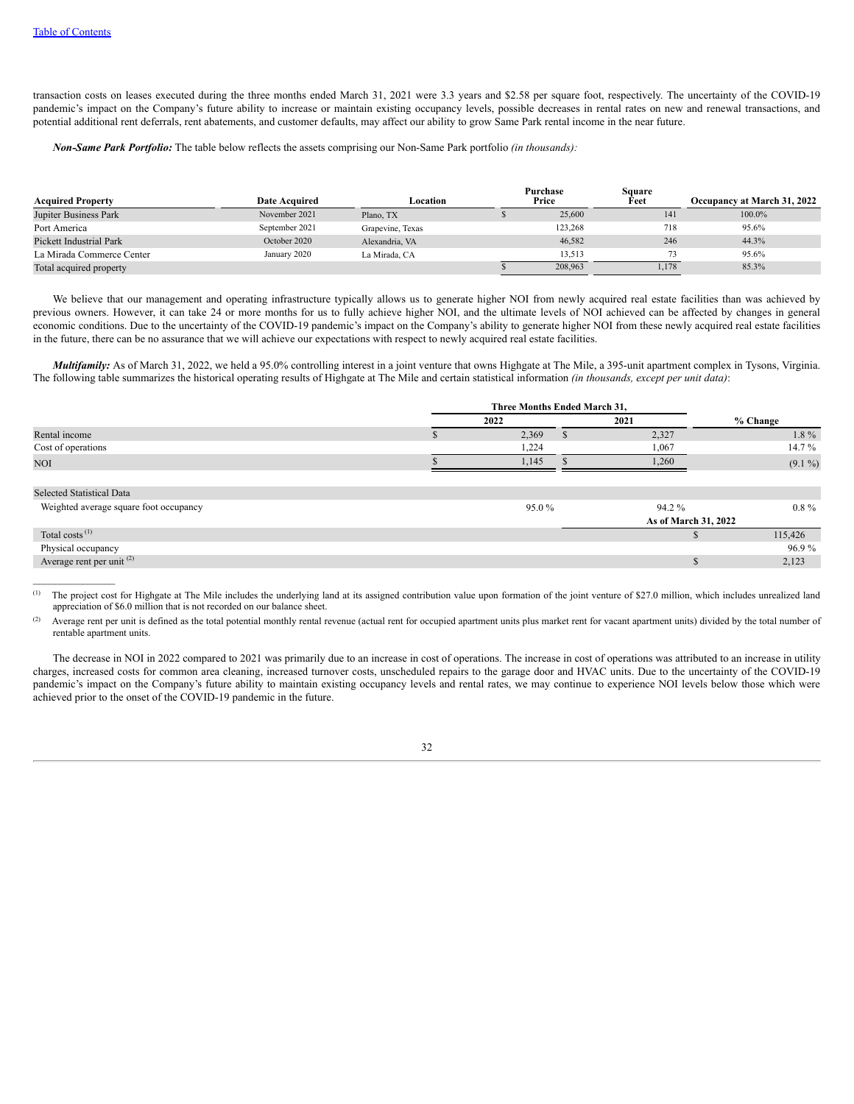$\mathcal{L}_\text{max}$ 

transaction costs on leases executed during the three months ended March 31, 2021 were 3.3 years and \$2.58 per square foot, respectively. The uncertainty of the COVID-19 pandemic's impact on the Company's future ability to increase or maintain existing occupancy levels, possible decreases in rental rates on new and renewal transactions, and potential additional rent deferrals, rent abatements, and customer defaults, may affect our ability to grow Same Park rental income in the near future.

*Non-Same Park Portfolio:* The table below reflects the assets comprising our Non-Same Park portfolio *(in thousands):*

|                           |                      |                  | Purchase | <b>Square</b> |                             |
|---------------------------|----------------------|------------------|----------|---------------|-----------------------------|
| <b>Acquired Property</b>  | <b>Date Acquired</b> | Location         | Price    | Feet          | Occupancy at March 31, 2022 |
| Jupiter Business Park     | November 2021        | Plano. TX        | 25,600   | 141           | $100.0\%$                   |
| Port America              | September 2021       | Grapevine, Texas | 123.268  | 718           | 95.6%                       |
| Pickett Industrial Park   | October 2020         | Alexandria, VA   | 46,582   | 246           | 44.3%                       |
| La Mirada Commerce Center | January 2020         | La Mirada, CA    | 13.513   |               | 95.6%                       |
| Total acquired property   |                      |                  | 208,963  | 1,178         | 85.3%                       |

We believe that our management and operating infrastructure typically allows us to generate higher NOI from newly acquired real estate facilities than was achieved by previous owners. However, it can take 24 or more months for us to fully achieve higher NOI, and the ultimate levels of NOI achieved can be affected by changes in general economic conditions. Due to the uncertainty of the COVID-19 pandemic's impact on the Company's ability to generate higher NOI from these newly acquired real estate facilities in the future, there can be no assurance that we will achieve our expectations with respect to newly acquired real estate facilities.

*Multifamily:* As of March 31, 2022, we held a 95.0% controlling interest in a joint venture that owns Highgate at The Mile, a 395-unit apartment complex in Tysons, Virginia. The following table summarizes the historical operating results of Highgate at The Mile and certain statistical information *(in thousands, except per unit data)*:

|                                        | Three Months Ended March 31, |       |  |                      |           |
|----------------------------------------|------------------------------|-------|--|----------------------|-----------|
|                                        |                              | 2022  |  | 2021                 | % Change  |
| Rental income                          |                              | 2,369 |  | 2,327                | 1.8%      |
| Cost of operations                     |                              | 1,224 |  | 1,067                | $14.7\%$  |
| <b>NOI</b>                             |                              | 1,145 |  | 1,260                | $(9.1\%)$ |
|                                        |                              |       |  |                      |           |
| <b>Selected Statistical Data</b>       |                              |       |  |                      |           |
| Weighted average square foot occupancy |                              | 95.0% |  | 94.2%                | $0.8\%$   |
|                                        |                              |       |  | As of March 31, 2022 |           |
| Total costs <sup>(1)</sup>             |                              |       |  |                      | 115,426   |
| Physical occupancy                     |                              |       |  |                      | 96.9%     |
| Average rent per unit <sup>(2)</sup>   |                              |       |  |                      | 2,123     |

The project cost for Highgate at The Mile includes the underlying land at its assigned contribution value upon formation of the joint venture of \$27.0 million, which includes unrealized land appreciation of \$6.0 million that is not recorded on our balance sheet. (1)

Average rent per unit is defined as the total potential monthly rental revenue (actual rent for occupied apartment units plus market rent for vacant apartment units) divided by the total number of rentable apartment units. (2)

The decrease in NOI in 2022 compared to 2021 was primarily due to an increase in cost of operations. The increase in cost of operations was attributed to an increase in utility charges, increased costs for common area cleaning, increased turnover costs, unscheduled repairs to the garage door and HVAC units. Due to the uncertainty of the COVID-19 pandemic's impact on the Company's future ability to maintain existing occupancy levels and rental rates, we may continue to experience NOI levels below those which were achieved prior to the onset of the COVID-19 pandemic in the future.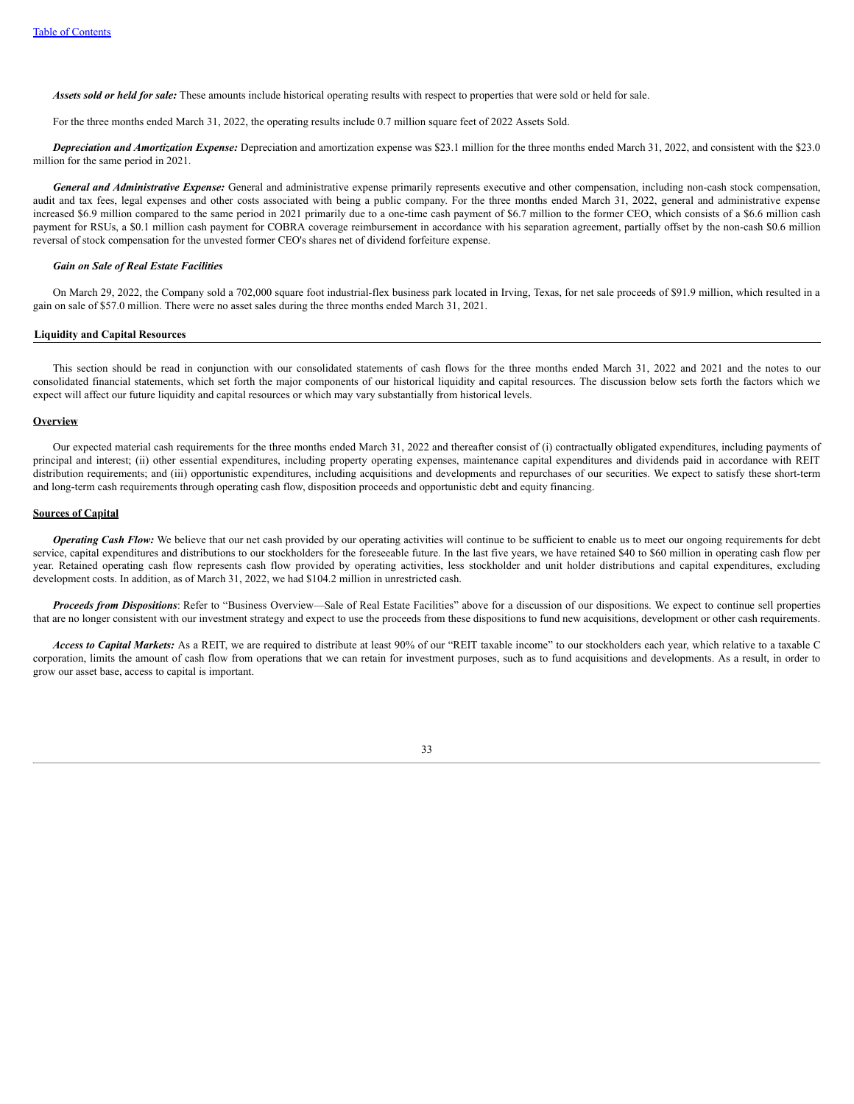*Assets sold or held for sale:* These amounts include historical operating results with respect to properties that were sold or held for sale.

For the three months ended March 31, 2022, the operating results include 0.7 million square feet of 2022 Assets Sold.

*Depreciation and Amortization Expense:* Depreciation and amortization expense was \$23.1 million for the three months ended March 31, 2022, and consistent with the \$23.0 million for the same period in 2021.

*General and Administrative Expense:* General and administrative expense primarily represents executive and other compensation, including non-cash stock compensation, audit and tax fees, legal expenses and other costs associated with being a public company. For the three months ended March 31, 2022, general and administrative expense increased \$6.9 million compared to the same period in 2021 primarily due to a one-time cash payment of \$6.7 million to the former CEO, which consists of a \$6.6 million cash payment for RSUs, a \$0.1 million cash payment for COBRA coverage reimbursement in accordance with his separation agreement, partially offset by the non-cash \$0.6 million reversal of stock compensation for the unvested former CEO's shares net of dividend forfeiture expense.

## *Gain on Sale of Real Estate Facilities*

On March 29, 2022, the Company sold a 702,000 square foot industrial-flex business park located in Irving, Texas, for net sale proceeds of \$91.9 million, which resulted in a gain on sale of \$57.0 million. There were no asset sales during the three months ended March 31, 2021.

## **Liquidity and Capital Resources**

This section should be read in conjunction with our consolidated statements of cash flows for the three months ended March 31, 2022 and 2021 and the notes to our consolidated financial statements, which set forth the major components of our historical liquidity and capital resources. The discussion below sets forth the factors which we expect will affect our future liquidity and capital resources or which may vary substantially from historical levels.

#### **Overview**

Our expected material cash requirements for the three months ended March 31, 2022 and thereafter consist of (i) contractually obligated expenditures, including payments of principal and interest; (ii) other essential expenditures, including property operating expenses, maintenance capital expenditures and dividends paid in accordance with REIT distribution requirements; and (iii) opportunistic expenditures, including acquisitions and developments and repurchases of our securities. We expect to satisfy these short-term and long-term cash requirements through operating cash flow, disposition proceeds and opportunistic debt and equity financing.

#### **Sources of Capital**

*Operating Cash Flow:* We believe that our net cash provided by our operating activities will continue to be sufficient to enable us to meet our ongoing requirements for debt service, capital expenditures and distributions to our stockholders for the foreseeable future. In the last five years, we have retained \$40 to \$60 million in operating cash flow per year. Retained operating cash flow represents cash flow provided by operating activities, less stockholder and unit holder distributions and capital expenditures, excluding development costs. In addition, as of March 31, 2022, we had \$104.2 million in unrestricted cash.

*Proceeds from Dispositions*: Refer to "Business Overview—Sale of Real Estate Facilities" above for a discussion of our dispositions. We expect to continue sell properties that are no longer consistent with our investment strategy and expect to use the proceeds from these dispositions to fund new acquisitions, development or other cash requirements.

*Access to Capital Markets:* As a REIT, we are required to distribute at least 90% of our "REIT taxable income" to our stockholders each year, which relative to a taxable C corporation, limits the amount of cash flow from operations that we can retain for investment purposes, such as to fund acquisitions and developments. As a result, in order to grow our asset base, access to capital is important.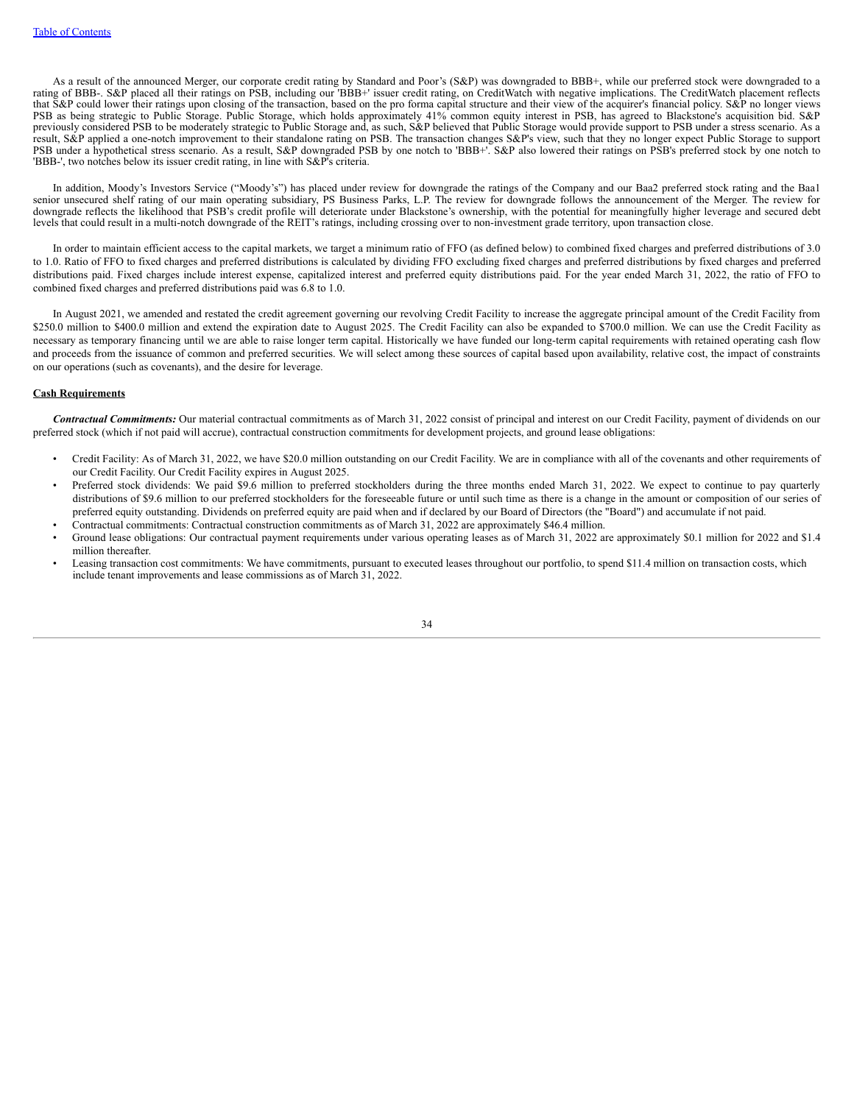As a result of the announced Merger, our corporate credit rating by Standard and Poor's (S&P) was downgraded to BBB+, while our preferred stock were downgraded to a rating of BBB-. S&P placed all their ratings on PSB, including our 'BBB+' issuer credit rating, on CreditWatch with negative implications. The CreditWatch placement reflects that S&P could lower their ratings upon closing of the transaction, based on the pro forma capital structure and their view of the acquirer's financial policy. S&P no longer views PSB as being strategic to Public Storage. Public Storage, which holds approximately 41% common equity interest in PSB, has agreed to Blackstone's acquisition bid. S&P previously considered PSB to be moderately strategic to Public Storage and, as such, S&P believed that Public Storage would provide support to PSB under a stress scenario. As a result, S&P applied a one-notch improvement to their standalone rating on PSB. The transaction changes S&P's view, such that they no longer expect Public Storage to support PSB under a hypothetical stress scenario. As a result, S&P downgraded PSB by one notch to 'BBB+'. S&P also lowered their ratings on PSB's preferred stock by one notch to 'BBB-', two notches below its issuer credit rating, in line with S&P's criteria.

In addition, Moody's Investors Service ("Moody's") has placed under review for downgrade the ratings of the Company and our Baa2 preferred stock rating and the Baa1 senior unsecured shelf rating of our main operating subsidiary, PS Business Parks, L.P. The review for downgrade follows the announcement of the Merger. The review for downgrade reflects the likelihood that PSB's credit profile will deteriorate under Blackstone's ownership, with the potential for meaningfully higher leverage and secured debt levels that could result in a multi-notch downgrade of the REIT's ratings, including crossing over to non-investment grade territory, upon transaction close.

In order to maintain efficient access to the capital markets, we target a minimum ratio of FFO (as defined below) to combined fixed charges and preferred distributions of 3.0 to 1.0. Ratio of FFO to fixed charges and preferred distributions is calculated by dividing FFO excluding fixed charges and preferred distributions by fixed charges and preferred distributions paid. Fixed charges include interest expense, capitalized interest and preferred equity distributions paid. For the year ended March 31, 2022, the ratio of FFO to combined fixed charges and preferred distributions paid was 6.8 to 1.0.

In August 2021, we amended and restated the credit agreement governing our revolving Credit Facility to increase the aggregate principal amount of the Credit Facility from \$250.0 million to \$400.0 million and extend the expiration date to August 2025. The Credit Facility can also be expanded to \$700.0 million. We can use the Credit Facility as necessary as temporary financing until we are able to raise longer term capital. Historically we have funded our long-term capital requirements with retained operating cash flow and proceeds from the issuance of common and preferred securities. We will select among these sources of capital based upon availability, relative cost, the impact of constraints on our operations (such as covenants), and the desire for leverage.

#### **Cash Requirements**

*Contractual Commitments:* Our material contractual commitments as of March 31, 2022 consist of principal and interest on our Credit Facility, payment of dividends on our preferred stock (which if not paid will accrue), contractual construction commitments for development projects, and ground lease obligations:

- Credit Facility: As of March 31, 2022, we have \$20.0 million outstanding on our Credit Facility. We are in compliance with all of the covenants and other requirements of our Credit Facility. Our Credit Facility expires in August 2025.
- Preferred stock dividends: We paid \$9.6 million to preferred stockholders during the three months ended March 31, 2022. We expect to continue to pay quarterly distributions of \$9.6 million to our preferred stockholders for the foreseeable future or until such time as there is a change in the amount or composition of our series of preferred equity outstanding. Dividends on preferred equity are paid when and if declared by our Board of Directors (the "Board") and accumulate if not paid.
- Contractual commitments: Contractual construction commitments as of March 31, 2022 are approximately \$46.4 million. • Ground lease obligations: Our contractual payment requirements under various operating leases as of March 31, 2022 are approximately \$0.1 million for 2022 and \$1.4
- million thereafter.
- Leasing transaction cost commitments: We have commitments, pursuant to executed leases throughout our portfolio, to spend \$11.4 million on transaction costs, which include tenant improvements and lease commissions as of March 31, 2022.

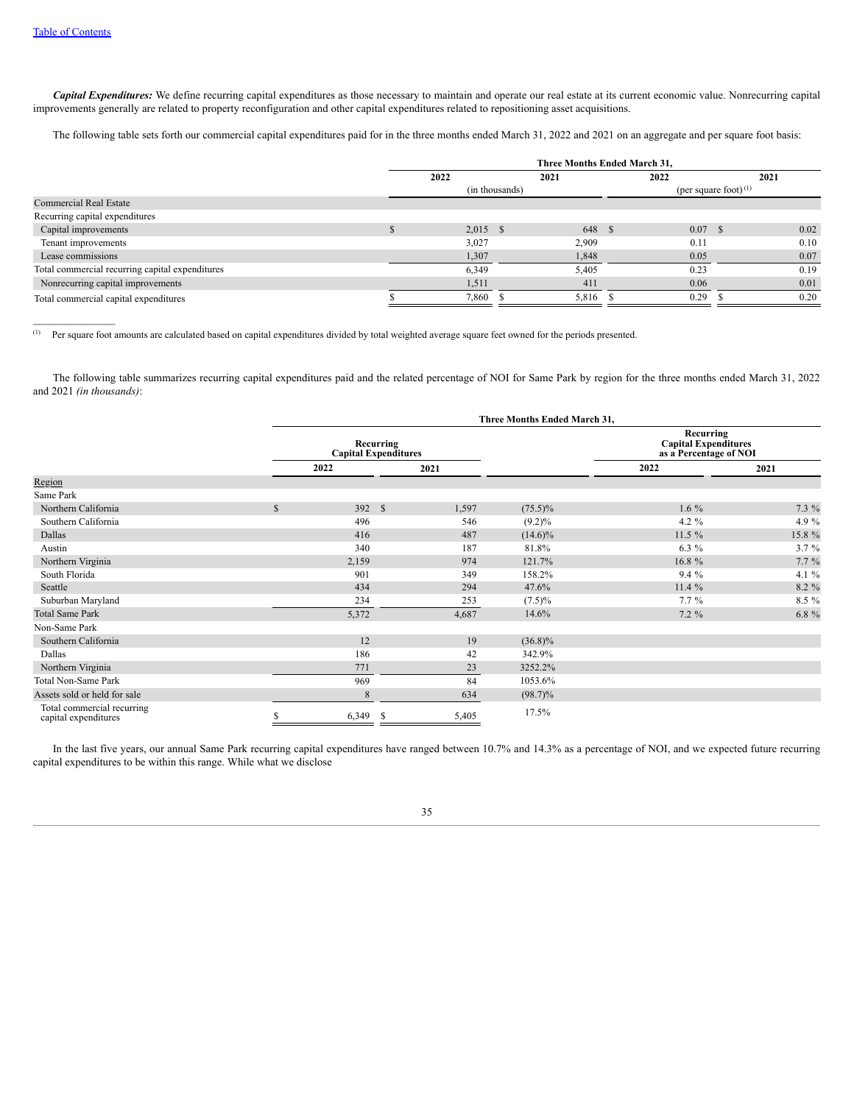$\mathcal{L}_\text{max}$  and  $\mathcal{L}_\text{max}$ 

*Capital Expenditures:* We define recurring capital expenditures as those necessary to maintain and operate our real estate at its current economic value. Nonrecurring capital improvements generally are related to property reconfiguration and other capital expenditures related to repositioning asset acquisitions.

The following table sets forth our commercial capital expenditures paid for in the three months ended March 31, 2022 and 2021 on an aggregate and per square foot basis:

|                                                 | Three Months Ended March 31, |                |        |        |                         |  |
|-------------------------------------------------|------------------------------|----------------|--------|--------|-------------------------|--|
|                                                 |                              | 2022           | 2021   | 2022   | 2021                    |  |
|                                                 |                              | (in thousands) |        |        | (per square foot) $(1)$ |  |
| <b>Commercial Real Estate</b>                   |                              |                |        |        |                         |  |
| Recurring capital expenditures                  |                              |                |        |        |                         |  |
| Capital improvements                            |                              | $2,015$ \$     | 648 \$ | 0.07 S | 0.02                    |  |
| Tenant improvements                             |                              | 3,027          | 2,909  | 0.11   | 0.10                    |  |
| Lease commissions                               |                              | 1,307          | 1,848  | 0.05   | 0.07                    |  |
| Total commercial recurring capital expenditures |                              | 6,349          | 5,405  | 0.23   | 0.19                    |  |
| Nonrecurring capital improvements               |                              | 1,511          | 41     | 0.06   | 0.01                    |  |
| Total commercial capital expenditures           |                              | 7,860          | 5,816  | 0.29   | 0.20                    |  |

Per square foot amounts are calculated based on capital expenditures divided by total weighted average square feet owned for the periods presented. (1)

The following table summarizes recurring capital expenditures paid and the related percentage of NOI for Same Park by region for the three months ended March 31, 2022 and 2021 *(in thousands)*:

|                                                    |              | Three Months Ended March 31,             |            |                   |          |                                                                    |  |
|----------------------------------------------------|--------------|------------------------------------------|------------|-------------------|----------|--------------------------------------------------------------------|--|
|                                                    |              | Recurring<br><b>Capital Expenditures</b> |            |                   |          | Recurring<br><b>Capital Expenditures</b><br>as a Percentage of NOI |  |
|                                                    |              | 2022                                     | 2021       |                   | 2022     | 2021                                                               |  |
| Region                                             |              |                                          |            |                   |          |                                                                    |  |
| Same Park                                          |              |                                          |            |                   |          |                                                                    |  |
| Northern California                                | $\mathbb{S}$ | 392 S                                    | 1,597      | $(75.5)\%$        | $1.6\%$  | 7.3 %                                                              |  |
| Southern California                                |              | 496                                      |            | $(9.2)\%$<br>546  | 4.2 $%$  | 4.9%                                                               |  |
| Dallas                                             |              | 416                                      |            | 487<br>$(14.6)\%$ | 11.5%    | 15.8%                                                              |  |
| Austin                                             |              | 340                                      |            | 187<br>81.8%      | $6.3 \%$ | $3.7\%$                                                            |  |
| Northern Virginia                                  |              | 2,159                                    |            | 121.7%<br>974     | 16.8%    | 7.7%                                                               |  |
| South Florida                                      |              | 901                                      |            | 349<br>158.2%     | $9.4\%$  | 4.1 $%$                                                            |  |
| Seattle                                            |              | 434                                      |            | 47.6%<br>294      | 11.4%    | 8.2%                                                               |  |
| Suburban Maryland                                  |              | 234                                      |            | 253<br>$(7.5)\%$  | $7.7\%$  | 8.5 %                                                              |  |
| <b>Total Same Park</b>                             |              | 5,372                                    | 4,687      | 14.6%             | $7.2\%$  | 6.8%                                                               |  |
| Non-Same Park                                      |              |                                          |            |                   |          |                                                                    |  |
| Southern California                                |              | 12                                       |            | 19<br>$(36.8)\%$  |          |                                                                    |  |
| Dallas                                             |              | 186                                      |            | 342.9%<br>42      |          |                                                                    |  |
| Northern Virginia                                  |              | 771                                      |            | 23<br>3252.2%     |          |                                                                    |  |
| <b>Total Non-Same Park</b>                         |              | 969                                      |            | 1053.6%<br>84     |          |                                                                    |  |
| Assets sold or held for sale                       |              | 8                                        |            | 634<br>$(98.7)\%$ |          |                                                                    |  |
| Total commercial recurring<br>capital expenditures | S            | 6,349                                    | 5,405<br>S | 17.5%             |          |                                                                    |  |

In the last five years, our annual Same Park recurring capital expenditures have ranged between 10.7% and 14.3% as a percentage of NOI, and we expected future recurring capital expenditures to be within this range. While what we disclose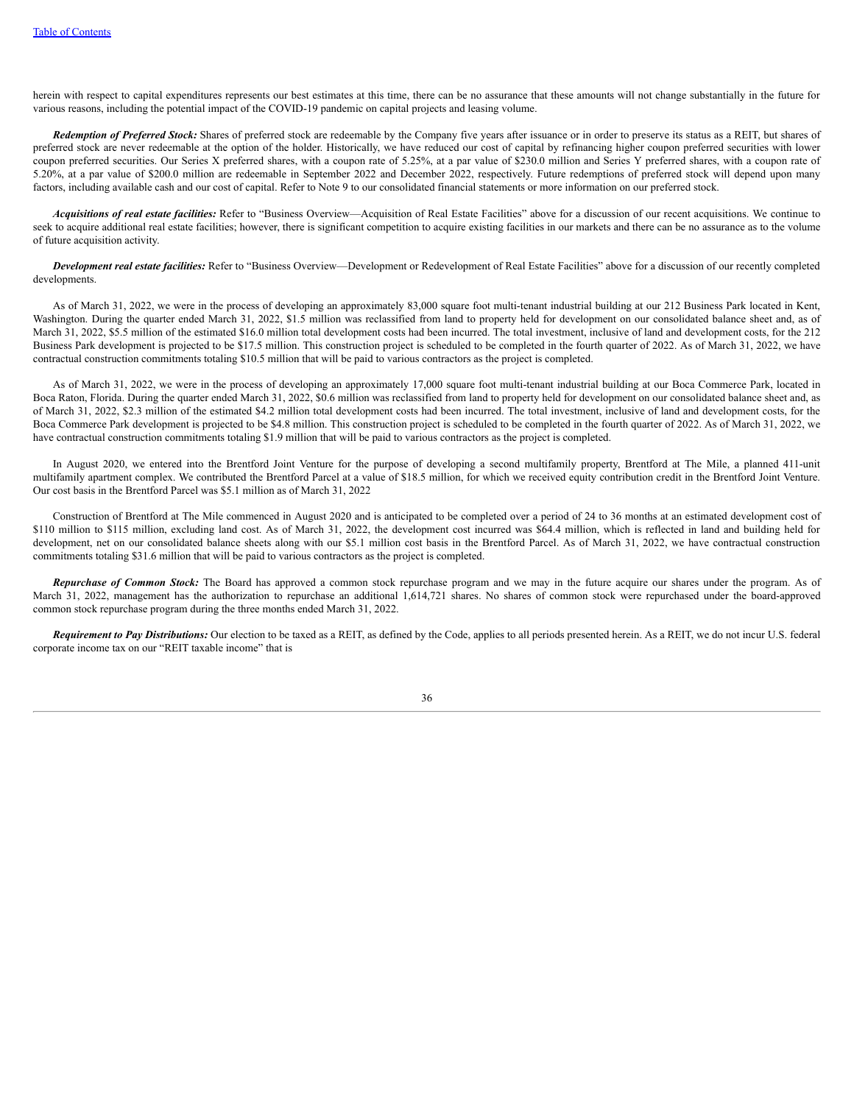herein with respect to capital expenditures represents our best estimates at this time, there can be no assurance that these amounts will not change substantially in the future for various reasons, including the potential impact of the COVID-19 pandemic on capital projects and leasing volume.

*Redemption of Preferred Stock:* Shares of preferred stock are redeemable by the Company five years after issuance or in order to preserve its status as a REIT, but shares of preferred stock are never redeemable at the option of the holder. Historically, we have reduced our cost of capital by refinancing higher coupon preferred securities with lower coupon preferred securities. Our Series X preferred shares, with a coupon rate of 5.25%, at a par value of \$230.0 million and Series Y preferred shares, with a coupon rate of 5.20%, at a par value of \$200.0 million are redeemable in September 2022 and December 2022, respectively. Future redemptions of preferred stock will depend upon many factors, including available cash and our cost of capital. Refer to Note 9 to our consolidated financial statements or more information on our preferred stock.

*Acquisitions of real estate facilities:* Refer to "Business Overview—Acquisition of Real Estate Facilities" above for a discussion of our recent acquisitions. We continue to seek to acquire additional real estate facilities; however, there is significant competition to acquire existing facilities in our markets and there can be no assurance as to the volume of future acquisition activity.

*Development real estate facilities:* Refer to "Business Overview—Development or Redevelopment of Real Estate Facilities" above for a discussion of our recently completed developments.

As of March 31, 2022, we were in the process of developing an approximately 83,000 square foot multi-tenant industrial building at our 212 Business Park located in Kent, Washington. During the quarter ended March 31, 2022, \$1.5 million was reclassified from land to property held for development on our consolidated balance sheet and, as of March 31, 2022, \$5.5 million of the estimated \$16.0 million total development costs had been incurred. The total investment, inclusive of land and development costs, for the 212 Business Park development is projected to be \$17.5 million. This construction project is scheduled to be completed in the fourth quarter of 2022. As of March 31, 2022, we have contractual construction commitments totaling \$10.5 million that will be paid to various contractors as the project is completed.

As of March 31, 2022, we were in the process of developing an approximately 17,000 square foot multi-tenant industrial building at our Boca Commerce Park, located in Boca Raton, Florida. During the quarter ended March 31, 2022, \$0.6 million was reclassified from land to property held for development on our consolidated balance sheet and, as of March 31, 2022, \$2.3 million of the estimated \$4.2 million total development costs had been incurred. The total investment, inclusive of land and development costs, for the Boca Commerce Park development is projected to be \$4.8 million. This construction project is scheduled to be completed in the fourth quarter of 2022. As of March 31, 2022, we have contractual construction commitments totaling \$1.9 million that will be paid to various contractors as the project is completed.

In August 2020, we entered into the Brentford Joint Venture for the purpose of developing a second multifamily property, Brentford at The Mile, a planned 411-unit multifamily apartment complex. We contributed the Brentford Parcel at a value of \$18.5 million, for which we received equity contribution credit in the Brentford Joint Venture. Our cost basis in the Brentford Parcel was \$5.1 million as of March 31, 2022

Construction of Brentford at The Mile commenced in August 2020 and is anticipated to be completed over a period of 24 to 36 months at an estimated development cost of \$110 million to \$115 million, excluding land cost. As of March 31, 2022, the development cost incurred was \$64.4 million, which is reflected in land and building held for development, net on our consolidated balance sheets along with our \$5.1 million cost basis in the Brentford Parcel. As of March 31, 2022, we have contractual construction commitments totaling \$31.6 million that will be paid to various contractors as the project is completed.

*Repurchase of Common Stock:* The Board has approved a common stock repurchase program and we may in the future acquire our shares under the program. As of March 31, 2022, management has the authorization to repurchase an additional 1,614,721 shares. No shares of common stock were repurchased under the board-approved common stock repurchase program during the three months ended March 31, 2022.

*Requirement to Pay Distributions:* Our election to be taxed as a REIT, as defined by the Code, applies to all periods presented herein. As a REIT, we do not incur U.S. federal corporate income tax on our "REIT taxable income" that is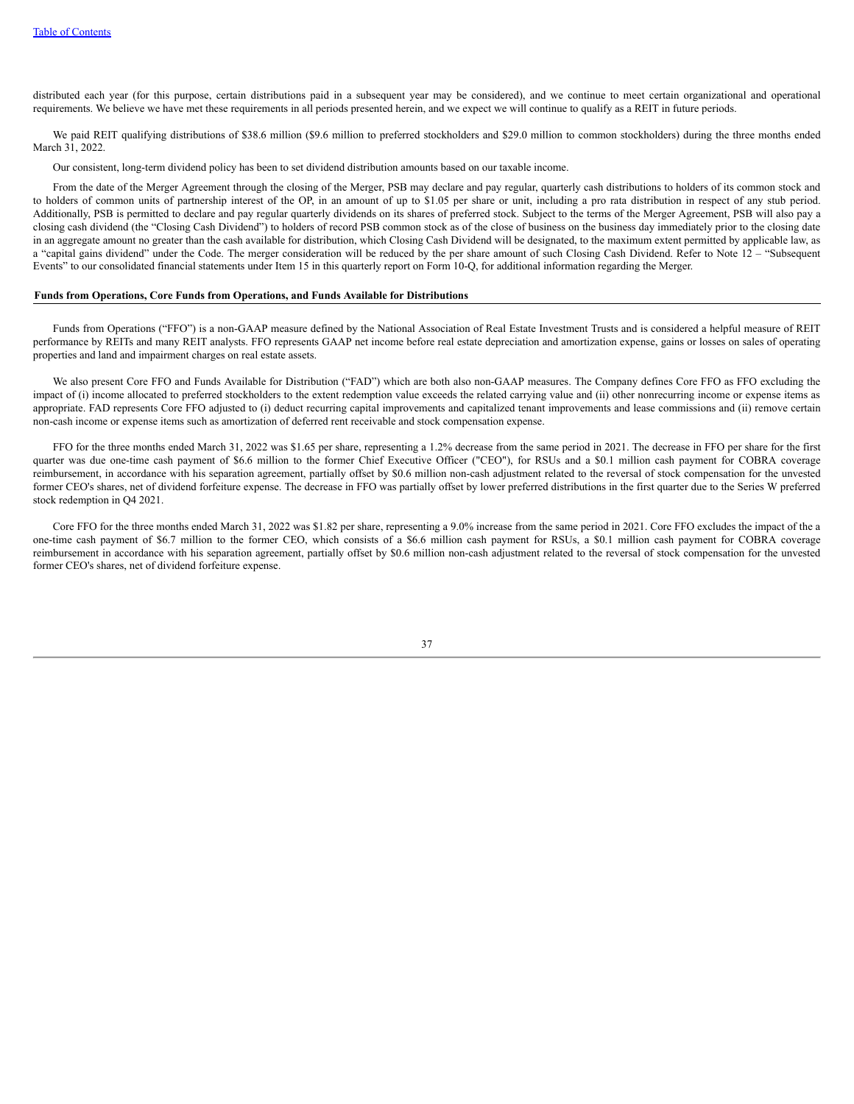distributed each year (for this purpose, certain distributions paid in a subsequent year may be considered), and we continue to meet certain organizational and operational requirements. We believe we have met these requirements in all periods presented herein, and we expect we will continue to qualify as a REIT in future periods.

We paid REIT qualifying distributions of \$38.6 million (\$9.6 million to preferred stockholders and \$29.0 million to common stockholders) during the three months ended March 31, 2022.

Our consistent, long-term dividend policy has been to set dividend distribution amounts based on our taxable income.

From the date of the Merger Agreement through the closing of the Merger, PSB may declare and pay regular, quarterly cash distributions to holders of its common stock and to holders of common units of partnership interest of the OP, in an amount of up to \$1.05 per share or unit, including a pro rata distribution in respect of any stub period. Additionally, PSB is permitted to declare and pay regular quarterly dividends on its shares of preferred stock. Subject to the terms of the Merger Agreement, PSB will also pay a closing cash dividend (the "Closing Cash Dividend") to holders of record PSB common stock as of the close of business on the business day immediately prior to the closing date in an aggregate amount no greater than the cash available for distribution, which Closing Cash Dividend will be designated, to the maximum extent permitted by applicable law, as a "capital gains dividend" under the Code. The merger consideration will be reduced by the per share amount of such Closing Cash Dividend. Refer to Note 12 - "Subsequent Events" to our consolidated financial statements under Item 15 in this quarterly report on Form 10-Q, for additional information regarding the Merger.

#### **Funds from Operations, Core Funds from Operations, and Funds Available for Distributions**

Funds from Operations ("FFO") is a non-GAAP measure defined by the National Association of Real Estate Investment Trusts and is considered a helpful measure of REIT performance by REITs and many REIT analysts. FFO represents GAAP net income before real estate depreciation and amortization expense, gains or losses on sales of operating properties and land and impairment charges on real estate assets.

We also present Core FFO and Funds Available for Distribution ("FAD") which are both also non-GAAP measures. The Company defines Core FFO as FFO excluding the impact of (i) income allocated to preferred stockholders to the extent redemption value exceeds the related carrying value and (ii) other nonrecurring income or expense items as appropriate. FAD represents Core FFO adjusted to (i) deduct recurring capital improvements and capitalized tenant improvements and lease commissions and (ii) remove certain non-cash income or expense items such as amortization of deferred rent receivable and stock compensation expense.

FFO for the three months ended March 31, 2022 was \$1.65 per share, representing a 1.2% decrease from the same period in 2021. The decrease in FFO per share for the first quarter was due one-time cash payment of \$6.6 million to the former Chief Executive Officer ("CEO"), for RSUs and a \$0.1 million cash payment for COBRA coverage reimbursement, in accordance with his separation agreement, partially offset by \$0.6 million non-cash adjustment related to the reversal of stock compensation for the unvested former CEO's shares, net of dividend forfeiture expense. The decrease in FFO was partially offset by lower preferred distributions in the first quarter due to the Series W preferred stock redemption in Q4 2021.

Core FFO for the three months ended March 31, 2022 was \$1.82 per share, representing a 9.0% increase from the same period in 2021. Core FFO excludes the impact of the a one-time cash payment of \$6.7 million to the former CEO, which consists of a \$6.6 million cash payment for RSUs, a \$0.1 million cash payment for COBRA coverage reimbursement in accordance with his separation agreement, partially offset by \$0.6 million non-cash adjustment related to the reversal of stock compensation for the unvested former CEO's shares, net of dividend forfeiture expense.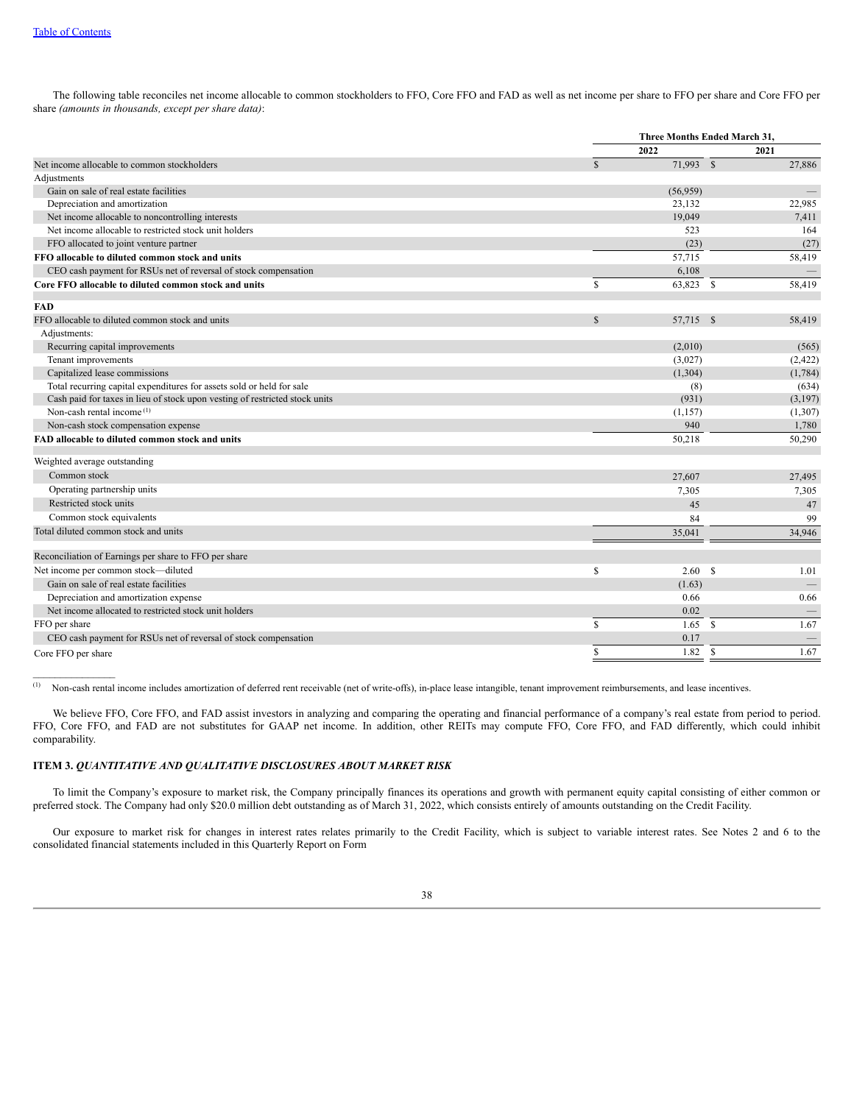$\mathcal{L}_\text{max}$ 

The following table reconciles net income allocable to common stockholders to FFO, Core FFO and FAD as well as net income per share to FFO per share and Core FFO per share *(amounts in thousands, except per share data)*:

|                                                                             |               | Three Months Ended March 31, |              |          |
|-----------------------------------------------------------------------------|---------------|------------------------------|--------------|----------|
|                                                                             |               | 2022                         |              | 2021     |
| Net income allocable to common stockholders                                 | $\mathcal{S}$ | 71,993 \$                    |              | 27,886   |
| Adjustments                                                                 |               |                              |              |          |
| Gain on sale of real estate facilities                                      |               | (56,959)                     |              |          |
| Depreciation and amortization                                               |               | 23.132                       |              | 22,985   |
| Net income allocable to noncontrolling interests                            |               | 19,049                       |              | 7,411    |
| Net income allocable to restricted stock unit holders                       |               | 523                          |              | 164      |
| FFO allocated to joint venture partner                                      |               | (23)                         |              | (27)     |
| FFO allocable to diluted common stock and units                             |               | 57,715                       |              | 58,419   |
| CEO cash payment for RSUs net of reversal of stock compensation             |               | 6,108                        |              |          |
| Core FFO allocable to diluted common stock and units                        | $\mathbb{S}$  | 63,823 \$                    |              | 58,419   |
| FAD                                                                         |               |                              |              |          |
| FFO allocable to diluted common stock and units                             | $\mathbb{S}$  | 57,715 \$                    |              | 58,419   |
| Adjustments:                                                                |               |                              |              |          |
| Recurring capital improvements                                              |               | (2,010)                      |              | (565)    |
| Tenant improvements                                                         |               | (3,027)                      |              | (2, 422) |
| Capitalized lease commissions                                               |               | (1,304)                      |              | (1,784)  |
| Total recurring capital expenditures for assets sold or held for sale       |               | (8)                          |              | (634)    |
| Cash paid for taxes in lieu of stock upon vesting of restricted stock units |               | (931)                        |              | (3,197)  |
| Non-cash rental income <sup>(1)</sup>                                       |               | (1, 157)                     |              | (1,307)  |
| Non-cash stock compensation expense                                         |               | 940                          |              | 1,780    |
| FAD allocable to diluted common stock and units                             |               | 50,218                       |              | 50,290   |
| Weighted average outstanding                                                |               |                              |              |          |
| Common stock                                                                |               | 27,607                       |              | 27,495   |
| Operating partnership units                                                 |               | 7.305                        |              | 7,305    |
| Restricted stock units                                                      |               | 45                           |              | 47       |
| Common stock equivalents                                                    |               | 84                           |              | 99       |
| Total diluted common stock and units                                        |               | 35,041                       |              | 34,946   |
| Reconciliation of Earnings per share to FFO per share                       |               |                              |              |          |
| Net income per common stock-diluted                                         | \$            | 2.60 S                       |              | 1.01     |
| Gain on sale of real estate facilities                                      |               | (1.63)                       |              |          |
| Depreciation and amortization expense                                       |               | 0.66                         |              | 0.66     |
| Net income allocated to restricted stock unit holders                       |               | 0.02                         |              |          |
| FFO per share                                                               | S.            | 1.65 S                       |              | 1.67     |
| CEO cash payment for RSUs net of reversal of stock compensation             |               | 0.17                         |              |          |
| Core FFO per share                                                          | \$            | 1.82                         | <sup>S</sup> | 1.67     |
|                                                                             |               |                              |              |          |

Non-cash rental income includes amortization of deferred rent receivable (net of write-offs), in-place lease intangible, tenant improvement reimbursements, and lease incentives. (1)

We believe FFO, Core FFO, and FAD assist investors in analyzing and comparing the operating and financial performance of a company's real estate from period to period. FFO, Core FFO, and FAD are not substitutes for GAAP net income. In addition, other REITs may compute FFO, Core FFO, and FAD differently, which could inhibit comparability.

# <span id="page-37-0"></span>**ITEM 3.** *QUANTITATIVE AND QUALITATIVE DISCLOSURES ABOUT MARKET RISK*

To limit the Company's exposure to market risk, the Company principally finances its operations and growth with permanent equity capital consisting of either common or preferred stock. The Company had only \$20.0 million debt outstanding as of March 31, 2022, which consists entirely of amounts outstanding on the Credit Facility.

Our exposure to market risk for changes in interest rates relates primarily to the Credit Facility, which is subject to variable interest rates. See Notes 2 and 6 to the consolidated financial statements included in this Quarterly Report on Form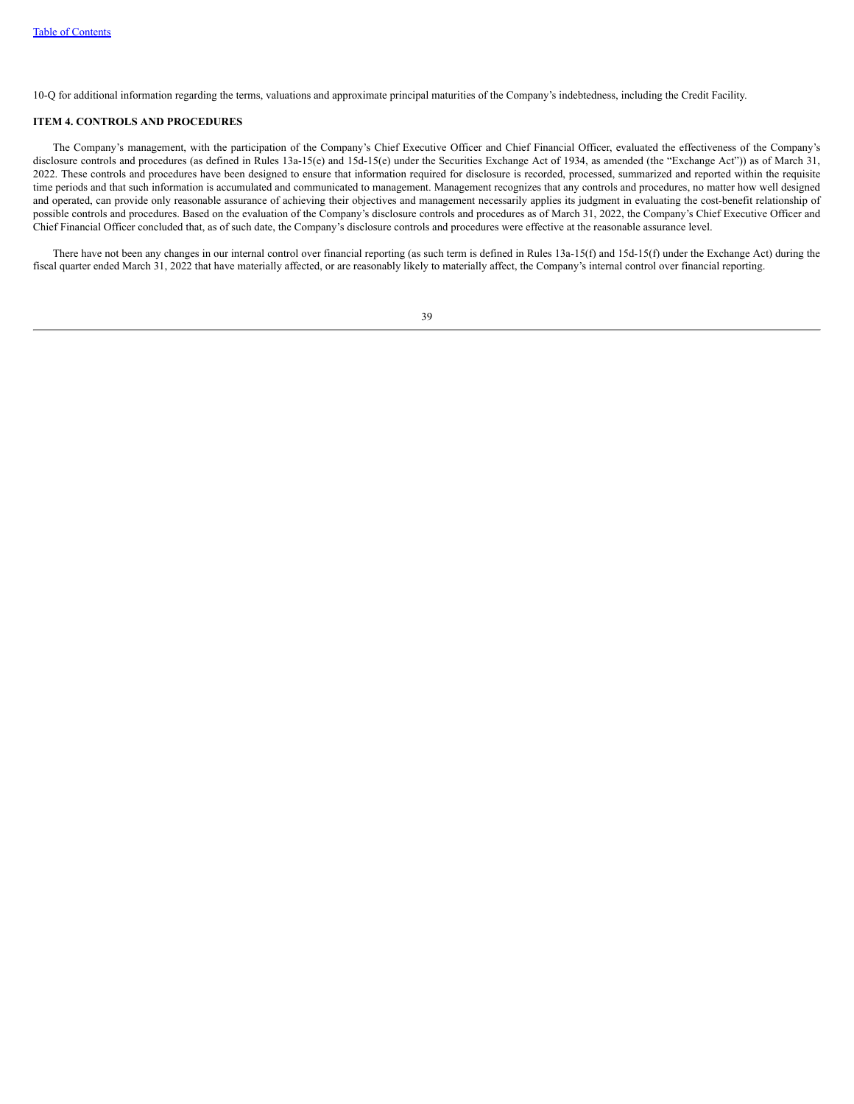<span id="page-38-0"></span>10-Q for additional information regarding the terms, valuations and approximate principal maturities of the Company's indebtedness, including the Credit Facility.

# **ITEM 4. CONTROLS AND PROCEDURES**

The Company's management, with the participation of the Company's Chief Executive Officer and Chief Financial Officer, evaluated the effectiveness of the Company's disclosure controls and procedures (as defined in Rules 13a-15(e) and 15d-15(e) under the Securities Exchange Act of 1934, as amended (the "Exchange Act")) as of March 31, 2022. These controls and procedures have been designed to ensure that information required for disclosure is recorded, processed, summarized and reported within the requisite time periods and that such information is accumulated and communicated to management. Management recognizes that any controls and procedures, no matter how well designed and operated, can provide only reasonable assurance of achieving their objectives and management necessarily applies its judgment in evaluating the cost-benefit relationship of possible controls and procedures. Based on the evaluation of the Company's disclosure controls and procedures as of March 31, 2022, the Company's Chief Executive Officer and Chief Financial Officer concluded that, as of such date, the Company's disclosure controls and procedures were effective at the reasonable assurance level.

<span id="page-38-1"></span>There have not been any changes in our internal control over financial reporting (as such term is defined in Rules 13a-15(f) and 15d-15(f) under the Exchange Act) during the fiscal quarter ended March 31, 2022 that have materially affected, or are reasonably likely to materially affect, the Company's internal control over financial reporting.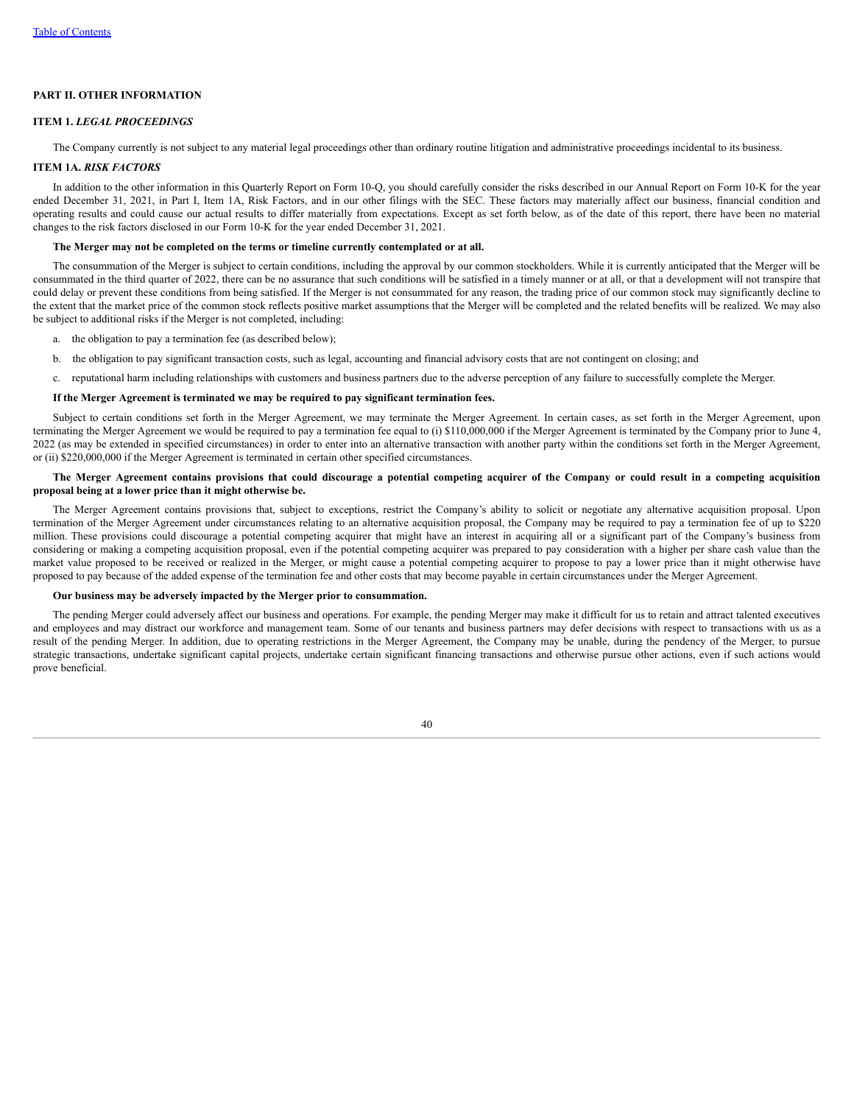# <span id="page-39-0"></span>**PART II. OTHER INFORMATION**

## **ITEM 1.** *LEGAL PROCEEDINGS*

The Company currently is not subject to any material legal proceedings other than ordinary routine litigation and administrative proceedings incidental to its business.

#### <span id="page-39-1"></span>**ITEM 1A.** *RISK FACTORS*

In addition to the other information in this Quarterly Report on Form 10-Q, you should carefully consider the risks described in our Annual Report on Form 10-K for the year ended December 31, 2021, in Part I, Item 1A, Risk Factors, and in our other filings with the SEC. These factors may materially affect our business, financial condition and operating results and could cause our actual results to differ materially from expectations. Except as set forth below, as of the date of this report, there have been no material changes to the risk factors disclosed in our Form 10-K for the year ended December 31, 2021.

## **The Merger may not be completed on the terms or timeline currently contemplated or at all.**

The consummation of the Merger is subject to certain conditions, including the approval by our common stockholders. While it is currently anticipated that the Merger will be consummated in the third quarter of 2022, there can be no assurance that such conditions will be satisfied in a timely manner or at all, or that a development will not transpire that could delay or prevent these conditions from being satisfied. If the Merger is not consummated for any reason, the trading price of our common stock may significantly decline to the extent that the market price of the common stock reflects positive market assumptions that the Merger will be completed and the related benefits will be realized. We may also be subject to additional risks if the Merger is not completed, including:

- a. the obligation to pay a termination fee (as described below);
- b. the obligation to pay significant transaction costs, such as legal, accounting and financial advisory costs that are not contingent on closing; and
- c. reputational harm including relationships with customers and business partners due to the adverse perception of any failure to successfully complete the Merger.

#### **If the Merger Agreement is terminated we may be required to pay significant termination fees.**

Subject to certain conditions set forth in the Merger Agreement, we may terminate the Merger Agreement. In certain cases, as set forth in the Merger Agreement, upon terminating the Merger Agreement we would be required to pay a termination fee equal to (i) \$110,000,000 if the Merger Agreement is terminated by the Company prior to June 4, 2022 (as may be extended in specified circumstances) in order to enter into an alternative transaction with another party within the conditions set forth in the Merger Agreement, or (ii) \$220,000,000 if the Merger Agreement is terminated in certain other specified circumstances.

## The Merger Agreement contains provisions that could discourage a potential competing acquirer of the Company or could result in a competing acquisition **proposal being at a lower price than it might otherwise be.**

The Merger Agreement contains provisions that, subject to exceptions, restrict the Company's ability to solicit or negotiate any alternative acquisition proposal. Upon termination of the Merger Agreement under circumstances relating to an alternative acquisition proposal, the Company may be required to pay a termination fee of up to \$220 million. These provisions could discourage a potential competing acquirer that might have an interest in acquiring all or a significant part of the Company's business from considering or making a competing acquisition proposal, even if the potential competing acquirer was prepared to pay consideration with a higher per share cash value than the market value proposed to be received or realized in the Merger, or might cause a potential competing acquirer to propose to pay a lower price than it might otherwise have proposed to pay because of the added expense of the termination fee and other costs that may become payable in certain circumstances under the Merger Agreement.

#### **Our business may be adversely impacted by the Merger prior to consummation.**

The pending Merger could adversely affect our business and operations. For example, the pending Merger may make it difficult for us to retain and attract talented executives and employees and may distract our workforce and management team. Some of our tenants and business partners may defer decisions with respect to transactions with us as a result of the pending Merger. In addition, due to operating restrictions in the Merger Agreement, the Company may be unable, during the pendency of the Merger, to pursue strategic transactions, undertake significant capital projects, undertake certain significant financing transactions and otherwise pursue other actions, even if such actions would prove beneficial.

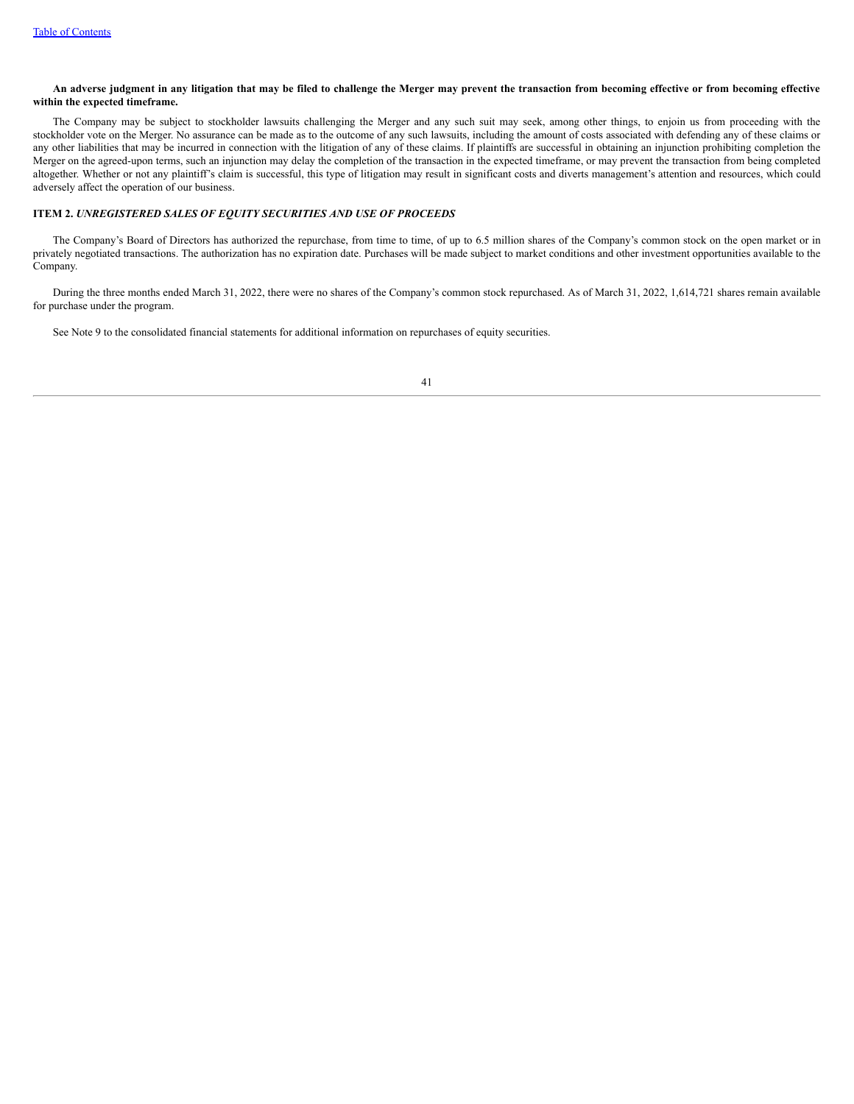# An adverse judgment in any litigation that may be filed to challenge the Merger may prevent the transaction from becoming effective or from becoming effective **within the expected timeframe.**

The Company may be subject to stockholder lawsuits challenging the Merger and any such suit may seek, among other things, to enjoin us from proceeding with the stockholder vote on the Merger. No assurance can be made as to the outcome of any such lawsuits, including the amount of costs associated with defending any of these claims or any other liabilities that may be incurred in connection with the litigation of any of these claims. If plaintiffs are successful in obtaining an injunction prohibiting completion the Merger on the agreed-upon terms, such an injunction may delay the completion of the transaction in the expected timeframe, or may prevent the transaction from being completed altogether. Whether or not any plaintiff's claim is successful, this type of litigation may result in significant costs and diverts management's attention and resources, which could adversely affect the operation of our business.

# <span id="page-40-0"></span>**ITEM 2.** *UNREGISTERED SALES OF EQUITY SECURITIES AND USE OF PROCEEDS*

The Company's Board of Directors has authorized the repurchase, from time to time, of up to 6.5 million shares of the Company's common stock on the open market or in privately negotiated transactions. The authorization has no expiration date. Purchases will be made subject to market conditions and other investment opportunities available to the Company.

During the three months ended March 31, 2022, there were no shares of the Company's common stock repurchased. As of March 31, 2022, 1,614,721 shares remain available for purchase under the program.

<span id="page-40-1"></span>See Note 9 to the consolidated financial statements for additional information on repurchases of equity securities.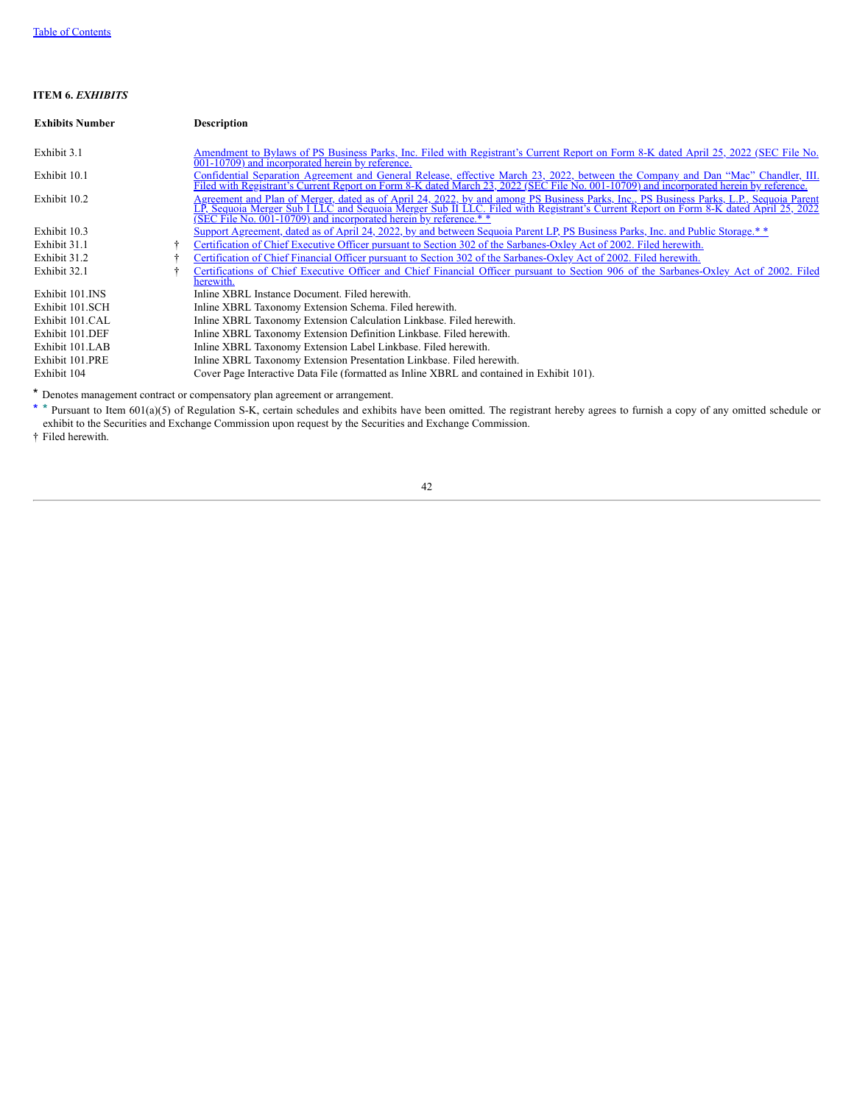# **ITEM 6.** *EXHIBITS*

| <b>Exhibits Number</b> | <b>Description</b>                                                                                                                                                                                                                                                                                    |
|------------------------|-------------------------------------------------------------------------------------------------------------------------------------------------------------------------------------------------------------------------------------------------------------------------------------------------------|
| Exhibit 3.1            | Amendment to Bylaws of PS Business Parks, Inc. Filed with Registrant's Current Report on Form 8-K dated April 25, 2022 (SEC File No.<br>001-10709) and incorporated herein by reference.                                                                                                              |
| Exhibit 10.1           | Confidential Separation Agreement and General Release, effective March 23, 2022, between the Company and Dan "Mac" Chandler, III.<br>Filed with Registrant's Current Report on Form 8-K dated March 23, 2022 (SEC File No. 001-10                                                                     |
| Exhibit 10.2           | Agreement and Plan of Merger, dated as of April 24, 2022, by and among PS Business Parks, Inc., PS Business Parks, L.P., Sequoia Parent<br>LP, Sequoia Merger Sub I LLC and Sequoia Merger Sub II LLC. Filed with Registrant's Cu<br>(SEC File No. 001-10709) and incorporated herein by reference.** |
| Exhibit 10.3           | Support Agreement, dated as of April 24, 2022, by and between Sequoia Parent LP, PS Business Parks, Inc. and Public Storage.**                                                                                                                                                                        |
| Exhibit 31.1           | Certification of Chief Executive Officer pursuant to Section 302 of the Sarbanes-Oxley Act of 2002. Filed herewith.                                                                                                                                                                                   |
| Exhibit 31.2           | Certification of Chief Financial Officer pursuant to Section 302 of the Sarbanes-Oxley Act of 2002. Filed herewith.                                                                                                                                                                                   |
| Exhibit 32.1           | Certifications of Chief Executive Officer and Chief Financial Officer pursuant to Section 906 of the Sarbanes-Oxley Act of 2002. Filed<br>herewith.                                                                                                                                                   |
| Exhibit 101.INS        | Inline XBRL Instance Document. Filed herewith.                                                                                                                                                                                                                                                        |
| Exhibit 101.SCH        | Inline XBRL Taxonomy Extension Schema. Filed herewith.                                                                                                                                                                                                                                                |
| Exhibit 101 CAL        | Inline XBRL Taxonomy Extension Calculation Linkbase. Filed herewith.                                                                                                                                                                                                                                  |
| Exhibit 101.DEF        | Inline XBRL Taxonomy Extension Definition Linkbase. Filed herewith.                                                                                                                                                                                                                                   |
| Exhibit 101 LAB        | Inline XBRL Taxonomy Extension Label Linkbase. Filed herewith.                                                                                                                                                                                                                                        |
| Exhibit 101.PRE        | Inline XBRL Taxonomy Extension Presentation Linkbase. Filed herewith.                                                                                                                                                                                                                                 |
| Exhibit 104            | Cover Page Interactive Data File (formatted as Inline XBRL and contained in Exhibit 101).                                                                                                                                                                                                             |

\* Denotes management contract or compensatory plan agreement or arrangement.

 $*$  \* Pursuant to Item 601(a)(5) of Regulation S-K, certain schedules and exhibits have been omitted. The registrant hereby agrees to furnish a copy of any omitted schedule or  $*$  \* Pursuant to Item 601(a)(5) of Regulatio exhibit to the Securities and Exchange Commission upon request by the Securities and Exchange Commission.

† Filed herewith.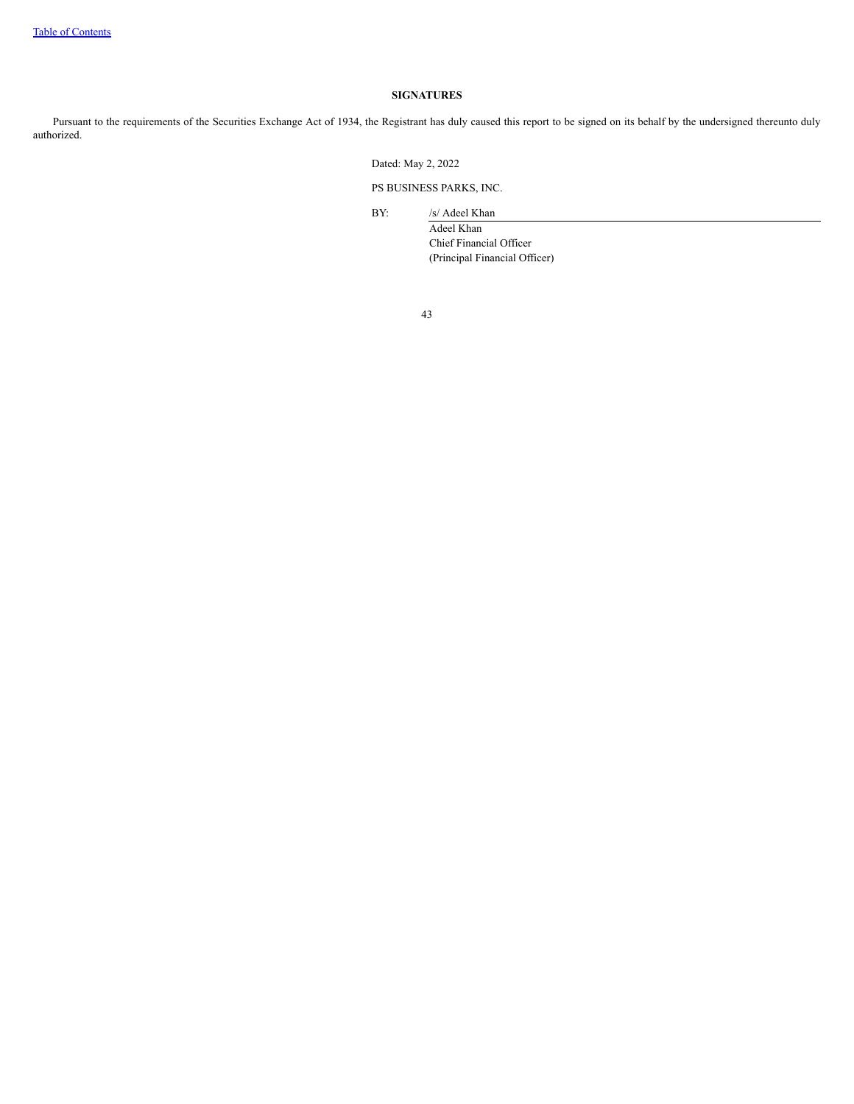# **SIGNATURES**

Pursuant to the requirements of the Securities Exchange Act of 1934, the Registrant has duly caused this report to be signed on its behalf by the undersigned thereunto duly authorized.

Dated: May 2, 2022

PS BUSINESS PARKS, INC.

BY: /s/ Adeel Khan

Adeel Khan Chief Financial Officer (Principal Financial Officer)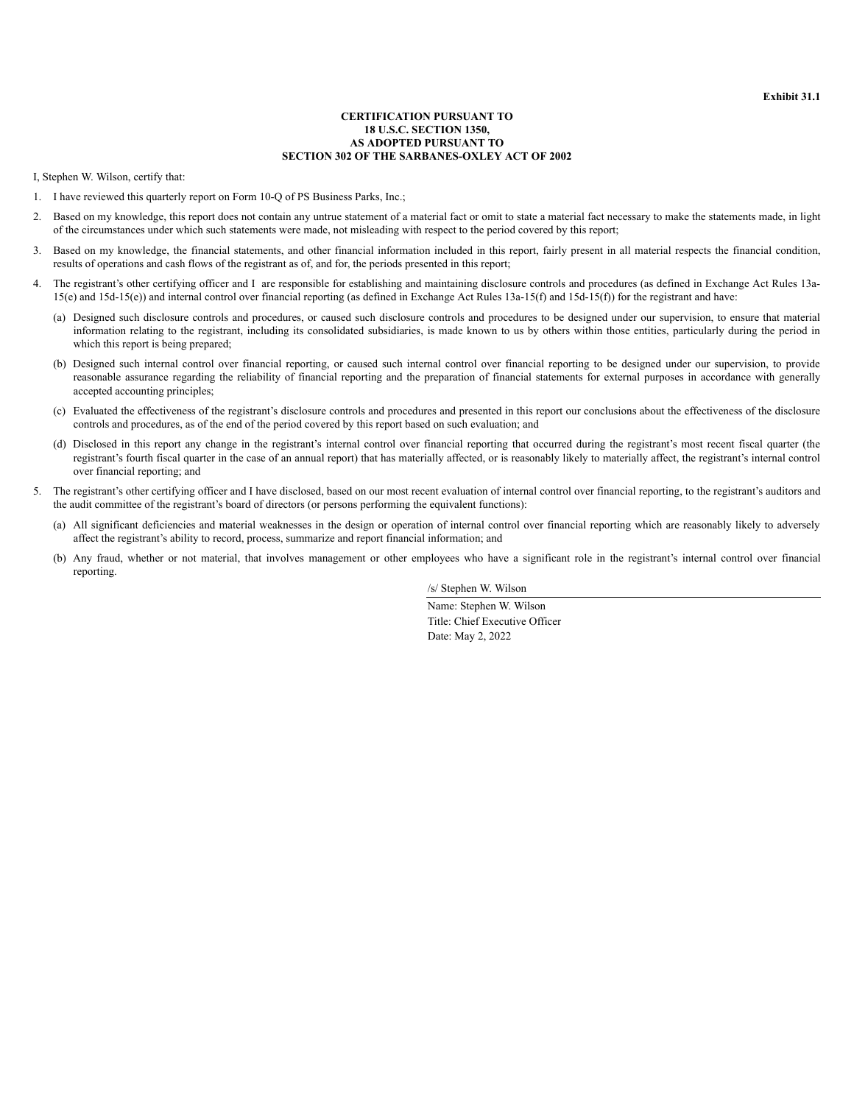# **CERTIFICATION PURSUANT TO 18 U.S.C. SECTION 1350, AS ADOPTED PURSUANT TO SECTION 302 OF THE SARBANES-OXLEY ACT OF 2002**

I, Stephen W. Wilson, certify that:

- 1. I have reviewed this quarterly report on Form 10-Q of PS Business Parks, Inc.;
- Based on my knowledge, this report does not contain any untrue statement of a material fact or omit to state a material fact necessary to make the statements made, in light of the circumstances under which such statements were made, not misleading with respect to the period covered by this report;
- 3. Based on my knowledge, the financial statements, and other financial information included in this report, fairly present in all material respects the financial condition, results of operations and cash flows of the registrant as of, and for, the periods presented in this report;
- 4. The registrant's other certifying officer and I are responsible for establishing and maintaining disclosure controls and procedures (as defined in Exchange Act Rules 13a-15(e) and 15d-15(e)) and internal control over financial reporting (as defined in Exchange Act Rules 13a-15(f) and 15d-15(f)) for the registrant and have:
	- (a) Designed such disclosure controls and procedures, or caused such disclosure controls and procedures to be designed under our supervision, to ensure that material information relating to the registrant, including its consolidated subsidiaries, is made known to us by others within those entities, particularly during the period in which this report is being prepared;
	- (b) Designed such internal control over financial reporting, or caused such internal control over financial reporting to be designed under our supervision, to provide reasonable assurance regarding the reliability of financial reporting and the preparation of financial statements for external purposes in accordance with generally accepted accounting principles;
	- (c) Evaluated the effectiveness of the registrant's disclosure controls and procedures and presented in this report our conclusions about the effectiveness of the disclosure controls and procedures, as of the end of the period covered by this report based on such evaluation; and
	- (d) Disclosed in this report any change in the registrant's internal control over financial reporting that occurred during the registrant's most recent fiscal quarter (the registrant's fourth fiscal quarter in the case of an annual report) that has materially affected, or is reasonably likely to materially affect, the registrant's internal control over financial reporting; and
- 5. The registrant's other certifying officer and I have disclosed, based on our most recent evaluation of internal control over financial reporting, to the registrant's auditors and the audit committee of the registrant's board of directors (or persons performing the equivalent functions):
	- (a) All significant deficiencies and material weaknesses in the design or operation of internal control over financial reporting which are reasonably likely to adversely affect the registrant's ability to record, process, summarize and report financial information; and
	- (b) Any fraud, whether or not material, that involves management or other employees who have a significant role in the registrant's internal control over financial reporting.

/s/ Stephen W. Wilson

Name: Stephen W. Wilson Title: Chief Executive Officer Date: May 2, 2022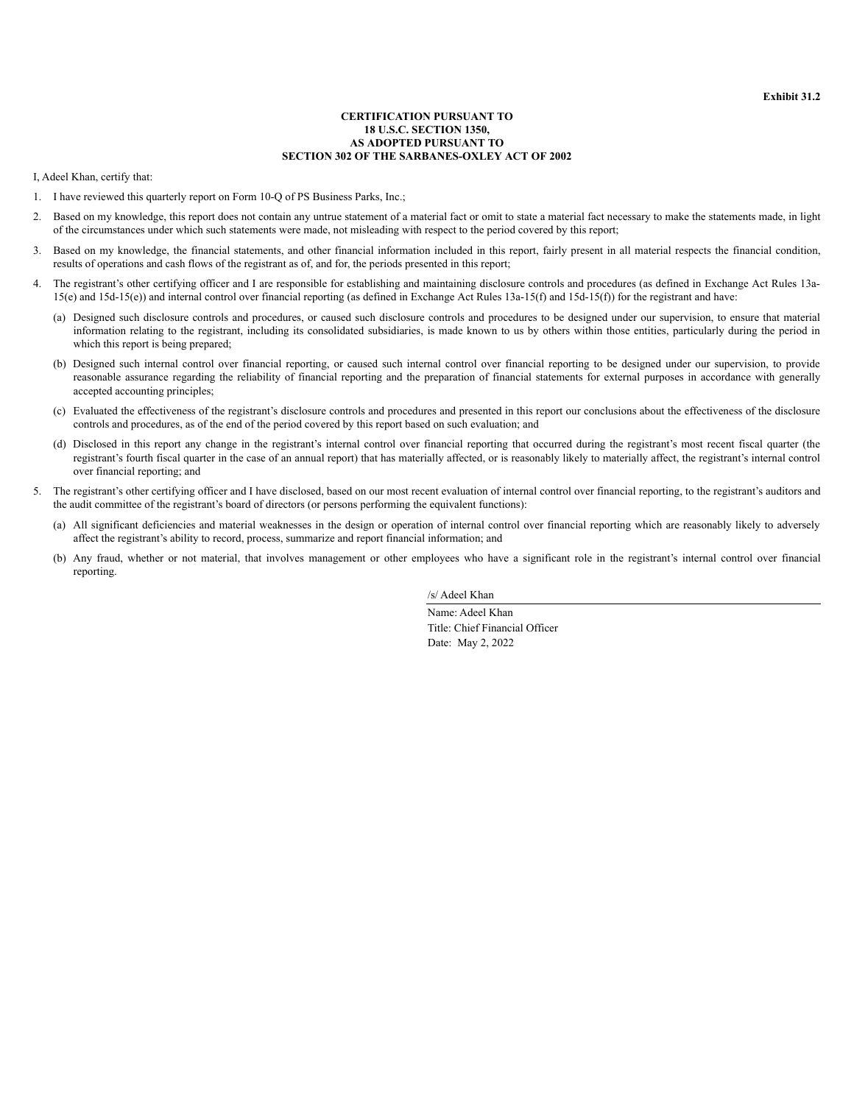# **CERTIFICATION PURSUANT TO 18 U.S.C. SECTION 1350, AS ADOPTED PURSUANT TO SECTION 302 OF THE SARBANES-OXLEY ACT OF 2002**

I, Adeel Khan, certify that:

- 1. I have reviewed this quarterly report on Form 10-Q of PS Business Parks, Inc.;
- Based on my knowledge, this report does not contain any untrue statement of a material fact or omit to state a material fact necessary to make the statements made, in light of the circumstances under which such statements were made, not misleading with respect to the period covered by this report;
- 3. Based on my knowledge, the financial statements, and other financial information included in this report, fairly present in all material respects the financial condition, results of operations and cash flows of the registrant as of, and for, the periods presented in this report;
- 4. The registrant's other certifying officer and I are responsible for establishing and maintaining disclosure controls and procedures (as defined in Exchange Act Rules 13a-15(e) and 15d-15(e)) and internal control over financial reporting (as defined in Exchange Act Rules 13a-15(f) and 15d-15(f)) for the registrant and have:
	- (a) Designed such disclosure controls and procedures, or caused such disclosure controls and procedures to be designed under our supervision, to ensure that material information relating to the registrant, including its consolidated subsidiaries, is made known to us by others within those entities, particularly during the period in which this report is being prepared;
	- (b) Designed such internal control over financial reporting, or caused such internal control over financial reporting to be designed under our supervision, to provide reasonable assurance regarding the reliability of financial reporting and the preparation of financial statements for external purposes in accordance with generally accepted accounting principles;
	- (c) Evaluated the effectiveness of the registrant's disclosure controls and procedures and presented in this report our conclusions about the effectiveness of the disclosure controls and procedures, as of the end of the period covered by this report based on such evaluation; and
	- (d) Disclosed in this report any change in the registrant's internal control over financial reporting that occurred during the registrant's most recent fiscal quarter (the registrant's fourth fiscal quarter in the case of an annual report) that has materially affected, or is reasonably likely to materially affect, the registrant's internal control over financial reporting; and
- 5. The registrant's other certifying officer and I have disclosed, based on our most recent evaluation of internal control over financial reporting, to the registrant's auditors and the audit committee of the registrant's board of directors (or persons performing the equivalent functions):
	- (a) All significant deficiencies and material weaknesses in the design or operation of internal control over financial reporting which are reasonably likely to adversely affect the registrant's ability to record, process, summarize and report financial information; and
	- (b) Any fraud, whether or not material, that involves management or other employees who have a significant role in the registrant's internal control over financial reporting.

/s/ Adeel Khan

Name: Adeel Khan Title: Chief Financial Officer Date: May 2, 2022